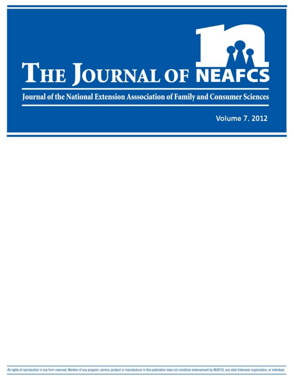

Journal of the National Extension Asssociation of Family and Consumer Sciences

**Volume 7, 2012**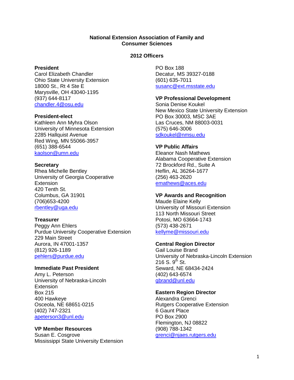#### **National Extension Association of Family and Consumer Sciences**

### **2012 Officers**

#### **President**

Carol Elizabeth Chandler Ohio State University Extension 18000 St., Rt 4 Ste E Marysville, OH 43040-1195 (937) 644-8117 [chandler.4@osu.edu](mailto:chandler.4@osu.edu)

#### **President-elect**

Kathleen Ann Myhra Olson University of Minnesota Extension 2285 Hallquist Avenue Red Wing, MN 55066-3957 (651) 388-6544 [kaolson@umn.edu](mailto:kaolson@umn.edu)

# **Secretary**

Rhea Michelle Bentley University of Georgia Cooperative **Extension** 420 Tenth St. Columbus, GA 31901 (706)653-4200 [rbentley@uga.edu](mailto:rbentley@uga.edu)

# **Treasurer**

Peggy Ann Ehlers Purdue University Cooperative Extension 229 Main Street Aurora, IN 47001-1357 (812) 926-1189 [pehlers@purdue.edu](mailto:pehlers@purdue.edu)

# **Immediate Past President**

Amy L. Peterson University of Nebraska-Lincoln **Extension** Box 215 400 Hawkeye Osceola, NE 68651-0215 (402) 747-2321 [apeterson3@unl.edu](mailto:apeterson3@unl.edu)

#### **VP Member Resources**

Susan E. Cosgrove Mississippi State University Extension PO Box 188 Decatur, MS 39327-0188 (601) 635-7011 [susanc@ext.msstate.edu](mailto:susanc@ext.msstate.edu)

# **VP Professional Development**

Sonia Denise Koukel New Mexico State University Extension PO Box 30003, MSC 3AE Las Cruces, NM 88003-0031 (575) 646-3006 [sdkoukel@nmsu.edu](mailto:sdkoukel@nmsu.edu)

# **VP Public Affairs**

Eleanor Nash Mathews Alabama Cooperative Extension 72 Brockford Rd., Suite A Heflin, AL 36264-1677 (256) 463-2620 [emathews@aces.edu](mailto:emathews@aces.edu)

# **VP Awards and Recognition**

Maude Elaine Kelly University of Missouri Extension 113 North Missouri Street Potosi, MO 63664-1743 (573) 438-2671 [kellyme@missouri.edu](mailto:kellyme@missouri.edu)

# **Central Region Director**

Gail Louise Brand University of Nebraska-Lincoln Extension 216 S.  $9^{th}$  St. Seward, NE 68434-2424 (402) 643-6574 [gbrand@unl.edu](mailto:gbrand@unl.edu)

# **Eastern Region Director**

Alexandra Grenci Rutgers Cooperative Extension 6 Gaunt Place PO Box 2900 Flemington, NJ 08822 (908) 788-1342 [grenci@njaes.rutgers.edu](mailto:grenci@njaes.rutgers.edu)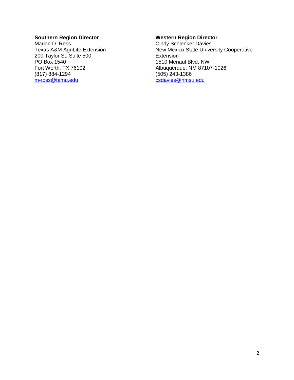# **Southern Region Director**

Marian D. Ross Texas A&M AgriLife Extension 200 Taylor St, Suite 500 PO Box 1540 Fort Worth, TX 76102 (817) 884-1294 [m-ross@tamu.edu](mailto:m-ross@tamu.edu)

#### **Western Region Director**

Cindy Schlenker Davies New Mexico State University Cooperative Extension 1510 Menaul Blvd. NW Albuquerque, NM 87107-1026 (505) 243-1386 [csdavies@nmsu.edu](mailto:csdavies@nmsu.edu)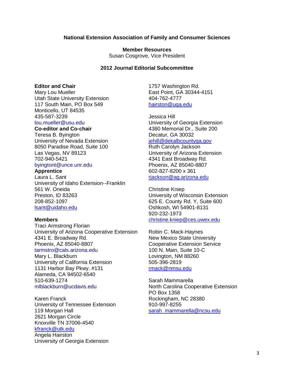#### **National Extension Association of Family and Consumer Sciences**

**Member Resources** Susan Cosgrove, Vice President

#### **2012 Journal Editorial Subcommittee**

#### **Editor and Chair**

Mary Lou Mueller Utah State University Extension 117 South Main, PO Box 549 Monticello, UT 84535 435-587-3239 [lou.mueller@usu.edu](mailto:lou.mueller@usu.edu)

# **Co-editor and Co-chair**

Teresa B. Byington University of Nevada Extension 8050 Paradise Road, Suite 100 Las Vegas, NV 89123 702-940-5421 [byingtont@unce.unr.edu](mailto:byingtont@unce.unr.edu)

# **Apprentice**

Laura L. Sant University of Idaho Extension--Franklin 561 W. Oneida Preston, ID 83263

208-852-1097 [lsant@uidaho.edu](mailto:lsant@uidaho.edu)

#### **Members**

Traci Armstrong Florian University of Arizona Cooperative Extension 4341 E. Broadway Rd. Phoenix, AZ 85040-8807 tarmstro@cals.arizona.edu

Mary L. Blackburn University of California Extension 1131 Harbor Bay Pkwy. #131 Alameda, CA 94502-6540 510-639-1274 [mlblackburn@ucdavis.edu](mailto:mlblackburn@ucdavis.edu)

Karen Franck University of Tennessee Extension 119 Morgan Hall 2621 Morgan Circle Knoxville TN 37006-4540 [kfranck@utk.edu](mailto:kfranck@utk.edu)

Angela Hairston University of Georgia Extension 1757 Washington Rd. East Point, GA 30344-4151 404-762-4777 [hairston@uga.edu](mailto:hairston@uga.edu)

Jessica Hill University of Georgia Extension 4380 Memorial Dr., Suite 200 Decatur, GA 30032 [jehill@dekalbcountyga.gov](mailto:jehill@dekalbcountyga.gov) Ruth Carolyn Jackson University of Arizona Extension

4341 East Broadway Rd. Phoenix, AZ 85040-8807 602-827-8200 x 361 [rjackson@ag.arizona.edu](mailto:rjackson@ag.arizona.edu)

Christine Kniep University of Wisconsin Extension 625 E. County Rd. Y, Suite 600 Oshkosh, WI 54901-8131 920-232-1973 [christine.kniep@ces.uwex.edu](mailto:christine.kniep@ces.uwex.edu)

Robin C. Mack-Haynes New Mexico State University Cooperative Extension Service 100 N. Main, Suite 10-C Lovington, NM 88260 505-396-2819 [rmack@nmsu.edu](mailto:rmack@nmsu.edu)

Sarah Mammarella North Carolina Cooperative Extension PO Box 1358 Rockingham, NC 28380 910-997-8255 [sarah\\_mammarella@ncsu.edu](mailto:sarah_mammarella@ncsu.edu)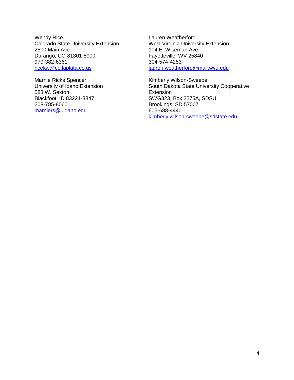Wendy Rice Colorado State University Extension 2500 Main Ave. Durango, CO 81301-5900 970-382-6361 [ricekw@co.laplata.co.us](mailto:ricekw@co.laplata.co.us)

Marnie Ricks Spencer University of Idaho Extension 583 W. Sexton Blackfoot, ID 83221-3847 208-785-8060 [marniers@uidaho.edu](mailto:marniers@uidaho.edu)

Lauren Weatherford West Virginia University Extension 104 E. Wiseman Ave. Fayetteville, WV 25840 304-574-4253 [lauren.weatherford@mail.wvu.edu](mailto:lauren.weatherford@mail.wvu.edu)

Kimberly Wilson-Sweebe South Dakota State University Cooperative **Extension** SWG323, Box 2275A, SDSU Brookings, SD 57007 605-688-4440 [kimberly.wilson-sweebe@sdstate.edu](mailto:kimberly.wilson-sweebe@sdstate.edu)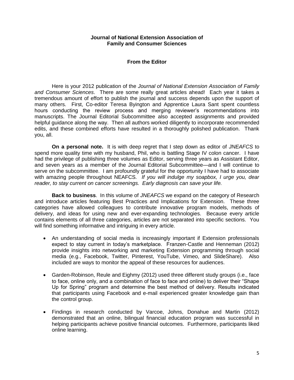#### **Journal of National Extension Association of Family and Consumer Sciences**

#### **From the Editor**

Here is your 2012 publication of the *Journal of National Extension Association of Family and Consumer Sciences*. There are some really great articles ahead! Each year it takes a tremendous amount of effort to publish the journal and success depends upon the support of many others. First, Co-editor Teresa Byington and Apprentice Laura Sant spent countless hours conducting the review process and merging reviewer's recommendations into manuscripts. The Journal Editorial Subcommittee also accepted assignments and provided helpful guidance along the way. Then all authors worked diligently to incorporate recommended edits, and these combined efforts have resulted in a thoroughly polished publication. Thank you, all.

**On a personal note.** It is with deep regret that I step down as editor of *JNEAFCS* to spend more quality time with my husband, Phil, who is battling Stage IV colon cancer. I have had the privilege of publishing three volumes as Editor, serving three years as Assistant Editor, and seven years as a member of the Journal Editorial Subcommittee—and I will continue to serve on the subcommittee. I am profoundly grateful for the opportunity I have had to associate with amazing people throughout NEAFCS*. If you will indulge my soapbox, I urge you, dear reader, to stay current on cancer screenings. Early diagnosis can save your life.*

**Back to business**. In this volume of *JNEAFCS* we expand on the category of Research and introduce articles featuring Best Practices and Implications for Extension. These three categories have allowed colleagues to contribute innovative program models, methods of delivery, and ideas for using new and ever-expanding technologies. Because every article contains elements of all three categories, articles are not separated into specific sections. You will find something informative and intriguing in every article.

- An understanding of social media is increasingly important if Extension professionals expect to stay current in today's marketplace. Franzen-Castle and Henneman (2012) provide insights into networking and marketing Extension programming through social media (e.g., Facebook, Twitter, Pinterest, YouTube, Vimeo, and SlideShare). Also included are ways to monitor the appeal of these resources for audiences.
- Garden-Robinson, Reule and Eighmy (2012) used three different study groups (i.e., face to face, online only, and a combination of face to face and online) to deliver their "Shape Up for Spring" program and determine the best method of delivery. Results indicated that participants using Facebook and e-mail experienced greater knowledge gain than the control group.
- Findings in research conducted by Varcoe, Johns, Donahue and Martin (2012) demonstrated that an online, bilingual financial education program was successful in helping participants achieve positive financial outcomes. Furthermore, participants liked online learning.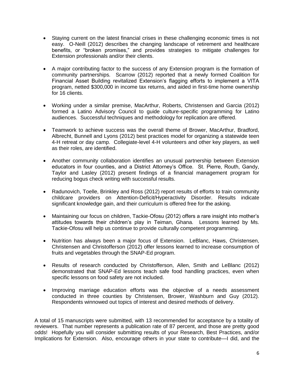- Staying current on the latest financial crises in these challenging economic times is not easy. O-Neill (2012) describes the changing landscape of retirement and healthcare benefits, or "broken promises," and provides strategies to mitigate challenges for Extension professionals and/or their clients.
- A major contributing factor to the success of any Extension program is the formation of community partnerships. Scarrow (2012) reported that a newly formed Coalition for Financial Asset Building revitalized Extension's flagging efforts to implement a VITA program, netted \$300,000 in income tax returns, and aided in first-time home ownership for 16 clients.
- Working under a similar premise, MacArthur, Roberts, Christensen and Garcia (2012) formed a Latino Advisory Council to guide culture-specific programming for Latino audiences. Successful techniques and methodology for replication are offered.
- Teamwork to achieve success was the overall theme of Brower, MacArthur, Bradford, Albrecht, Bunnell and Lyons (2012) best practices model for organizing a statewide teen 4-H retreat or day camp. Collegiate-level 4-H volunteers and other key players, as well as their roles, are identified.
- Another community collaboration identifies an unusual partnership between Extension educators in four counties, and a District Attorney's Office. St. Pierre, Routh, Gandy, Taylor and Lasley (2012) present findings of a financial management program for reducing bogus check writing with successful results.
- Radunovich, Toelle, Brinkley and Ross (2012) report results of efforts to train community childcare providers on Attention-Deficit/Hyperactivity Disorder. Results indicate significant knowledge gain, and their curriculum is offered free for the asking.
- Maintaining our focus on children, Tackie-Ofosu (2012) offers a rare insight into mother's attitudes towards their children's play in Teiman, Ghana. Lessons learned by Ms. Tackie-Ofosu will help us continue to provide culturally competent programming.
- Nutrition has always been a major focus of Extension. LeBlanc, Haws, Christensen, Christensen and Christofferson (2012) offer lessons learned to increase consumption of fruits and vegetables through the SNAP-Ed program.
- Results of research conducted by Christofferson, Allen, Smith and LeBlanc (2012) demonstrated that SNAP-Ed lessons teach safe food handling practices, even when specific lessons on food safety are not included.
- Improving marriage education efforts was the objective of a needs assessment conducted in three counties by Christensen, Brower, Washburn and Guy (2012). Respondents winnowed out topics of interest and desired methods of delivery.

A total of 15 manuscripts were submitted, with 13 recommended for acceptance by a totality of reviewers. That number represents a publication rate of 87 percent, and those are pretty good odds! Hopefully you will consider submitting results of your Research, Best Practices, and/or Implications for Extension. Also, encourage others in your state to contribute—I did, and the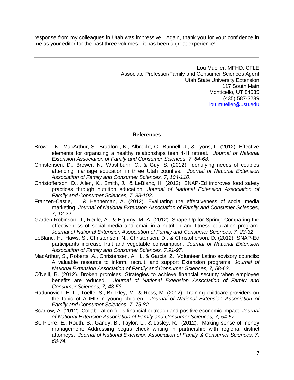response from my colleagues in Utah was impressive. Again, thank you for your confidence in me as your editor for the past three volumes—it has been a great experience!

> Lou Mueller, MFHD, CFLE Associate Professor/Family and Consumer Sciences Agent Utah State University Extension 117 South Main Monticello, UT 84535 (435) 587-3239 [lou.mueller@usu.edu](mailto:lou.mueller@usu.edu)

#### **References**

- Brower, N., MacArthur, S., Bradford, K., Albrecht, C., Bunnell, J., & Lyons, L. (2012). Effective elements for organizing a healthy relationships teen 4-H retreat. *Journal of National Extension Association of Family and Consumer Sciences, 7*, *64-68.*
- Christensen, D., Brower, N., Washburn, C., & Guy, S. (2012). Identifying needs of couples attending marriage education in three Utah counties. *Journal of National Extension Association of Family and Consumer Sciences, 7*, *104-110*.
- Christofferson, D., Allen, K., Smith, J., & LeBlanc, H. (2012). SNAP-Ed improves food safety practices through nutrition education. *Journal of National Extension Association of Family and Consumer Sciences, 7*, *98-103.*
- Franzen-Castle, L. & Henneman, A. (2012). Evaluating the effectiveness of social media marketing. *Journal of National Extension Association of Family and Consumer Sciences, 7, 12-22*.
- Garden-Robinson, J., Reule, A., & Eighmy, M. A. (2012). Shape Up for Spring: Comparing the effectiveness of social media and email in a nutrition and fitness education program. *Journal of National Extension Association of Family and Consumer Sciences, 7, 23-32*.
- LeBlanc, H., Haws, S., Christensen, N., Christensen, D., & Christofferson, D. (2012). SNAP-Ed participants increase fruit and vegetable consumption. *Journal of National Extension Association of Family and Consumer Sciences, 7,91-97*.
- MacArthur, S., Roberts, A., Christensen, A. H., & Garcia, Z. Volunteer Latino advisory councils: A valuable resource to inform, recruit, and support Extension programs. *Journal of National Extension Association of Family and Consumer Sciences, 7, 58-63*.
- O'Neill, B. (2012). Broken promises: Strategies to achieve financial security when employee benefits are reduced. *Journal of National Extension Association of Family and Consumer Sciences, 7, 48-53*.
- Radunovich, H. L., Toelle, S., Brinkley, M., & Ross, M. (2012). Training childcare providers on the topic of ADHD in young children. *Journal of National Extension Association of Family and Consumer Sciences, 7, 75-82*.
- Scarrow, A. (2012). Collaboration fuels financial outreach and positive economic impact. *Journal of National Extension Association of Family and Consumer Sciences, 7, 54-57.*
- St. Pierre, E., Routh, S., Gandy, B., Taylor, L., & Lasley, R. (2012). Making sense of money management: Addressing bogus check writing in partnership with regional district attorneys. *Journal of National Extension Association of Family & Consumer Sciences, 7, 68-74.*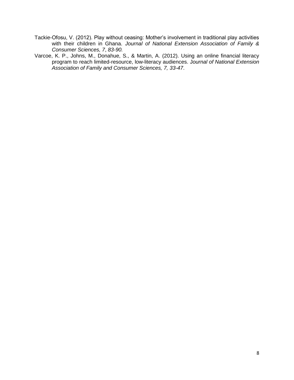- Tackie-Ofosu, V. (2012). Play without ceasing: Mother's involvement in traditional play activities with their children in Ghana. *Journal of National Extension Association of Family & Consumer Sciences, 7*, *83-90.*
- Varcoe, K. P., Johns, M., Donahue, S., & Martin, A. (2012). Using an online financial literacy program to reach limited-resource, low-literacy audiences. J*ournal of National Extension Association of Family and Consumer Sciences, 7, 33-47*.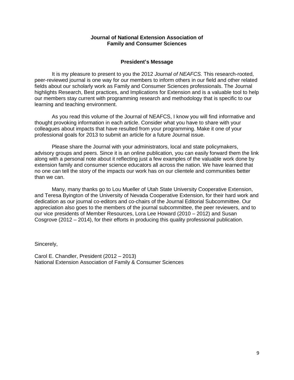#### **Journal of National Extension Association of Family and Consumer Sciences**

#### **President's Message**

It is my pleasure to present to you the 2012 *Journal of NEAFCS.* This research-rooted, peer-reviewed journal is one way for our members to inform others in our field and other related fields about our scholarly work as Family and Consumer Sciences professionals. The Journal highlights Research, Best practices, and Implications for Extension and is a valuable tool to help our members stay current with programming research and methodology that is specific to our learning and teaching environment.

As you read this volume of the Journal of NEAFCS, I know you will find informative and thought provoking information in each article. Consider what you have to share with your colleagues about impacts that have resulted from your programming. Make it one of your professional goals for 2013 to submit an article for a future Journal issue.

Please share the Journal with your administrators, local and state policymakers, advisory groups and peers. Since it is an online publication, you can easily forward them the link along with a personal note about it reflecting just a few examples of the valuable work done by extension family and consumer science educators all across the nation. We have learned that no one can tell the story of the impacts our work has on our clientele and communities better than we can.

Many, many thanks go to Lou Mueller of Utah State University Cooperative Extension, and Teresa Byington of the University of Nevada Cooperative Extension, for their hard work and dedication as our journal co-editors and co-chairs of the Journal Editorial Subcommittee. Our appreciation also goes to the members of the journal subcommittee, the peer reviewers, and to our vice presidents of Member Resources, Lora Lee Howard (2010 – 2012) and Susan Cosgrove (2012 – 2014), for their efforts in producing this quality professional publication.

Sincerely,

Carol E. Chandler, President (2012 – 2013) National Extension Association of Family & Consumer Sciences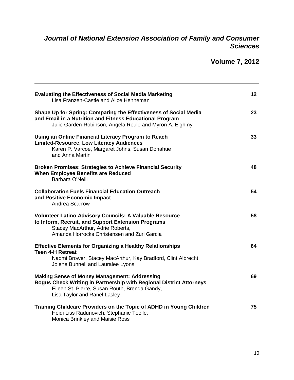# *Journal of National Extension Association of Family and Consumer Sciences*

# **Volume 7, 2012**

| <b>Evaluating the Effectiveness of Social Media Marketing</b><br>Lisa Franzen-Castle and Alice Henneman                                                                                                            | 12 <sub>2</sub> |
|--------------------------------------------------------------------------------------------------------------------------------------------------------------------------------------------------------------------|-----------------|
| Shape Up for Spring: Comparing the Effectiveness of Social Media<br>and Email in a Nutrition and Fitness Educational Program<br>Julie Garden-Robinson, Angela Reule and Myron A. Eighmy                            | 23              |
| Using an Online Financial Literacy Program to Reach<br><b>Limited-Resource, Low Literacy Audiences</b><br>Karen P. Varcoe, Margaret Johns, Susan Donahue<br>and Anna Martin                                        | 33              |
| <b>Broken Promises: Strategies to Achieve Financial Security</b><br><b>When Employee Benefits are Reduced</b><br>Barbara O'Neill                                                                                   | 48              |
| <b>Collaboration Fuels Financial Education Outreach</b><br>and Positive Economic Impact<br>Andrea Scarrow                                                                                                          | 54              |
| <b>Volunteer Latino Advisory Councils: A Valuable Resource</b><br>to Inform, Recruit, and Support Extension Programs<br>Stacey MacArthur, Adrie Roberts,<br>Amanda Horrocks Christensen and Zuri Garcia            | 58              |
| <b>Effective Elements for Organizing a Healthy Relationships</b><br><b>Teen 4-H Retreat</b><br>Naomi Brower, Stacey MacArthur, Kay Bradford, Clint Albrecht,<br>Jolene Bunnell and Lauralee Lyons                  | 64              |
| <b>Making Sense of Money Management: Addressing</b><br><b>Bogus Check Writing in Partnership with Regional District Attorneys</b><br>Eileen St. Pierre, Susan Routh, Brenda Gandy,<br>Lisa Taylor and Ranel Lasley | 69              |
| Training Childcare Providers on the Topic of ADHD in Young Children<br>Heidi Liss Radunovich, Stephanie Toelle,<br>Monica Brinkley and Maisie Ross                                                                 | 75              |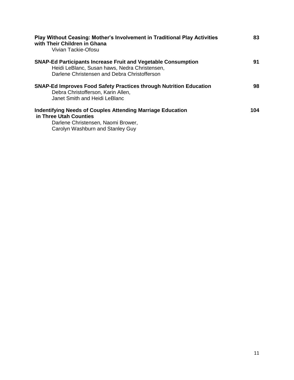| <b>Play Without Ceasing: Mother's Involvement in Traditional Play Activities</b><br>with Their Children in Ghana<br>Vivian Tackie-Ofosu                               | 83  |
|-----------------------------------------------------------------------------------------------------------------------------------------------------------------------|-----|
| <b>SNAP-Ed Participants Increase Fruit and Vegetable Consumption</b><br>Heidi LeBlanc, Susan haws, Nedra Christensen,<br>Darlene Christensen and Debra Christofferson | 91  |
| <b>SNAP-Ed Improves Food Safety Practices through Nutrition Education</b><br>Debra Christofferson, Karin Allen,<br>Janet Smith and Heidi LeBlanc                      | 98  |
| <b>Indentifying Needs of Couples Attending Marriage Education</b><br>in Three Utah Counties<br>Darlene Christensen, Naomi Brower,<br>Carolyn Washburn and Stanley Guy | 104 |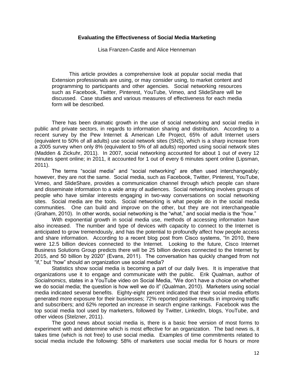#### **Evaluating the Effectiveness of Social Media Marketing**

Lisa Franzen-Castle and Alice Henneman

This article provides a comprehensive look at popular social media that Extension professionals are using, or may consider using, to market content and programming to participants and other agencies. Social networking resources such as Facebook, Twitter, Pinterest, YouTube, Vimeo, and SlideShare will be discussed. Case studies and various measures of effectiveness for each media form will be described.

There has been dramatic growth in the use of social networking and social media in public and private sectors, in regards to information sharing and distribution. According to a recent survey by the Pew Internet & American Life Project, 65% of adult Internet users (equivalent to 50% of all adults) use social network sites (SNS), which is a sharp increase from a 2005 survey when only 8% (equivalent to 5% of all adults) reported using social network sites (Madden & Zickuhr, 2011). In 2007, social networking accounted for about 1 out of every 12 minutes spent online; in 2011, it accounted for 1 out of every 6 minutes spent online (Lipsman, 2011).

The terms "social media" and "social networking" are often used interchangeably; however, they are not the same. Social media, such as Facebook, Twitter, Pinterest, YouTube, Vimeo, and SlideShare, provides a communication channel through which people can share and disseminate information to a wide array of audiences. Social networking involves groups of people who have similar interests engaging in two-way conversations on social networking sites. Social media are the tools. Social networking is what people do in the social media communities. One can build and improve on the other, but they are not interchangeable (Graham, 2010). In other words, social networking is the "what," and social media is the "how."

With exponential growth in social media use, methods of accessing information have also increased. The number and type of devices with capacity to connect to the Internet is anticipated to grow tremendously, and has the potential to profoundly affect how people access and share information. According to a recent blog post from Cisco systems, "In 2010, there were 12.5 billion devices connected to the Internet. Looking to the future, Cisco Internet Business Solutions Group predicts there will be 25 billion devices connected to the Internet by 2015, and 50 billion by 2020" (Evans, 2011). The conversation has quickly changed from not "if," but "how" should an organization use social media?

Statistics show social media is becoming a part of our daily lives. It is imperative that organizations use it to engage and communicate with the public. Erik Qualman, author of *Socialnomics,* states in a YouTube video on Social Media, "We don't have a choice on whether we do social media; the question is how well we do it" (Qualman, 2010). Marketers using social media indicated several benefits. Eighty-eight percent indicated that their social media efforts generated more exposure for their businesses; 72% reported positive results in improving traffic and subscribers; and 62% reported an increase in search engine rankings. Facebook was the top social media tool used by marketers, followed by Twitter, LinkedIn, blogs, YouTube, and other videos (Stelzner, 2011).

The good news about social media is, there is a basic free version of most forms to experiment with and determine which is most effective for an organization. The bad news is, it takes time (which is not free) to use social media. Examples of time commitments related to social media include the following: 58% of marketers use social media for 6 hours or more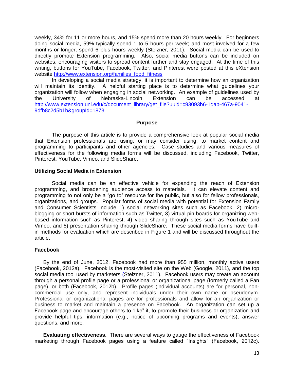weekly, 34% for 11 or more hours, and 15% spend more than 20 hours weekly. For beginners doing social media, 59% typically spend 1 to 5 hours per week; and most involved for a few months or longer, spend 6 plus hours weekly (Stelzner, 2011). Social media can be used to directly promote Extension programming. Also, social media buttons can be included on websites, encouraging visitors to spread content further and stay engaged. At the time of this writing, buttons for YouTube, Facebook, Twitter, and Pinterest were posted at this eXtension website [http://www.extension.org/families\\_food\\_fitness](http://www.extension.org/families_food_fitness)

In developing a social media strategy, it is important to determine how an organization will maintain its identity. A helpful starting place is to determine what guidelines your organization will follow when engaging in social networking. An example of guidelines used by<br>the University of Nebraska-Lincoln Extension can be accessed at the University of Nebraska-Lincoln Extension can be accessed at [http://www.extension.unl.edu/c/document\\_library/get\\_file?uuid=c93093b6-1dab-467a-9041-](http://www.extension.unl.edu/c/document_library/get_file?uuid=c93093b6-1dab-467a-9041-9dfb8c2d5b1b&groupId=1873) [9dfb8c2d5b1b&groupId=1873](http://www.extension.unl.edu/c/document_library/get_file?uuid=c93093b6-1dab-467a-9041-9dfb8c2d5b1b&groupId=1873)

#### **Purpose**

The purpose of this article is to provide a comprehensive look at popular social media that Extension professionals are using, or may consider using, to market content and programming to participants and other agencies. Case studies and various measures of effectiveness for the following media forms will be discussed, including Facebook, Twitter, Pinterest, YouTube, Vimeo, and SlideShare.

#### **Utilizing Social Media in Extension**

Social media can be an effective vehicle for expanding the reach of Extension programming, and broadening audience access to materials. It can elevate content and programming to not only be a "go to" resource for the public, but also for fellow professionals, organizations, and groups. Popular forms of social media with potential for Extension Family and Consumer Scientists include 1) social networking sites such as Facebook, 2) microblogging or short bursts of information such as Twitter, 3) virtual pin boards for organizing webbased information such as Pinterest, 4) video sharing through sites such as YouTube and Vimeo, and 5) presentation sharing through SlideShare. These social media forms have builtin methods for evaluation which are described in Figure 1 and will be discussed throughout the article.

#### **Facebook**

By the end of June, 2012, Facebook had more than 955 million, monthly active users (Facebook, 2012a). Facebook is the most-visited site on the Web (Google, 2011), and the top social media tool used by marketers (Stelzner, 2011). Facebook users may create an account through a personal profile page or a professional or organizational page (formerly called a Fan page), or both (Facebook, 2012b). Profile pages (individual accounts) are for personal, noncommercial use only, and represent individuals under their own name or pseudonym. Professional or organizational pages are for professionals and allow for an organization or business to market and maintain a presence on Facebook. An organization can set up a Facebook page and encourage others to "like" it, to promote their business or organization and provide helpful tips, information (e.g., notice of upcoming programs and events), answer questions, and more.

**Evaluating effectiveness.** There are several ways to gauge the effectiveness of Facebook marketing through Facebook pages using a feature called "Insights" (Facebook, 2012c).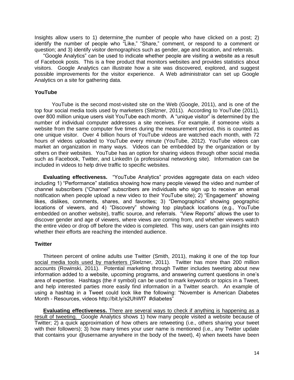Insights allow users to 1) determine the number of people who have clicked on a post; 2) identify the number of people who "Like," "Share," comment, or respond to a comment or question; and 3) identify visitor demographics such as gender, age and location, and referrals.

"Google Analytics" can be used to indicate whether people are visiting a website as a result of Facebook posts. This is a free product that monitors websites and provides statistics about visitors. Google Analytics can illustrate how a site was discovered, explored, and suggest possible improvements for the visitor experience. A Web administrator can set up Google Analytics on a site for gathering data.

#### **YouTube**

YouTube is the second most-visited site on the Web (Google, 2011), and is one of the top four social media tools used by marketers (Stelzner, 2011). According to YouTube (2011), over 800 million unique users visit YouTube each month. A "unique visitor" is determined by the number of individual computer addresses a site receives. For example, if someone visits a website from the same computer five times during the measurement period, this is counted as one unique visitor. Over 4 billion hours of YouTube videos are watched each month, with 72 hours of videos uploaded to YouTube every minute (YouTube, 2012). YouTube videos can market an organization in many ways. Videos can be embedded by the organization or by others on their websites. YouTube has an option for sharing videos through other social media such as Facebook, Twitter, and LinkedIn (a professional networking site). Information can be included in videos to help drive traffic to specific websites.

**Evaluating effectiveness.** "YouTube Analytics" provides aggregate data on each video including 1) "Performance" statistics showing how many people viewed the video and number of channel subscribers ("Channel" subscribers are individuals who sign up to receive an email notification when people upload a new video to their YouTube site); 2) "Engagement" showing likes, dislikes, comments, shares, and favorites; 3) "Demographics" showing geographic locations of viewers, and 4) "Discovery" showing top playback locations (e.g., YouTube embedded on another website), traffic source, and referrals. "View Reports" allows the user to discover gender and age of viewers, where views are coming from, and whether viewers watch the entire video or drop off before the video is completed. This way, users can gain insights into whether their efforts are reaching the intended audience.

#### **Twitter**

Thirteen percent of online adults use Twitter (Smith, 2011), making it one of the top four social media tools used by marketers (Stelzner, 2011). Twitter has more than 200 million accounts (Rowinski, 2011). Potential marketing through Twitter includes tweeting about new information added to a website, upcoming programs, and answering current questions in one's area of expertise. Hashtags (the # symbol) can be used to mark keywords or topics in a Tweet, and help interested parties more easily find information in a Twitter search. An example of using a hashtag in a Tweet could look like the following: "November is American Diabetes Month - Resources, videos http://bit.ly/s2UhWf7 #diabetes"

**Evaluating effectiveness.** There are several ways to check if anything is happening as a result of tweeting. Google Analytics shows 1) how many people visited a website because of Twitter; 2) a quick approximation of how others are retweeting (i.e., others sharing your tweet with their followers); 3) how many times your user name is mentioned (i.e., any Twitter update that contains your @username anywhere in the body of the tweet), 4) when tweets have been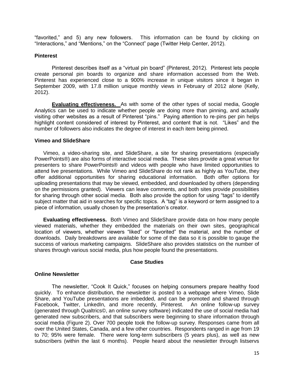"favorited," and 5) any new followers. This information can be found by clicking on "Interactions," and "Mentions," on the "Connect" page (Twitter Help Center, 2012).

#### **Pinterest**

Pinterest describes itself as a "virtual pin board" (Pinterest, 2012). Pinterest lets people create personal pin boards to organize and share information accessed from the Web. Pinterest has experienced close to a 900% increase in unique visitors since it began in September 2009, with 17.8 million unique monthly views in February of 2012 alone (Kelly, 2012).

**Evaluating effectiveness.** As with some of the other types of social media, Google Analytics can be used to indicate whether people are doing more than pinning, and actually visiting other websites as a result of Pinterest "pins." Paying attention to re-pins per pin helps highlight content considered of interest by Pinterest, and content that is not. "Likes" and the number of followers also indicates the degree of interest in each item being pinned.

#### **Vimeo and SlideShare**

Vimeo, a video-sharing site, and SlideShare, a site for sharing presentations (especially PowerPoints®) are also forms of interactive social media. These sites provide a great venue for presenters to share PowerPoints® and videos with people who have limited opportunities to attend live presentations. While Vimeo and SlideShare do not rank as highly as YouTube, they offer additional opportunities for sharing educational information. Both offer options for uploading presentations that may be viewed, embedded, and downloaded by others (depending on the permissions granted). Viewers can leave comments, and both sites provide possibilities for sharing through other social media. Both also provide the option for using "tags" to identify subject matter that aid in searches for specific topics. A "tag" is a keyword or term assigned to a piece of information, usually chosen by the presentation's creator.

**Evaluating effectiveness.** Both Vimeo and SlideShare provide data on how many people viewed materials, whether they embedded the materials on their own sites, geographical location of viewers, whether viewers "liked" or "favorited" the material, and the number of downloads. Daily breakdowns are available for some of the data so it is possible to gauge the success of various marketing campaigns. SlideShare also provides statistics on the number of shares through various social media, plus how people found the presentations.

#### **Case Studies**

#### **Online Newsletter**

The newsletter, "Cook It Quick," focuses on helping consumers prepare healthy food quickly. To enhance distribution, the newsletter is posted to a webpage where Vimeo, Slide Share, and YouTube presentations are imbedded, and can be promoted and shared through Facebook, Twitter, LinkedIn, and more recently, Pinterest. An online follow-up survey (generated through Qualtrics©, an online survey software) indicated the use of social media had generated new subscribers, and that subscribers were beginning to share information through social media (Figure 2). Over 700 people took the follow-up survey. Responses came from all over the United States, Canada, and a few other countries. Respondents ranged in age from 19 to 70; 95% were female. There were long-term subscribers (5 years plus), as well as new subscribers (within the last 6 months). People heard about the newsletter through listservs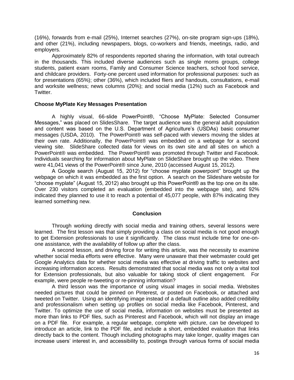(16%), forwards from e-mail (25%), Internet searches (27%), on-site program sign-ups (18%), and other (21%), including newspapers, blogs, co-workers and friends, meetings, radio, and employers.

Approximately 82% of respondents reported sharing the information, with total outreach in the thousands. This included diverse audiences such as single moms groups, college students, patient exam rooms, Family and Consumer Science teachers, school food service, and childcare providers. Forty-one percent used information for professional purposes: such as for presentations (65%); other (36%), which included fliers and handouts, consultations, e-mail and worksite wellness; news columns (20%); and social media (12%) such as Facebook and Twitter.

#### **Choose MyPlate Key Messages Presentation**

A highly visual, 66-slide PowerPoint®, "Choose MyPlate: Selected Consumer Messages," was placed on SlidesShare. The target audience was the general adult population and content was based on the U.S. Department of Agriculture's (USDAs) basic consumer messages (USDA, 2010). The PowerPoint® was self-paced with viewers moving the slides at their own rate. Additionally, the PowerPoint® was embedded on a webpage for a second viewing site. SlideShare collected data for views on its own site and all sites on which a PowerPoint® was embedded. The PowerPoint® was promoted through Twitter and Facebook. Individuals searching for information about MyPlate on SlideShare brought up the video. There were 41,041 views of the PowerPoint® since June, 2010 (accessed August 15, 2012).

A Google search (August 15, 2012) for "choose myplate powerpoint" brought up the webpage on which it was embedded as the first option. A search on the Slideshare website for "choose myplate" (August 15, 2012) also brought up this PowerPoint® as the top one on its site. Over 230 visitors completed an evaluation (embedded into the webpage site), and 92% indicated they planned to use it to reach a potential of 45,077 people, with 87% indicating they learned something new.

#### **Conclusion**

Through working directly with social media and training others, several lessons were learned. The first lesson was that simply providing a class on social media is not good enough to get Extension professionals to use it significantly. The class must include time for one-onone assistance, with the availability of follow up after the class.

A second lesson, and driving force for writing this article, was the necessity to examine whether social media efforts were effective. Many were unaware that their webmaster could get Google Analytics data for whether social media was effective at driving traffic to websites and increasing information access. Results demonstrated that social media was not only a vital tool for Extension professionals, but also valuable for taking stock of client engagement. For example, were people re-tweeting or re-pinning information?

A third lesson was the importance of using visual images in social media. Websites needed pictures that could be pinned on Pinterest, or posted on Facebook, or attached and tweeted on Twitter. Using an identifying image instead of a default outline also added credibility and professionalism when setting up profiles on social media like Facebook, Pinterest, and Twitter. To optimize the use of social media, information on websites must be presented as more than links to PDF files, such as Pinterest and Facebook, which will not display an image on a PDF file. For example, a regular webpage, complete with picture, can be developed to introduce an article, link to the PDF file, and include a short, embedded evaluation that links directly back to the content. Though including photographs may take longer, quality images can increase users' interest in, and accessibility to, postings through various forms of social media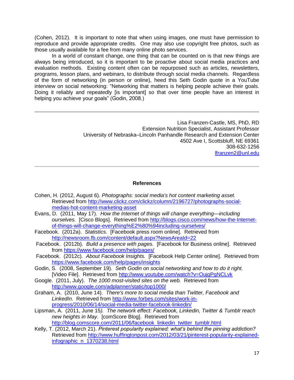(Cohen, 2012). It is important to note that when using images, one must have permission to reproduce and provide appropriate credits. One may also use copyright free photos, such as those usually available for a fee from many online photo services.

In a world of constant change, one thing that can be counted on is that new things are always being introduced, so it is important to be proactive about social media practices and evaluation methods. Existing content often can be repurposed such as articles, newsletters, programs, lesson plans, and webinars, to distribute through social media channels. Regardless of the form of networking (in person or online), heed this Seth Godin quote in a YouTube interview on social networking: "Networking that matters is helping people achieve their goals. Doing it reliably and repeatedly [is important] so that over time people have an interest in helping you achieve your goals" (Godin, 2008.)

> Lisa Franzen-Castle, MS, PhD, RD Extension Nutrition Specialist, Assistant Professor University of Nebraska–Lincoln Panhandle Research and Extension Center 4502 Ave I, Scottsbluff, NE 69361 308-632-1256 [lfranzen2@unl.edu](mailto:lfranzen2@unl.edu)

# **References**

- Cohen, H. (2012, August 6). *Photographs: social media's hot content marketing asset.* Retrieved from [http://www.clickz.com/clickz/column/2196727/photographs-social](http://www.clickz.com/clickz/column/2196727/photographs-social-medias-hot-content-marketing-asset)[medias-hot-content-marketing-asset](http://www.clickz.com/clickz/column/2196727/photographs-social-medias-hot-content-marketing-asset)
- Evans, D. (2011, May 17). *How the Internet of things will change everything—including ourselves.* [Cisco Blogs]. Retrieved from [http://blogs.cisco.com/news/how-the-Internet](http://blogs.cisco.com/news/how-the-internet-of-things-will-change-everything%E2%80%94including-ourselves/)[of-things-will-change-everything%E2%80%94including-ourselves/](http://blogs.cisco.com/news/how-the-internet-of-things-will-change-everything%E2%80%94including-ourselves/)
- Facebook. (2012a). *Statistics*. [Facebook press room online]. Retrieved from <http://newsroom.fb.com/content/default.aspx?NewsAreaId=22>
- Facebook. (2012b). *Build a presence with pages.* [Facebook for Business online]. Retrieved from<https://www.facebook.com/help/pages/>
- Facebook. (2012c). *About Facebook Insights.* [Facebook Help Center online]. Retrieved from <https://www.facebook.com/help/pages/insights>
- Godin, S. (2008, September 19). *Seth Godin on social networking and how to do it right.* [Video File]. Retrieved from<http://www.youtube.com/watch?v=OujgPgNCLvk>
- Google. (2011, July). *The 1000 most-visited sites on the web.* Retrieved from <http://www.google.com/adplanner/static/top1000/>
- Graham, A. (2010, June 14). *There's more to social media than Twitter, Facebook and LinkedIn*. Retrieved from [http://www.forbes.com/sites/work-in](http://www.forbes.com/sites/work-in-progress/2010/06/14/social-media-twitter-facebook-linkedin/)[progress/2010/06/14/social-media-twitter-facebook-linkedin/](http://www.forbes.com/sites/work-in-progress/2010/06/14/social-media-twitter-facebook-linkedin/)
- Lipsman, A. (2011, June 15*). The network effect: Facebook, Linkedin, Twitter & Tumblr reach new heights in May.* [comScore Blog]. Retrieved from [http://blog.comscore.com/2011/06/facebook\\_linkedin\\_twitter\\_tumblr.html](http://blog.comscore.com/2011/06/facebook_linkedin_twitter_tumblr.html)
- Kelly, T. (2012, March 21). *Pinterest popularity explained: what's behind the pinning addiction?*  Retrieved from [http://www.huffingtonpost.com/2012/03/21/pinterest-popularity-explained](http://www.huffingtonpost.com/2012/03/21/pinterest-popularity-explained-infographic_n_1370238.html)[infographic\\_n\\_1370238.html](http://www.huffingtonpost.com/2012/03/21/pinterest-popularity-explained-infographic_n_1370238.html)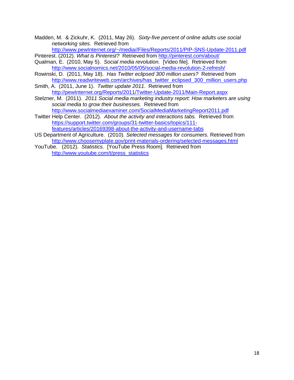Madden, M. & Zickuhr, K. (2011, May 26). *Sixty-five percent of online adults use social networking sites.* Retrieved from

[http://www.pewInternet.org/~/media//Files/Reports/2011/PIP-SNS-Update-2011.pdf](http://www.pewinternet.org/~/media/Files/Reports/2011/PIP-SNS-Update-2011.pdf)

Pinterest. (2012). What is Pinterest? Retrieved from<http://pinterest.com/about/>

- Qualman, E. (2010, May 5). *Social media revolution.* [Video file]. Retrieved from <http://www.socialnomics.net/2010/05/05/social-media-revolution-2-refresh/>
- Rowinski, D. (2011, May 18). *Has Twitter eclipsed 300 million users?* Retrieved from [http://www.readwriteweb.com/archives/has\\_twitter\\_eclipsed\\_300\\_million\\_users.php](http://www.readwriteweb.com/archives/has_twitter_eclipsed_300_million_users.php)
- Smith, A. (2011, June 1). *Twitter update 2011*. Retrieved from [http://pewInternet.org/Reports/2011/Twitter-Update-2011/Main-Report.aspx](http://pewinternet.org/Reports/2011/Twitter-Update-2011/Main-Report.aspx)
- Stelzner, M. (2011). *2011 Social media marketing industry report: How marketers are using social media to grow their businesses.* Retrieved from <http://www.socialmediaexaminer.com/SocialMediaMarketingReport2011.pdf>

Twitter Help Center. (2012). *About the activity and interactions tabs.* Retrieved from [https://support.twitter.com/groups/31-twitter-basics/topics/111](https://support.twitter.com/groups/31-twitter-basics/topics/111-features/articles/20169398-about-the-activity-and-username-tabs) [features/articles/20169398-about-the-activity-and-username-tabs](https://support.twitter.com/groups/31-twitter-basics/topics/111-features/articles/20169398-about-the-activity-and-username-tabs)

- US Department of Agriculture. (2010). *Selected messages for consumers.* Retrieved from <http://www.choosemyplate.gov/print-materials-ordering/selected-messages.html>
- YouTube. (2012). *Statistics.* [YouTube Press Room]. Retrieved from [http://www.youtube.com/t/press\\_statistics](http://www.youtube.com/t/press_statistics)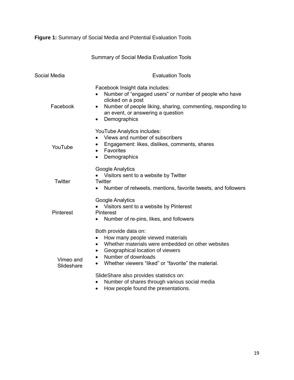**Figure 1:** Summary of Social Media and Potential Evaluation Tools

Summary of Social Media Evaluation Tools

| Social Media            | <b>Evaluation Tools</b>                                                                                                                                                                                                                                              |  |  |  |
|-------------------------|----------------------------------------------------------------------------------------------------------------------------------------------------------------------------------------------------------------------------------------------------------------------|--|--|--|
| Facebook                | Facebook Insight data includes:<br>Number of "engaged users" or number of people who have<br>clicked on a post<br>Number of people liking, sharing, commenting, responding to<br>$\bullet$<br>an event, or answering a question<br>Demographics<br>٠                 |  |  |  |
| YouTube                 | YouTube Analytics includes:<br>Views and number of subscribers<br>Engagement: likes, dislikes, comments, shares<br>$\bullet$<br>Favorites<br>$\bullet$<br>Demographics<br>$\bullet$                                                                                  |  |  |  |
| <b>Twitter</b>          | <b>Google Analytics</b><br>Visitors sent to a website by Twitter<br><b>Twitter</b><br>Number of retweets, mentions, favorite tweets, and followers                                                                                                                   |  |  |  |
| Pinterest               | Google Analytics<br>Visitors sent to a website by Pinterest<br>Pinterest<br>Number of re-pins, likes, and followers<br>$\bullet$                                                                                                                                     |  |  |  |
| Vimeo and<br>Slideshare | Both provide data on:<br>How many people viewed materials<br>٠<br>Whether materials were embedded on other websites<br>$\bullet$<br>Geographical location of viewers<br>٠<br>Number of downloads<br>$\bullet$<br>Whether viewers "liked" or "favorite" the material. |  |  |  |
|                         | SlideShare also provides statistics on:<br>Number of shares through various social media<br>$\bullet$                                                                                                                                                                |  |  |  |

• How people found the presentations.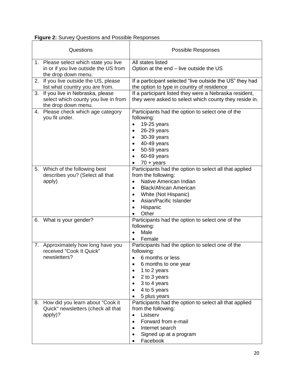|  |  |  | <b>Figure 2: Survey Questions and Possible Responses</b> |
|--|--|--|----------------------------------------------------------|
|  |  |  |                                                          |

F

|    | Questions                                                                                             | <b>Possible Responses</b>                                                                                                                                                                                                                                   |  |  |  |
|----|-------------------------------------------------------------------------------------------------------|-------------------------------------------------------------------------------------------------------------------------------------------------------------------------------------------------------------------------------------------------------------|--|--|--|
|    | 1. Please select which state you live<br>in or if you live outside the US from<br>the drop down menu. | All states listed<br>Option at the end – live outside the US                                                                                                                                                                                                |  |  |  |
| 2. | If you live outside the US, please<br>list what country you are from.                                 | If a participant selected "live outside the US" they had<br>the option to type in country of residence                                                                                                                                                      |  |  |  |
|    | 3. If you live in Nebraska, please<br>select which county you live in from<br>the drop down menu.     | If a participant listed they were a Nebraska resident,<br>they were asked to select which county they reside in.                                                                                                                                            |  |  |  |
| 4. | Please check which age category<br>you fit under.                                                     | Participants had the option to select one of the<br>following:<br>19-25 years<br>26-29 years<br>30-39 years<br>40-49 years<br>50-59 years<br>60-69 years<br>$70 + \text{years}$                                                                             |  |  |  |
|    | 5. Which of the following best<br>describes you? (Select all that<br>apply)                           | Participants had the option to select all that applied<br>from the following:<br>Native American Indian<br>$\bullet$<br><b>Black/African American</b><br>٠<br>White (Not Hispanic)<br>$\bullet$<br>Asian/Pacific Islander<br>Hispanic<br>$\bullet$<br>Other |  |  |  |
| 6. | What is your gender?                                                                                  | Participants had the option to select one of the<br>following:<br>Male<br>Female                                                                                                                                                                            |  |  |  |
|    | 7. Approximately how long have you<br>received "Cook It Quick"<br>newsletters?                        | Participants had the option to select one of the<br>following:<br>6 months or less<br>6 months to one year<br>1 to 2 years<br>$\bullet$<br>2 to 3 years<br>٠<br>3 to 4 years<br>4 to 5 years<br>5 plus years                                                |  |  |  |
| 8. | How did you learn about "Cook it<br>Quick" newsletters (check all that<br>apply)?                     | Participants had the option to select all that applied<br>from the following:<br>Listserv<br>$\bullet$<br>Forward from e-mail<br>$\bullet$<br>Internet search<br>Signed up at a program<br>Facebook                                                         |  |  |  |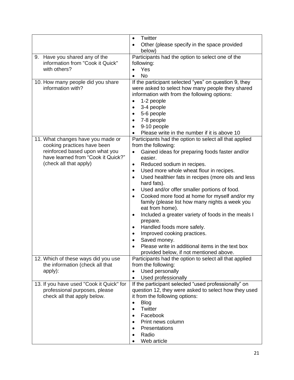|                                          | Twitter<br>$\bullet$                                            |  |  |  |
|------------------------------------------|-----------------------------------------------------------------|--|--|--|
|                                          | Other (please specify in the space provided<br>$\bullet$        |  |  |  |
|                                          | below)                                                          |  |  |  |
| Have you shared any of the<br>9.         | Participants had the option to select one of the                |  |  |  |
| information from "Cook it Quick"         | following:                                                      |  |  |  |
| with others?                             | Yes                                                             |  |  |  |
|                                          | <b>No</b><br>$\bullet$                                          |  |  |  |
| 10. How many people did you share        | If the participant selected "yes" on question 9, they           |  |  |  |
| information with?                        | were asked to select how many people they shared                |  |  |  |
|                                          | information with from the following options:                    |  |  |  |
|                                          | 1-2 people                                                      |  |  |  |
|                                          | 3-4 people                                                      |  |  |  |
|                                          | 5-6 people<br>$\bullet$                                         |  |  |  |
|                                          | 7-8 people<br>$\bullet$                                         |  |  |  |
|                                          | 9-10 people                                                     |  |  |  |
|                                          | Please write in the number if it is above 10                    |  |  |  |
| 11. What changes have you made or        | Participants had the option to select all that applied          |  |  |  |
| cooking practices have been              | from the following:                                             |  |  |  |
| reinforced based upon what you           | Gained ideas for preparing foods faster and/or                  |  |  |  |
| have learned from "Cook it Quick?"       | easier.                                                         |  |  |  |
| (check all that apply)                   | Reduced sodium in recipes.<br>$\bullet$                         |  |  |  |
|                                          | Used more whole wheat flour in recipes.<br>$\bullet$            |  |  |  |
|                                          | Used healthier fats in recipes (more oils and less<br>$\bullet$ |  |  |  |
|                                          | hard fats).                                                     |  |  |  |
|                                          | Used and/or offer smaller portions of food.<br>$\bullet$        |  |  |  |
|                                          | Cooked more food at home for myself and/or my<br>$\bullet$      |  |  |  |
|                                          | family (please list how many nights a week you                  |  |  |  |
|                                          | eat from home).                                                 |  |  |  |
|                                          | Included a greater variety of foods in the meals I<br>$\bullet$ |  |  |  |
|                                          | prepare.                                                        |  |  |  |
|                                          | Handled foods more safely.<br>٠                                 |  |  |  |
|                                          | Improved cooking practices.                                     |  |  |  |
|                                          | Saved money.<br>$\bullet$                                       |  |  |  |
|                                          | Please write in additional items in the text box                |  |  |  |
|                                          | provided below, if not mentioned above.                         |  |  |  |
| 12. Which of these ways did you use      | Participants had the option to select all that applied          |  |  |  |
| the information (check all that          | from the following:                                             |  |  |  |
| apply):                                  | Used personally                                                 |  |  |  |
|                                          | Used professionally<br>$\bullet$                                |  |  |  |
| 13. If you have used "Cook it Quick" for | If the participant selected "used professionally" on            |  |  |  |
| professional purposes, please            | question 12, they were asked to select how they used            |  |  |  |
| check all that apply below.              | it from the following options:                                  |  |  |  |
|                                          | <b>Blog</b><br>$\bullet$                                        |  |  |  |
|                                          | Twitter<br>$\bullet$                                            |  |  |  |
|                                          | Facebook<br>$\bullet$                                           |  |  |  |
|                                          | Print news column                                               |  |  |  |
|                                          | Presentations                                                   |  |  |  |
|                                          | Radio                                                           |  |  |  |
|                                          | Web article                                                     |  |  |  |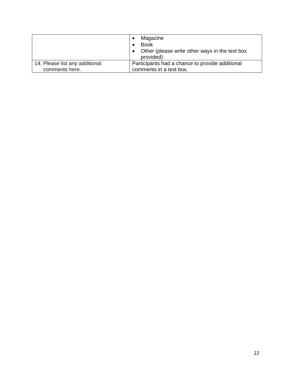|                                | Magazine<br><b>Book</b><br>Other (please write other ways in the text box<br>provided) |  |
|--------------------------------|----------------------------------------------------------------------------------------|--|
| 14. Please list any additional | Participants had a chance to provide additional                                        |  |
| comments here.                 | comments in a text box.                                                                |  |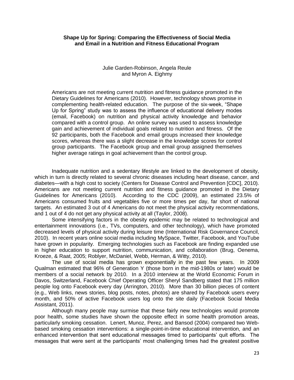#### **Shape Up for Spring: Comparing the Effectiveness of Social Media and Email in a Nutrition and Fitness Educational Program**

#### Julie Garden-Robinson, Angela Reule and Myron A. Eighmy

Americans are not meeting current nutrition and fitness guidance promoted in the Dietary Guidelines for Americans (2010). However, technology shows promise in complementing health-related education. The purpose of the six-week, "Shape Up for Spring" study was to assess the influence of educational delivery modes (email, Facebook) on nutrition and physical activity knowledge and behavior compared with a control group. An online survey was used to assess knowledge gain and achievement of individual goals related to nutrition and fitness. Of the 92 participants, both the Facebook and email groups increased their knowledge scores, whereas there was a slight decrease in the knowledge scores for control group participants. The Facebook group and email group assigned themselves higher average ratings in goal achievement than the control group.

Inadequate nutrition and a sedentary lifestyle are linked to the development of obesity, which in turn is directly related to several chronic diseases including heart disease, cancer, and diabetes—with a high cost to society (Centers for Disease Control and Prevention [CDC], 2010). Americans are not meeting current nutrition and fitness guidance promoted in the Dietary Guidelines for Americans (2010). According to the CDC (2009), an estimated 23.5% of Americans consumed fruits and vegetables five or more times per day, far short of national targets. An estimated 3 out of 4 Americans do not meet the physical activity recommendations, and 1 out of 4 do not get any physical activity at all (Taylor, 2008).

Some intensifying factors in the obesity epidemic may be related to technological and entertainment innovations (i.e., TVs, computers, and other technology), which have promoted decreased levels of physical activity during leisure time (International Risk Governance Council, 2010). In recent years online social media including MySpace, Twitter, Facebook, and YouTube have grown in popularity. Emerging technologies such as Facebook are finding expanded use in higher education to support nutrition, communication, and collaboration (Brug, Oenema, Kroeze, & Raat, 2005; Roblyer, McDaniel, Webb, Herman, & Witty, 2010).

The use of social media has grown exponentially in the past few years. In 2009 Qualman estimated that 96% of Generation Y (those born in the mid-1980s or later) would be members of a social network by 2010. In a 2010 interview at the World Economic Forum in Davos, Switzerland, Facebook Chief Operating Officer Sheryl Sandberg stated that 175 million people log onto Facebook every day (Arrington, 2010). More than 30 billion pieces of content (e.g., Web links, news stories, blog posts, notes, photos) are shared by Facebook users every month, and 50% of active Facebook users log onto the site daily (Facebook Social Media Assistant, 2011).

Although many people may surmise that these fairly new technologies would promote poor health, some studies have shown the opposite effect in some health promotion areas, particularly smoking cessation. Lenert, Munoz, Perez, and Bansod (2004) compared two Webbased smoking cessation interventions: a single-point-in-time educational intervention, and an enhanced intervention that sent educational messages timed to participants' quit efforts. The messages that were sent at the participants' most challenging times had the greatest positive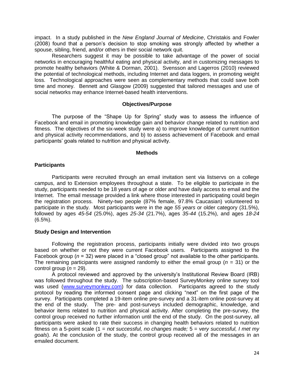impact. In a study published in the *New England Journal of Medicine*, Christakis and Fowler (2008) found that a person's decision to stop smoking was strongly affected by whether a spouse, sibling, friend, and/or others in their social network quit.

Researchers suggest it may be possible to take advantage of the power of social networks in encouraging healthful eating and physical activity, and in customizing messages to promote healthy behaviors (White & Dorman, 2001). Svensson and Lagerros (2010) reviewed the potential of technological methods, including Internet and data loggers, in promoting weight loss. Technological approaches were seen as complementary methods that could save both time and money. Bennett and Glasgow (2009) suggested that tailored messages and use of social networks may enhance Internet-based health interventions.

#### **Objectives/Purpose**

The purpose of the "Shape Up for Spring" study was to assess the influence of Facebook and email in promoting knowledge gain and behavior change related to nutrition and fitness. The objectives of the six-week study were a) to improve knowledge of current nutrition and physical activity recommendations, and b) to assess achievement of Facebook and email participants' goals related to nutrition and physical activity.

#### **Methods**

#### **Participants**

Participants were recruited through an email invitation sent via listservs on a college campus, and to Extension employees throughout a state. To be eligible to participate in the study, participants needed to be 18 years of age or older and have daily access to email and the Internet. The email message provided a link where those interested in participating could begin the registration process. Ninety-two people (87% female, 97.8% Caucasian) volunteered to participate in the study. Most participants were in the age *55 years* or older category (31.5%), followed by ages *45-54* (25.0%), ages *25-34* (21.7%), ages *35-44* (15.2%), and ages *18-24* (6.5%).

#### **Study Design and Intervention**

Following the registration process, participants initially were divided into two groups based on whether or not they were current Facebook users. Participants assigned to the Facebook group ( $n = 32$ ) were placed in a "closed group" not available to the other participants. The remaining participants were assigned randomly to either the email group (*n* = 31) or the control group  $(n = 29)$ .

A protocol reviewed and approved by the university's Institutional Review Board (IRB) was followed throughout the study. The subscription-based SurveyMonkey online survey tool was used [\(www.surveymonkey.com\)](http://www.surveymonkey.com/) for data collection. Participants agreed to the study protocol by reading the informed consent page and clicking "next" on the first page of the survey. Participants completed a 19-item online pre-survey and a 31-item online post-survey at the end of the study. The pre- and post-surveys included demographic, knowledge, and behavior items related to nutrition and physical activity. After completing the pre-survey, the control group received no further information until the end of the study. On the post-survey, all participants were asked to rate their success in changing health behaviors related to nutrition fitness on a 5-point scale (1 = *not successful, no changes made;* 5 = v*ery successful, I met my goals*). At the conclusion of the study, the control group received all of the messages in an emailed document.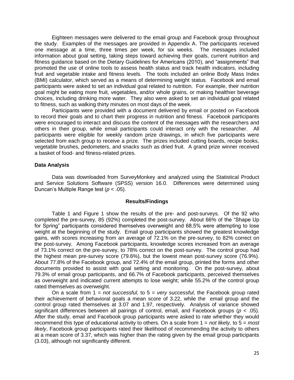Eighteen messages were delivered to the email group and Facebook group throughout the study. Examples of the messages are provided in Appendix A. The participants received one message at a time, three times per week, for six weeks. The messages included information about goal setting, taking steps toward achieving their goals, current nutrition and fitness guidance based on the Dietary Guidelines for Americans (2010), and "assignments" that promoted the use of online tools to assess health status and track health indicators, including fruit and vegetable intake and fitness levels. The tools included an online Body Mass Index (BMI) calculator, which served as a means of determining weight status. Facebook and email participants were asked to set an individual goal related to nutrition. For example, their nutrition goal might be eating more fruit, vegetables, and/or whole grains, or making healthier beverage choices, including drinking more water. They also were asked to set an individual goal related to fitness, such as walking thirty minutes on most days of the week.

Participants were provided with a document delivered by email or posted on Facebook to record their goals and to chart their progress in nutrition and fitness. Facebook participants were encouraged to interact and discuss the content of the messages with the researchers and others in their group, while email participants could interact only with the researcher. All participants were eligible for weekly random prize drawings, in which five participants were selected from each group to receive a prize. The prizes included cutting boards, recipe books, vegetable brushes, pedometers, and snacks such as dried fruit. A grand prize winner received a basket of food- and fitness-related prizes.

#### **Data Analysis**

Data was downloaded from SurveyMonkey and analyzed using the Statistical Product and Service Solutions Software (SPSS) version 16.0. Differences were determined using Duncan's Multiple Range test (*p* < .05).

#### **Results/Findings**

Table 1 and Figure 1 show the results of the pre- and post-surveys. Of the 92 who completed the pre-survey, 85 (92%) completed the post-survey. About 66% of the "Shape Up for Spring" participants considered themselves overweight and 68.5% were attempting to lose weight at the beginning of the study. Email group participants showed the greatest knowledge gains, with scores increasing from an average of 72.1% on the pre-survey, to 82% correct on the post-survey. Among Facebook participants, knowledge scores increased from an average of 73.1% correct on the pre-survey, to 78% correct on the post-survey. The control group had the highest mean pre-survey score (79.6%), but the lowest mean post-survey score (76.9%). About 77.8% of the Facebook group, and 72.4% of the email group, printed the forms and other documents provided to assist with goal setting and monitoring. On the post-survey, about 79.3% of email group participants, and 66.7% of Facebook participants, perceived themselves as overweight and indicated current attempts to lose weight; while 55.2% of the control group rated themselves as overweight.

On a scale from 1 = *not successful,* to 5 = *very successful*, the Facebook group rated their achievement of behavioral goals a mean score of 3.22, while the email group and the control group rated themselves at 3.07 and 1.97, respectively. Analysis of variance showed significant differences between all pairings of control, email, and Facebook groups (*p* < .05). After the study, email and Facebook group participants were asked to rate whether they would recommend this type of educational activity to others. On a scale from 1 = *not likely,* to 5 = *most likely*, Facebook group participants rated their likelihood of recommending the activity to others at a mean score of 3.37, which was higher than the rating given by the email group participants (3.03), although not significantly different.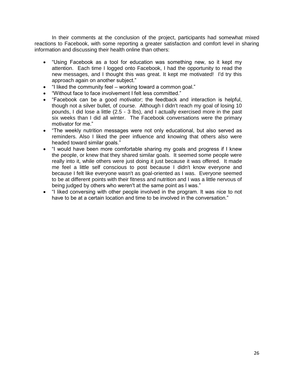In their comments at the conclusion of the project, participants had somewhat mixed reactions to Facebook, with some reporting a greater satisfaction and comfort level in sharing information and discussing their health online than others:

- "Using Facebook as a tool for education was something new, so it kept my attention. Each time I logged onto Facebook, I had the opportunity to read the new messages, and I thought this was great. It kept me motivated! I'd try this approach again on another subject."
- "I liked the community feel working toward a common goal."
- "Without face to face involvement I felt less committed."
- "Facebook can be a good motivator; the feedback and interaction is helpful, though not a silver bullet, of course. Although I didn't reach my goal of losing 10 pounds, I did lose a little (2.5 - 3 lbs), and I actually exercised more in the past six weeks than I did all winter. The Facebook conversations were the primary motivator for me."
- "The weekly nutrition messages were not only educational, but also served as reminders. Also I liked the peer influence and knowing that others also were headed toward similar goals."
- "I would have been more comfortable sharing my goals and progress if I knew the people, or knew that they shared similar goals. It seemed some people were really into it, while others were just doing it just because it was offered. It made me feel a little self conscious to post because I didn't know everyone and because I felt like everyone wasn't as goal-oriented as I was. Everyone seemed to be at different points with their fitness and nutrition and I was a little nervous of being judged by others who weren't at the same point as I was."
- "I liked conversing with other people involved in the program. It was nice to not have to be at a certain location and time to be involved in the conversation."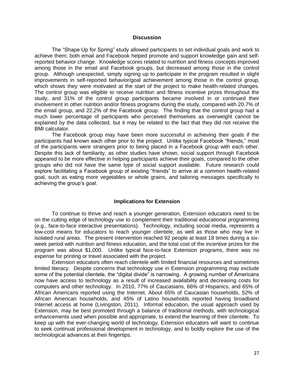#### **Discussion**

The "Shape Up for Spring" study allowed participants to set individual goals and work to achieve them; both email and Facebook helped promote and support knowledge gain and selfreported behavior change. Knowledge scores related to nutrition and fitness concepts improved among those in the email and Facebook groups, but decreased among those in the control group. Although unexpected, simply signing up to participate in the program resulted in slight improvements in self-reported behavior/goal achievement among those in the control group, which shows they were motivated at the start of the project to make health-related changes. The control group was eligible to receive nutrition and fitness incentive prizes throughout the study, and 31% of the control group participants became involved in or continued their involvement in other nutrition and/or fitness programs during the study, compared with 20.7% of the email group, and 22.2% of the Facebook group. The finding that the control group had a much lower percentage of participants who perceived themselves as overweight cannot be explained by the data collected, but it may be related to the fact that they did not receive the BMI calculator.

The Facebook group may have been more successful in achieving their goals if the participants had known each other prior to the project. Unlike typical Facebook "friends," most of the participants were strangers prior to being placed in a Facebook group with each other. Despite this lack of familiarity, as other studies have shown, social support through Facebook appeared to be more effective in helping participants achieve their goals, compared to the other groups who did not have the same type of social support available. Future research could explore facilitating a Facebook group of existing "friends" to arrive at a common health-related goal, such as eating more vegetables or whole grains, and tailoring messages specifically to achieving the group's goal.

#### **Implications for Extension**

To continue to thrive and reach a younger generation, Extension educators need to be on the cutting edge of technology use to complement their traditional educational programming (e.g., face-to-face interactive presentations). Technology, including social media, represents a low-cost means for educators to reach younger clientele, as well as those who may live in isolated rural areas. The present intervention reached 92 people at least 18 times during a sixweek period with nutrition and fitness education, and the total cost of the incentive prizes for the program was about \$1,000. Unlike typical face-to-face Extension programs, there was no expense for printing or travel associated with the project.

Extension educators often reach clientele with limited financial resources and sometimes limited literacy. Despite concerns that technology use in Extension programming may exclude some of the potential clientele, the "digital divide" is narrowing. A growing number of Americans now have access to technology as a result of increased availability and decreasing costs for computers and other technology. In 2010, 77% of Caucasians, 66% of Hispanics, and 65% of African Americans reported using the Internet. About 65% of Caucasian households, 52% of African American households, and 45% of Latino households reported having broadband Internet access at home (Livingston, 2011). Informal education, the usual approach used by Extension, may be best promoted through a balance of traditional methods, with technological enhancements used when possible and appropriate, to extend the learning of their clientele. To keep up with the ever-changing world of technology, Extension educators will want to continue to seek continual professional development in technology, and to boldly explore the use of the technological advances at their fingertips.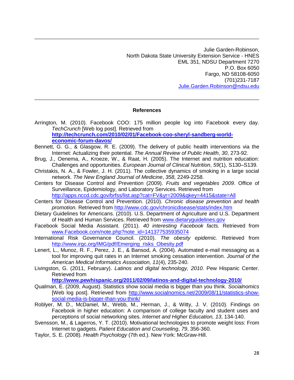Julie Garden-Robinson, North Dakota State University Extension Service - HNES EML 351, NDSU Department 7270 P.O. Box 6050 Fargo, ND 58108-6050 (701)231-7187 [Julie.Garden.Robinson@ndsu.edu](mailto:Julie.Garden.Robinson@ndsu.edu)

#### **References**

- Arrington, M. (2010). Facebook COO: 175 million people log into Facebook every day. *TechCrunch* [Web log post]. Retrieved from **[http://techcrunch.com/2010/02/01/Facebook-coo-sheryl-sandberg-world](http://techcrunch.com/2010/02/01/Facebook-coo-sheryl-sandberg-world-economic-forum-davos/)[economic-forum-davos/](http://techcrunch.com/2010/02/01/Facebook-coo-sheryl-sandberg-world-economic-forum-davos/)**
- Bennett, G. G., & Glasgow, R. E. (2009). The delivery of public health interventions via the Internet: Actualizing their potential. *The Annual Review of Public Health*, *30*, 273-92.
- Brug, J., Oenema, A., Kroeze, W., & Raat, H. (2005). The Internet and nutrition education: Challenges and opportunities. *European Journal of Clinical Nutrition*, *59*(1), S130–S139.
- Christakis, N. A., & Fowler, J. H. (2011). The collective dynamics of smoking in a large social network. *The New England Journal of Medicine*, *358*, 2249-2258.
- Centers for Disease Control and Prevention (2009). *Fruits and vegetables 2009*. Office of Surveillance, Epidemiology, and Laboratory Services. Retrieved from <http://apps.nccd.cdc.gov/brfss/list.asp?cat=FV&yr=2009&qkey=4415&state=All>
- Centers for Disease Control and Prevention. (2010). *Chronic disease prevention and health promotion.* Retrieved from<http://www.cdc.gov/chronicdisease/stats/index.htm>
- Dietary Guidelines for Americans. (2010). U.S. Department of Agriculture and U.S. Department of Health and Human Services. Retrieved from [www.dietaryguidelines.gov](http://www.dietaryguidelines.gov/)
- Facebook Social Media Assistant. (2011). *40 interesting Facebook facts.* Retrieved from [www.Facebook.com/note.php?note\\_id=141377535935074](http://www.facebook.com/note.php?note_id=141377535935074)
- International Risk Governance Council. (2010). *The obesity epidemic.* Retrieved from [http://www.irgc.org/IMG/pdf/Emerging\\_risks\\_Obesity.pdf](http://www.irgc.org/IMG/pdf/Emerging_risks_Obesity.pdf)
- Lenert, L., Munoz, R. F., Perez, J. E., & Bansod, A. (2004). Automated e-mail messaging as a tool for improving quit rates in an Internet smoking cessation intervention. *Journal of the American Medical Informatics Association, 11*(4), 235-240.
- Livingston, G. (2011, February). *Latinos and digital technology, 2010*. Pew Hispanic Center. Retrieved from

**<http://www.pewhispanic.org/2011/02/09/latinos-and-digital-technology-2010/>**

- Qualman, E. (2009, August). Statistics show social media is bigger than you think*. Socialnomics*  [Web log post]. Retrieved from [http://www.socialnomics.net/2009/08/11/statistics-show](http://www.socialnomics.net/2009/08/11/statistics-show-social-media-is-bigger-than-you-think/)[social-media-is-bigger-than-you-think/](http://www.socialnomics.net/2009/08/11/statistics-show-social-media-is-bigger-than-you-think/)
- Roblyer, M. D., McDaniel, M., Webb, M., Herman, J., & Witty, J. V. (2010). Findings on Facebook in higher education: A comparison of college faculty and student uses and perceptions of social networking sites. *Internet and Higher Education, 13*, 134-140.
- Svensson, M., & Lagerros, Y. T. (2010). Motivational technologies to promote weight loss: From Internet to gadgets. *Patient Education and Counseling*, *79*, 356-360.
- Taylor, S. E. (2008). *Health Psychology* (7th ed.). New York: McGraw-Hill.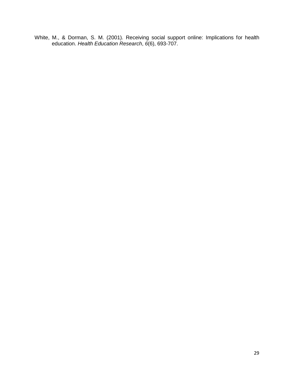White, M., & Dorman, S. M. (2001). Receiving social support online: Implications for health education. *Health Education Research*, *6*(6), 693-707.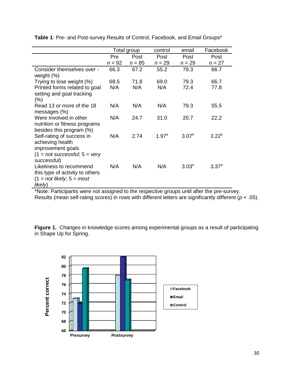|                                                                                                                      | Total group |          | control  | email             | Facebook       |
|----------------------------------------------------------------------------------------------------------------------|-------------|----------|----------|-------------------|----------------|
|                                                                                                                      | Pre         | Post     | Post     | Post              | Post           |
|                                                                                                                      | $n = 92$    | $n = 85$ | $n = 29$ | $n = 29$          | $n = 27$       |
| Consider themselves over -<br>weight $(\%)$                                                                          | 66.3        | 67.2     | 55.2     | 79.3              | 66.7           |
| Trying to lose weight (%)                                                                                            | 68.5        | 71.8     | 69.0     | 79.3              | 66.7           |
| Printed forms related to goal<br>setting and goal tracking<br>$(\% )$                                                | N/A         | N/A      | N/A      | 72.4              | 77.8           |
| Read 13 or more of the 18<br>messages $(\%)$                                                                         | N/A         | N/A      | N/A      | 79.3              | 55.5           |
| Were involved in other<br>nutrition or fitness programs<br>besides this program (%)                                  | N/A         | 24.7     | 31.0     | 20.7              | 22.2           |
| Self-rating of success in<br>achieving health<br>improvement goals<br>$(1 = not successful, 5 = very$<br>successful) | N/A         | 2.74     | 1.97a    | $3.07^{b}$        | $3.22^{b}$     |
| Likeliness to recommend<br>this type of activity to others<br>$(1 = not likely; 5 = most)$<br>likely)                | N/A         | N/A      | N/A      | 3.03 <sup>a</sup> | $3.37^{\circ}$ |

**Table 1**: Pre- and Post-survey Results of Control, Facebook, and Email Groups\*

\*Note: Participants were not assigned to the respective groups until after the pre-survey. Results (mean self-rating scores) in rows with different letters are significantly different (*p* < .05).

**Figure 1.** Changes in knowledge scores among experimental groups as a result of participating in Shape Up for Spring.

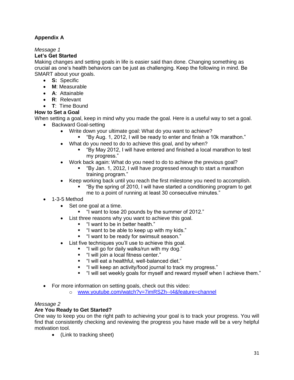# **Appendix A**

# *Message 1*

# **Let's Get Started**

Making changes and setting goals in life is easier said than done. Changing something as crucial as one's health behaviors can be just as challenging. Keep the following in mind. Be SMART about your goals.

- **S:** Specific
- **M**: Measurable
- **A**: Attainable
- **R**: Relevant
- **T**: Time Bound

# **How to Set a Goal**

When setting a goal, keep in mind why you made the goal. Here is a useful way to set a goal.

- Backward Goal-setting
	- Write down your ultimate goal: What do you want to achieve?
		- "By Aug. 1, 2012, I will be ready to enter and finish a 10k marathon."
	- What do you need to do to achieve this goal, and by when?
		- "By May 2012, I will have entered and finished a local marathon to test my progress."
	- Work back again: What do you need to do to achieve the previous goal?
		- "By Jan. 1, 2012, I will have progressed enough to start a marathon training program."
	- Keep working back until you reach the first milestone you need to accomplish.
		- "By the spring of 2010, I will have started a conditioning program to get me to a point of running at least 30 consecutive minutes."
- 1-3-5 Method
	- Set one goal at a time.
		- "I want to lose 20 pounds by the summer of 2012."
	- List three reasons why you want to achieve this goal.
		- "I want to be in better health."
		- "I want to be able to keep up with my kids."
		- "I want to be ready for swimsuit season."
	- List five techniques you'll use to achieve this goal.
		- "I will go for daily walks/run with my dog."
		- "I will join a local fitness center."
		- "I will eat a healthful, well-balanced diet."
		- "I will keep an activity/food journal to track my progress."
		- "I will set weekly goals for myself and reward myself when I achieve them."
- For more information on setting goals, check out this video:
	- o [www.youtube.com/watch?v=7imRSZh--t4&feature=channel](file:///G:/Local%20Settings/Temporary%20Internet%20Files/Content.Outlook/A4CR2V3V/www.youtube.com/watch%3fv=7imRSZh--t4&feature=channel)

# *Message 2*

# **Are You Ready to Get Started?**

One way to keep you on the right path to achieving your goal is to track your progress. You will find that consistently checking and reviewing the progress you have made will be a very helpful motivation tool.

(Link to tracking sheet)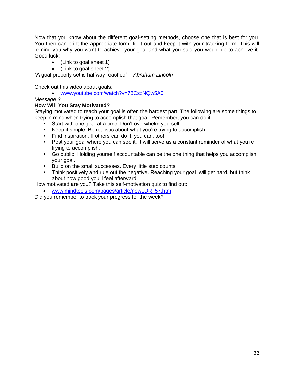Now that you know about the different goal-setting methods, choose one that is best for you. You then can print the appropriate form, fill it out and keep it with your tracking form. This will remind you why you want to achieve your goal and what you said you would do to achieve it. Good luck!

- (Link to goal sheet 1)
- (Link to goal sheet 2)

"A goal properly set is halfway reached" – *Abraham Lincoln*

Check out this video about goals:

[www.youtube.com/watch?v=78CszNQw5A0](file:///G:/Local%20Settings/Temporary%20Internet%20Files/Content.Outlook/A4CR2V3V/www.youtube.com/watch%3fv=78CszNQw5A0)

#### *Message 3*

#### **How Will You Stay Motivated?**

Staying motivated to reach your goal is often the hardest part. The following are some things to keep in mind when trying to accomplish that goal. Remember, you can do it!

- Start with one goal at a time. Don't overwhelm yourself.
- Keep it simple. Be realistic about what you're trying to accomplish.
- Find inspiration. If others can do it, you can, too!
- Post your goal where you can see it. It will serve as a constant reminder of what you're trying to accomplish.
- Go public. Holding yourself accountable can be the one thing that helps you accomplish your goal.
- **Build on the small successes. Every little step counts!**
- Think positively and rule out the negative. Reaching your goal will get hard, but think about how good you'll feel afterward.

How motivated are you? Take this self-motivation quiz to find out:

[www.mindtools.com/pages/article/newLDR\\_57.htm](file:///G:/Local%20Settings/Temporary%20Internet%20Files/Content.Outlook/A4CR2V3V/www.mindtools.com/pages/article/newLDR_57.htm)

Did you remember to track your progress for the week?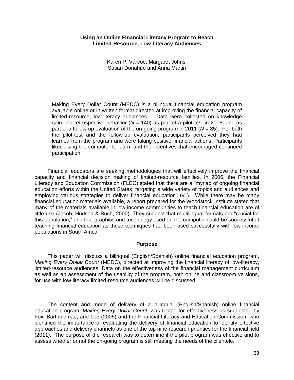#### **Using an Online Financial Literacy Program to Reach Limited-Resource, Low-Literacy Audiences**

Karen P. Varcoe, Margaret Johns, Susan Donahue and Anna Martin

Making Every Dollar Count (MEDC) is a bilingual financial education program available online or in written format directed at improving the financial capacity of limited-resource, low-literacy audiences. Data were collected on knowledge gain and retrospective behavior ( $N = 140$ ) as part of a pilot test in 2008, and as part of a follow-up evaluation of the on-going program in 2011 (*N* = 85). For both the pilot-test and the follow-up evaluation, participants perceived they had learned from the program and were taking positive financial actions. Participants liked using the computer to learn, and the incentives that encouraged continued participation.

Financial educators are seeking methodologies that will effectively improve the financial capacity and financial decision making of limited-resource families. In 2006, the Financial Literacy and Education Commission (FLEC) stated that there are a "myriad of ongoing financial education efforts within the United States, targeting a wide variety of topics and audiences and employing various strategies to deliver financial education" (vi.). While there may be many financial education materials available, a report prepared for the Woodstock Institute stated that many of the materials available in low-income communities to teach financial education are of little use (Jacob, Hudson & Bush, 2000). They suggest that multilingual formats are "crucial for this population," and that graphics and technology used on the computer could be successful at teaching financial education as these techniques had been used successfully with low-income populations in South Africa.

#### **Purpose**

This paper will discuss a bilingual (English/Spanish) online financial education program, *Making Every Dollar Count* (MEDC), directed at improving the financial literacy of low-literacy, limited-resource audiences. Data on the effectiveness of the financial management curriculum as well as an assessment of the usability of the program, both online and classroom versions, for use with low-literacy limited-resource audiences will be discussed.

The content and mode of delivery of a bilingual (English/Spanish) online financial education program, *Making Every Dollar Count*, was tested for effectiveness as suggested by Fox, Bartholomae, and Lee (2005) and the Financial Literacy and Education Commission, who identified the importance of evaluating the delivery of financial education to identify effective approaches and delivery channels as one of the top nine research priorities for the financial field (2011). The purpose of the research was to determine if the pilot program was effective and to assess whether or not the on-going program is still meeting the needs of the clientele.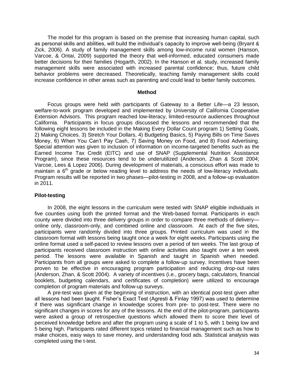The model for this program is based on the premise that increasing human capital, such as personal skills and abilities, will build the individual's capacity to improve well-being (Bryant & Zick, 2006). A study of family management skills among low-income rural women (Hanson, Varcoe, & Ontai, 2009) supported the theory that well-informed, educated consumers made better decisions for their families (Hogarth, 2002). In the Hanson et al. study, increased family management skills were associated with increased parental confidence; thus, future child behavior problems were decreased. Theoretically, teaching family management skills could increase confidence in other areas such as parenting and could lead to better family outcomes.

#### **Method**

Focus groups were held with participants of Gateway to a Better Life—a 23 lesson, welfare-to-work program developed and implemented by University of California Cooperative Extension Advisors. This program reached low-literacy, limited-resource audiences throughout California. Participants in focus groups discussed the lessons and recommended that the following eight lessons be included in the Making Every Dollar Count program 1) Setting Goals, 2) Making Choices. 3) Stretch Your Dollars, 4) Budgeting Basics, 5) Paying Bills on Time Saves Money, 6) When You Can't Pay Cash, 7) Saving Money on Food, and 8) Food Advertising. Special attention was given to inclusion of information on income-targeted benefits such as the Earned Income Tax Credit (EITC) and use of SNAP (Supplemental Nutrition Assistance Program), since these resources tend to be underutilized (Anderson, Zhan & Scott 2004; Varcoe, Lees & Lopez 2006). During development of materials, a conscious effort was made to maintain a  $6<sup>th</sup>$  grade or below reading level to address the needs of low-literacy individuals. Program results will be reported in two phases—pilot-testing in 2008, and a follow-up evaluation in 2011.

#### **Pilot-testing**

In 2008, the eight lessons in the curriculum were tested with SNAP eligible individuals in five counties using both the printed format and the Web-based format. Participants in each county were divided into three delivery groups in order to compare three methods of delivery online only, classroom-only, and combined online and classroom. At each of the five sites, participants were randomly divided into three groups. Printed curriculum was used in the classroom format with lessons being taught once a week for eight weeks. Participants using the online format used a self-paced to review lessons over a period of ten weeks. The last group of participants received classroom instruction with online activities also taught over a ten week period. The lessons were available in Spanish and taught in Spanish when needed. Participants from all groups were asked to complete a follow-up survey. Incentives have been proven to be effective in encouraging program participation and reducing drop-out rates (Anderson, Zhan, & Scott 2004). A variety of incentives (i.e., grocery bags, calculators, financial booklets, budgeting calendars, and certificates of completion) were utilized to encourage completion of program materials and follow-up surveys.

A pre-test was given at the beginning of instruction, with an identical post-test given after all lessons had been taught. Fisher's Exact Test (Agresti & Finlay 1997) was used to determine if there was significant change in knowledge scores from pre- to post-test. There were no significant changes in scores for any of the lessons. At the end of the pilot-program, participants were asked a group of retrospective questions which allowed them to score their level of perceived knowledge before and after the program using a scale of 1 to 5, with 1 being low and 5 being high. Participants rated different topics related to financial management such as how to make choices, easy ways to save money, and understanding food ads. Statistical analysis was completed using the t-test.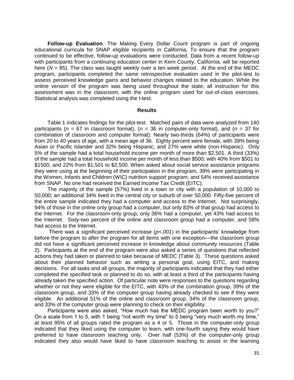**Follow-up Evaluation**. The Making Every Dollar Count program is part of ongoing educational curricula for SNAP eligible recipients in California. To ensure that the program continued to be effective, follow-up evaluations were conducted. Data from a recent follow-up with participants from a continuing education center in Kern County, California, will be reported here  $(N = 85)$ . The class was taught weekly over a ten week period. At the end of the MEDC program, participants completed the same retrospective evaluation used in the pilot-test to assess perceived knowledge gains and behavior changes related to the education. While the online version of the program was being used throughout the state, all instruction for this assessment was in the classroom, with the online program used for out-of-class exercises. Statistical analysis was completed using the t-test.

#### **Results**

Table 1 indicates findings for the pilot-test. Matched pairs of data were analyzed from 140 participants (*n =* 67 in classroom format), (*n =* 36 in computer-only format), and (*n =* 37 for combination of classroom and computer format). Nearly two-thirds (64%) of participants were from 20 to 40 years of age, with a mean age of 36. Eighty percent were female, with 39% being Asian or Pacific Islander and 32% being Hispanic; and 27% were white (non-Hispanic). Only 5% of the sample had a total household income per month of more than \$2,501. A third (33%) of the sample had a total household income per month of less than \$500; with 40% from \$501 to \$1500, and 22% from \$1,501 to \$2,500. When asked about social service assistance programs they were using at the beginning of their participation in the program, 39% were participating in the Women, Infants and Children (WIC) nutrition support program, and 54% received assistance from SNAP. No one had received the Earned Income Tax Credit (EITC).

The majority of the sample (57%) lived in a town or city with a population of 10,000 to 50,000; an additional 34% lived in the central city or suburb of over 50,000. Fifty-five percent of the entire sample indicated they had a computer and access to the Internet. Not surprisingly, 94% of those in the online only group had a computer, but only 83% of that group had access to the Internet. For the classroom-only group, only 36% had a computer, yet 43% had access to the Internet. Sixty-two percent of the online and classroom group had a computer, and 58% had access to the Internet.

There was a significant perceived increase (*p<.001*) in the participants' knowledge from before the program to after the program for all items with one exception—the classroom group did not have a significant perceived increase in knowledge about community resources (Table 2). Participants at the end of the program were also asked a series of questions that reflected actions they had taken or planned to take because of MEDC (Table 3). These questions asked about their planned behavior such as writing a personal goal, using EITC, and making decisions. For all tasks and all groups, the majority of participants indicated that they had either completed the specified task or planned to do so, with at least a third of the participants having already taken the specified action. Of particular note were responses to the questions regarding whether or not they were eligible for the EITC, with 43% of the combination group, 39% of the classroom group, and 33% of the computer group having already checked to see if they were eligible. An additional 51% of the online and classroom group, 34% of the classroom group, and 33% of the computer group were planning to check on their eligibility.

Participants were also asked, "How much has the MEDC program been worth to you?" On a scale from 1 to 5, with 1 being "not worth my time" to 5 being "very much worth my time," at least 95% of all groups rated the program as a 4 or 5. Those in the computer-only group indicated that they liked using the computer to learn, with one-fourth saying they would have preferred to have classroom teaching only. Over half (53%) of the computer-only group indicated they also would have liked to have classroom teaching to assist in the learning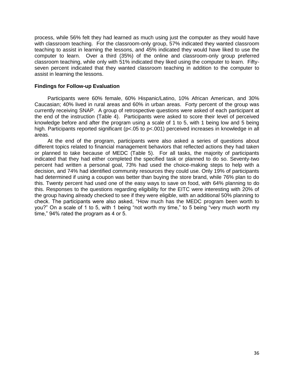process, while 56% felt they had learned as much using just the computer as they would have with classroom teaching. For the classroom-only group, 57% indicated they wanted classroom teaching to assist in learning the lessons, and 45% indicated they would have liked to use the computer to learn. Over a third (35%) of the online and classroom-only group preferred classroom teaching, while only with 51% indicated they liked using the computer to learn. Fiftyseven percent indicated that they wanted classroom teaching in addition to the computer to assist in learning the lessons.

## **Findings for Follow-up Evaluation**

Participants were 60% female, 60% Hispanic/Latino, 10% African American, and 30% Caucasian; 40% lived in rural areas and 60% in urban areas. Forty percent of the group was currently receiving SNAP. A group of retrospective questions were asked of each participant at the end of the instruction (Table 4). Participants were asked to score their level of perceived knowledge before and after the program using a scale of 1 to 5, with 1 being low and 5 being high. Participants reported significant ( $p < .05$  to  $p < .001$ ) perceived increases in knowledge in all areas.

At the end of the program, participants were also asked a series of questions about different topics related to financial management behaviors that reflected actions they had taken or planned to take because of MEDC (Table 5). For all tasks, the majority of participants indicated that they had either completed the specified task or planned to do so. Seventy-two percent had written a personal goal, 73% had used the choice-making steps to help with a decision, and 74% had identified community resources they could use. Only 19% of participants had determined if using a coupon was better than buying the store brand, while 76% plan to do this. Twenty percent had used one of the easy ways to save on food, with 64% planning to do this. Responses to the questions regarding eligibility for the EITC were interesting with 20% of the group having already checked to see if they were eligible, with an additional 50% planning to check. The participants were also asked, "How much has the MEDC program been worth to you?" On a scale of 1 to 5, with 1 being "not worth my time," to 5 being "very much worth my time," 94% rated the program as 4 or 5.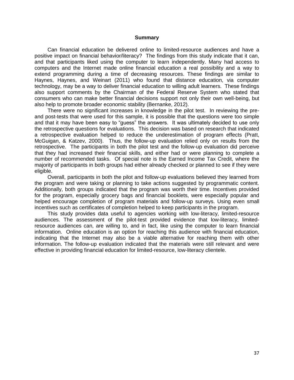#### **Summary**

Can financial education be delivered online to limited-resource audiences and have a positive impact on financial behavior/literacy? The findings from this study indicate that it can, and that participants liked using the computer to learn independently. Many had access to computers and the Internet made online financial education a real possibility and a way to extend programming during a time of decreasing resources. These findings are similar to Haynes, Haynes, and Weinart (2011) who found that distance education, via computer technology, may be a way to deliver financial education to willing adult learners. These findings also support comments by the Chairman of the Federal Reserve System who stated that consumers who can make better financial decisions support not only their own well-being, but also help to promote broader economic stability (Bernanke, 2012).

There were no significant increases in knowledge in the pilot test. In reviewing the preand post-tests that were used for this sample, it is possible that the questions were too simple and that it may have been easy to "guess" the answers. It was ultimately decided to use only the retrospective questions for evaluations. This decision was based on research that indicated a retrospective evaluation helped to reduce the underestimation of program effects (Pratt, McGuigan, & Katzev, 2000). Thus, the follow-up evaluation relied only on results from the retrospective. The participants in both the pilot test and the follow-up evaluation did perceive that they had increased their financial skills, and either had or were planning to complete a number of recommended tasks. Of special note is the Earned Income Tax Credit, where the majority of participants in both groups had either already checked or planned to see if they were eligible.

Overall, participants in both the pilot and follow-up evaluations believed they learned from the program and were taking or planning to take actions suggested by programmatic content. Additionally, both groups indicated that the program was worth their time. Incentives provided for the program, especially grocery bags and financial booklets, were especially popular and helped encourage completion of program materials and follow-up surveys. Using even small incentives such as certificates of completion helped to keep participants in the program.

This study provides data useful to agencies working with low-literacy, limited-resource audiences. The assessment of the pilot-test provided evidence that low-literacy, limitedresource audiences can, are willing to, and in fact, like using the computer to learn financial information. Online education is an option for reaching this audience with financial education, indicating that the Internet may also be a viable alternative for reaching them with other information. The follow-up evaluation indicated that the materials were still relevant and were effective in providing financial education for limited-resource, low-literacy clientele.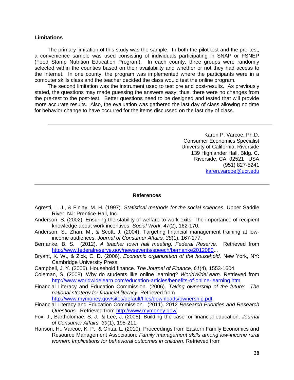#### **Limitations**

The primary limitation of this study was the sample. In both the pilot test and the pre-test, a convenience sample was used consisting of individuals participating in SNAP or FSNEP (Food Stamp Nutrition Education Program). In each county, three groups were randomly selected within the counties based on their availability and whether or not they had access to the Internet. In one county, the program was implemented where the participants were in a computer skills class and the teacher decided the class would test the online program.

The second limitation was the instrument used to test pre and post-results. As previously stated, the questions may made guessing the answers easy; thus, there were no changes from the pre-test to the post-test. Better questions need to be designed and tested that will provide more accurate results. Also, the evaluation was gathered the last day of class allowing no time for behavior change to have occurred for the items discussed on the last day of class.

> Karen P. Varcoe, Ph.D. Consumer Economics Specialist University of California, Riverside 139 Highlander Hall, Bldg. C. Riverside, CA 92521 USA (951) 827-5241 [karen.varcoe@ucr.edu](mailto:karen.varcoe@ucr.edu)

#### **References**

- Agresti, L. J., & Finlay, M. H. (1997). *Statistical methods for the social sciences.* Upper Saddle River, NJ: Prentice-Hall, Inc.
- Anderson, S. (2002). Ensuring the stability of welfare-to-work exits: The importance of recipient knowledge about work incentives. *Social Work, 47*(2), 162-170.
- Anderson, S., Zhan, M., & Scott, J. (2004). Targeting financial management training at lowincome audiences. *Journal of Consumer Affairs, 38*(1), 167-177.
- Bernanke, B. S. (2012). *A teacher town hall meeting, Federal Reserve.* Retrieved from [http://www.federalreserve.gov/newsevents/speech/bernanke2012080.](http://www.federalreserve.gov/newsevents/speech/bernanke2012080)..
- Bryant, K. W., & Zick, C. D. (2006). *Economic organization of the household.* New York, NY: Cambridge University Press.
- Campbell, J. Y. (2006). Household finance. *The Journal of Finance, 61*(4), 1553-1604.
- Coleman, S. (2008). Why do students like online learning? *WorldWideLearn*. Retrieved from [http://www.worldwidelearn.com/education-articles/benefits-of-online-learning.htm.](http://www.worldwidelearn.com/education-articles/benefits-of-online-learning.htm)
- Financial Literacy and Education Commission. (2006). *Taking ownership of the future: The national strategy for financial literacy*. Retrieved from [http://www.mymoney.gov/sites/default/files/downloads/ownership.pdf.](http://www.mymoney.gov/sites/default/files/downloads/ownership.pdf)
- Financial Literacy and Education Commission. (2011). 2012 *Research Priorities and Research Questions.* Retrieved from<http://www.mymoney.gov/>
- Fox, J., Bartholomae, S. J., & Lee, J. (2005). Building the case for financial education. *Journal of Consumer Affairs, 39*(1), 195-211.
- Hanson, H., Varcoe, K. P., & Ontai, L. (2010). Proceedings from Eastern Family Economics and Resource Management Association: *Family management skills among low-income rural women: Implications for behavioral outcomes in children*. Retrieved from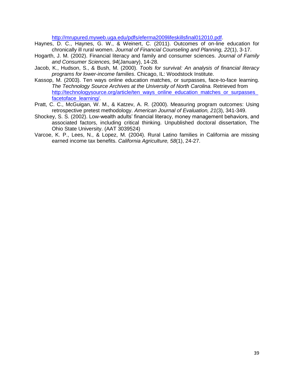[http://mrupured.myweb.uga.edu/pdfs/eferma2009lifeskillsfinal012010.pdf.](http://mrupured.myweb.uga.edu/pdfs/eferma2009lifeskillsfinal012010.pdf)

- Haynes, D. C., Haynes, G. W., & Weinert, C. (2011). Outcomes of on-line education for chronically ill rural women. *Journal of Financial Counseling and Planning, 22*(1), 3-17.
- Hogarth, J. M. (2002). Financial literacy and family and consumer sciences. *Journal of Family and Consumer Sciences, 94*(January), 14-28.
- Jacob, K., Hudson, S., & Bush, M. (2000). *Tools for survival: An analysis of financial literacy programs for lower-income families*. Chicago, IL: Woodstock Institute.
- Kassop, M. (2003). Ten ways online education matches, or surpasses, face-to-face learning. *The Technology Source Archives at the University of North Carolina.* Retrieved from [http://technologysource.org/article/ten\\_ways\\_online\\_education\\_matches\\_or\\_surpasses\\_](http://technologysource.org/article/ten_ways_online_education_matches_or_surpasses_facetoface_learning/) facetoface\_learning/
- Pratt, C. C., McGuigan, W. M., & Katzev, A. R. (2000). Measuring program outcomes: Using retrospective pretest methodology. *American Journal of Evaluation, 21*(3), 341-349.
- Shockey, S. S. (2002). Low-wealth adults' financial literacy, money management behaviors, and associated factors, including critical thinking. Unpublished doctoral dissertation, The Ohio State University. (AAT 3039524)
- Varcoe, K. P., Lees, N., & Lopez, M. (2004). Rural Latino families in California are missing earned income tax benefits. *California Agriculture, 58*(1), 24-27.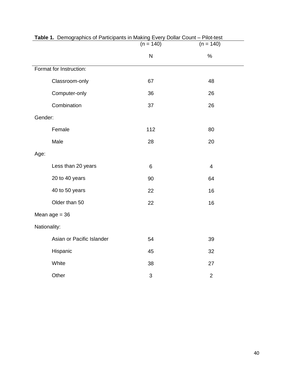|                           | $(n = 140)$ | $(n = 140)$    |
|---------------------------|-------------|----------------|
|                           | ${\sf N}$   | $\%$           |
| Format for Instruction:   |             |                |
| Classroom-only            | 67          | 48             |
| Computer-only             | 36          | 26             |
| Combination               | 37          | 26             |
| Gender:                   |             |                |
| Female                    | 112         | 80             |
| Male                      | 28          | 20             |
| Age:                      |             |                |
| Less than 20 years        | 6           | $\overline{4}$ |
| 20 to 40 years            | 90          | 64             |
| 40 to 50 years            | 22          | 16             |
| Older than 50             | 22          | 16             |
| Mean $age = 36$           |             |                |
| Nationality:              |             |                |
| Asian or Pacific Islander | 54          | 39             |
| Hispanic                  | 45          | 32             |
| White                     | 38          | 27             |
| Other                     | 3           | $\overline{2}$ |

# **Table 1.** Demographics of Participants in Making Every Dollar Count – Pilot-test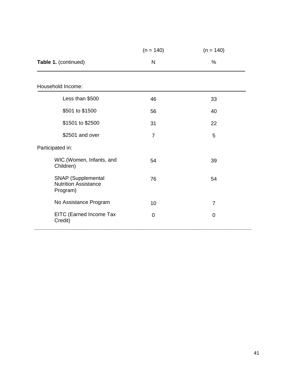|                                                                      | $(n = 140)$    | $(n = 140)$    |
|----------------------------------------------------------------------|----------------|----------------|
| Table 1. (continued)                                                 | N              | %              |
|                                                                      |                |                |
| Household Income:                                                    |                |                |
| Less than \$500                                                      | 46             | 33             |
| \$501 to \$1500                                                      | 56             | 40             |
| \$1501 to \$2500                                                     | 31             | 22             |
| \$2501 and over                                                      | $\overline{7}$ | 5              |
| Participated in:                                                     |                |                |
| WIC (Women, Infants, and<br>Children)                                | 54             | 39             |
| <b>SNAP</b> (Supplemental<br><b>Nutrition Assistance</b><br>Program) | 76             | 54             |
| No Assistance Program                                                | 10             | $\overline{7}$ |
| EITC (Earned Income Tax<br>Credit)                                   | 0              | 0              |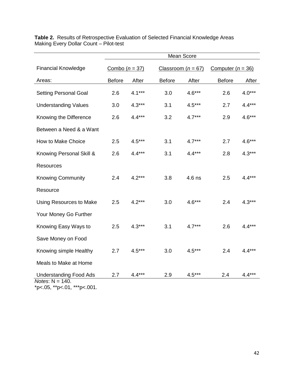|                                                   |                  |          |                        | Mean Score |                     |          |
|---------------------------------------------------|------------------|----------|------------------------|------------|---------------------|----------|
| <b>Financial Knowledge</b>                        | Combo $(n = 37)$ |          | Classroom ( $n = 67$ ) |            | Computer $(n = 36)$ |          |
| Areas:                                            | <b>Before</b>    | After    | <b>Before</b>          | After      | <b>Before</b>       | After    |
| <b>Setting Personal Goal</b>                      | 2.6              | $4.1***$ | 3.0                    | $4.6***$   | 2.6                 | $4.0***$ |
| <b>Understanding Values</b>                       | 3.0              | $4.3***$ | 3.1                    | $4.5***$   | 2.7                 | $4.4***$ |
| Knowing the Difference                            | 2.6              | $4.4***$ | 3.2                    | $4.7***$   | 2.9                 | $4.6***$ |
| Between a Need & a Want                           |                  |          |                        |            |                     |          |
| How to Make Choice                                | 2.5              | $4.5***$ | 3.1                    | $4.7***$   | 2.7                 | $4.6***$ |
| Knowing Personal Skill &                          | 2.6              | $4.4***$ | 3.1                    | $4.4***$   | 2.8                 | $4.3***$ |
| <b>Resources</b>                                  |                  |          |                        |            |                     |          |
| <b>Knowing Community</b>                          | 2.4              | $4.2***$ | 3.8                    | $4.6$ ns   | 2.5                 | $4.4***$ |
| Resource                                          |                  |          |                        |            |                     |          |
| <b>Using Resources to Make</b>                    | 2.5              | $4.2***$ | 3.0                    | $4.6***$   | 2.4                 | $4.3***$ |
| Your Money Go Further                             |                  |          |                        |            |                     |          |
| Knowing Easy Ways to                              | 2.5              | $4.3***$ | 3.1                    | $4.7***$   | 2.6                 | $4.4***$ |
| Save Money on Food                                |                  |          |                        |            |                     |          |
| Knowing simple Healthy                            | 2.7              | $4.5***$ | 3.0                    | $4.5***$   | 2.4                 | $4.4***$ |
| Meals to Make at Home                             |                  |          |                        |            |                     |          |
| <b>Understanding Food Ads</b>                     | 2.7              | $4.4***$ | 2.9                    | $4.5***$   | 2.4                 | $4.4***$ |
| Notes: $N = 140$ .<br>*p<.05, **p<.01, ***p<.001. |                  |          |                        |            |                     |          |

**Table 2.** Results of Retrospective Evaluation of Selected Financial Knowledge Areas Making Every Dollar Count – Pilot-test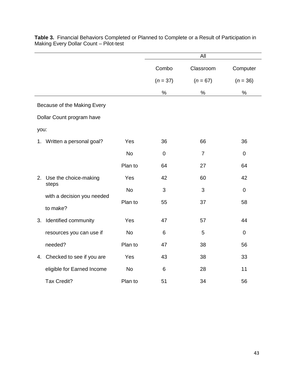|                              |           |             | All            |                |
|------------------------------|-----------|-------------|----------------|----------------|
|                              |           | Combo       | Classroom      | Computer       |
|                              |           | $(n = 37)$  | $(n = 67)$     | $(n = 36)$     |
|                              |           | $\%$        | %              | %              |
| Because of the Making Every  |           |             |                |                |
| Dollar Count program have    |           |             |                |                |
| you:                         |           |             |                |                |
| 1. Written a personal goal?  | Yes       | 36          | 66             | 36             |
|                              | <b>No</b> | $\mathbf 0$ | $\overline{7}$ | $\mathbf 0$    |
|                              | Plan to   | 64          | 27             | 64             |
| 2. Use the choice-making     | Yes       | 42          | 60             | 42             |
| steps                        | <b>No</b> | 3           | 3              | $\mathbf 0$    |
| with a decision you needed   | Plan to   | 55          | 37             | 58             |
| to make?                     |           |             |                |                |
| Identified community<br>3.   | Yes       | 47          | 57             | 44             |
| resources you can use if     | <b>No</b> | 6           | 5              | $\overline{0}$ |
| needed?                      | Plan to   | 47          | 38             | 56             |
| 4. Checked to see if you are | Yes       | 43          | 38             | 33             |
| eligible for Earned Income   | <b>No</b> | 6           | 28             | 11             |
| Tax Credit?                  | Plan to   | 51          | 34             | 56             |

**Table 3.** Financial Behaviors Completed or Planned to Complete or a Result of Participation in Making Every Dollar Count – Pilot-test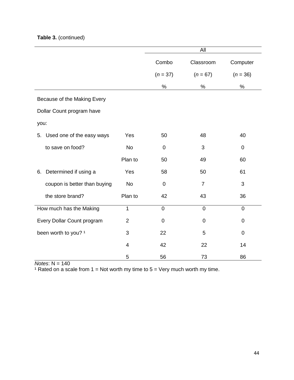## **Table 3.** (continued)

|                                 |                |             | All            |                |
|---------------------------------|----------------|-------------|----------------|----------------|
|                                 |                | Combo       | Classroom      | Computer       |
|                                 |                | $(n = 37)$  | $(n = 67)$     | $(n = 36)$     |
|                                 |                | $\%$        | %              | $\%$           |
| Because of the Making Every     |                |             |                |                |
| Dollar Count program have       |                |             |                |                |
| you:                            |                |             |                |                |
| Used one of the easy ways<br>5. | Yes            | 50          | 48             | 40             |
| to save on food?                | <b>No</b>      | $\mathbf 0$ | 3              | 0              |
|                                 | Plan to        | 50          | 49             | 60             |
| Determined if using a<br>6.     | Yes            | 58          | 50             | 61             |
| coupon is better than buying    | <b>No</b>      | $\mathbf 0$ | $\overline{7}$ | 3              |
| the store brand?                | Plan to        | 42          | 43             | 36             |
| How much has the Making         | $\mathbf{1}$   | $\mathbf 0$ | $\mathbf 0$    | $\overline{0}$ |
| Every Dollar Count program      | $\overline{2}$ | 0           | $\mathbf 0$    | 0              |
| been worth to you? 1            | 3              | 22          | 5              | 0              |
|                                 | $\overline{4}$ | 42          | 22             | 14             |
|                                 | 5              | 56          | 73             | 86             |

*Notes*: N = 140

<sup>1</sup> Rated on a scale from  $1 = Not$  worth my time to  $5 = Very$  much worth my time.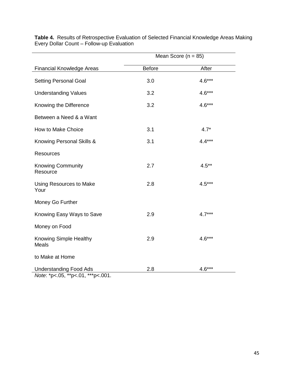|                                                                    | Mean Score ( $n = 85$ ) |          |  |
|--------------------------------------------------------------------|-------------------------|----------|--|
| <b>Financial Knowledge Areas</b>                                   | <b>Before</b>           | After    |  |
| <b>Setting Personal Goal</b>                                       | 3.0                     | $4.6***$ |  |
| <b>Understanding Values</b>                                        | 3.2                     | $4.6***$ |  |
| Knowing the Difference                                             | 3.2                     | $4.6***$ |  |
| Between a Need & a Want                                            |                         |          |  |
| How to Make Choice                                                 | 3.1                     | $4.7*$   |  |
| Knowing Personal Skills &                                          | 3.1                     | $4.4***$ |  |
| <b>Resources</b>                                                   |                         |          |  |
| <b>Knowing Community</b><br>Resource                               | 2.7                     | $4.5***$ |  |
| Using Resources to Make<br>Your                                    | 2.8                     | $4.5***$ |  |
| Money Go Further                                                   |                         |          |  |
| Knowing Easy Ways to Save                                          | 2.9                     | $4.7***$ |  |
| Money on Food                                                      |                         |          |  |
| <b>Knowing Simple Healthy</b><br>Meals                             | 2.9                     | $4.6***$ |  |
| to Make at Home                                                    |                         |          |  |
| <b>Understanding Food Ads</b><br>Note: *p<.05, **p<.01, ***p<.001. | 2.8                     | $4.6***$ |  |

**Table 4.** Results of Retrospective Evaluation of Selected Financial Knowledge Areas Making Every Dollar Count – Follow-up Evaluation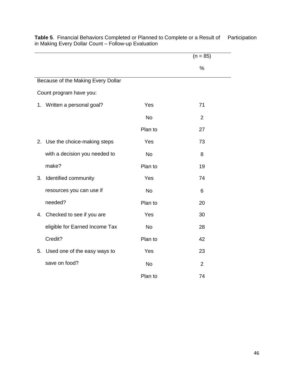|                                    |           | $(n = 85)$     |
|------------------------------------|-----------|----------------|
|                                    |           | %              |
| Because of the Making Every Dollar |           |                |
| Count program have you:            |           |                |
| 1. Written a personal goal?        | Yes       | 71             |
|                                    | <b>No</b> | $\overline{2}$ |
|                                    | Plan to   | 27             |
| 2. Use the choice-making steps     | Yes       | 73             |
| with a decision you needed to      | <b>No</b> | 8              |
| make?                              | Plan to   | 19             |
| Identified community<br>3.         | Yes       | 74             |
| resources you can use if           | <b>No</b> | 6              |
| needed?                            | Plan to   | 20             |
| Checked to see if you are<br>4.    | Yes       | 30             |
| eligible for Earned Income Tax     | <b>No</b> | 28             |
| Credit?                            | Plan to   | 42             |
| Used one of the easy ways to<br>5. | Yes       | 23             |
| save on food?                      | <b>No</b> | 2              |
|                                    | Plan to   | 74             |

**Table 5.** Financial Behaviors Completed or Planned to Complete or a Result of Participation in Making Every Dollar Count – Follow-up Evaluation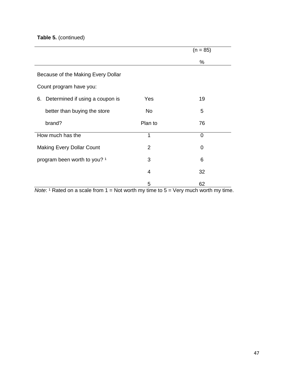## **Table 5.** (continued)

|                                    |                | $(n = 85)$ |
|------------------------------------|----------------|------------|
|                                    |                | %          |
| Because of the Making Every Dollar |                |            |
| Count program have you:            |                |            |
| 6. Determined if using a coupon is | Yes            | 19         |
| better than buying the store       | No             | 5          |
| brand?                             | Plan to        | 76         |
| How much has the                   | 1              | 0          |
| <b>Making Every Dollar Count</b>   | $\overline{2}$ | 0          |
| program been worth to you? 1       | 3              | 6          |
|                                    | 4              | 32         |
|                                    | 5              | 62         |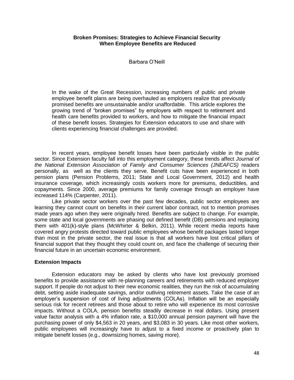## **Broken Promises: Strategies to Achieve Financial Security When Employee Benefits are Reduced**

Barbara O'Neill

In the wake of the Great Recession, increasing numbers of public and private employee benefit plans are being overhauled as employers realize that previously promised benefits are unsustainable and/or unaffordable. This article explores the growing trend of "broken promises" by employers with respect to retirement and health care benefits provided to workers, and how to mitigate the financial impact of these benefit losses. Strategies for Extension educators to use and share with clients experiencing financial challenges are provided.

In recent years, employee benefit losses have been particularly visible in the public sector. Since Extension faculty fall into this employment category, these trends affect *Journal of the National Extension Association of Family and Consumer Sciences (JNEAFCS)* readers personally, as well as the clients they serve. Benefit cuts have been experienced in both pension plans (Pension Problems, 2011; State and Local Government, 2012) and health insurance coverage, which increasingly costs workers more for premiums, deductibles, and copayments. Since 2000, average premiums for family coverage through an employer have increased 114% (Carpenter, 2011).

Like private sector workers over the past few decades, public sector employees are learning they cannot count on benefits in their current labor contract, not to mention promises made years ago when they were originally hired. Benefits are subject to change. For example, some state and local governments are phasing out defined benefit (DB) pensions and replacing them with 401(k)-style plans (McWhirter & Belkin, 2011). While recent media reports have covered angry protests directed toward public employees whose benefit packages lasted longer than most in the private sector, the real issue is that all workers have lost critical pillars of financial support that they thought they could count on, and face the challenge of securing their financial future in an uncertain economic environment.

## **Extension Impacts**

Extension educators may be asked by clients who have lost previously promised benefits to provide assistance with re-planning careers and retirements with reduced employer support. If people do not adjust to their new economic realities, they run the risk of accumulating debt, setting aside inadequate savings, and/or outliving retirement assets. Take the case of an employer's suspension of cost of living adjustments (COLAs). Inflation will be an especially serious risk for recent retirees and those about to retire who will experience its most corrosive impacts. Without a COLA, pension benefits steadily decrease in real dollars. Using present value factor analysis with a 4% inflation rate, a \$10,000 annual pension payment will have the purchasing power of only \$4,563 in 20 years, and \$3,083 in 30 years. Like most other workers, public employees will increasingly have to adjust to a fixed income or proactively plan to mitigate benefit losses (e.g., downsizing homes, saving more).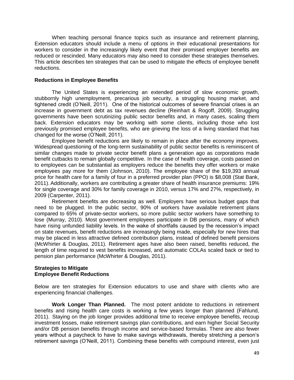When teaching personal finance topics such as insurance and retirement planning, Extension educators should include a menu of options in their educational presentations for workers to consider in the increasingly likely event that their promised employer benefits are reduced or rescinded. Many educators may also need to consider these strategies themselves. This article describes ten strategies that can be used to mitigate the effects of employee benefit reductions.

## **Reductions in Employee Benefits**

The United States is experiencing an extended period of slow economic growth, stubbornly high unemployment, precarious job security, a struggling housing market, and tightened credit (O'Neill, 2011). One of the historical outcomes of severe financial crises is an increase in government debt as tax revenues decline (Reinhart & Rogoff, 2009). Struggling governments have been scrutinizing public sector benefits and, in many cases, scaling them back. Extension educators may be working with some clients, including those who lost previously promised employee benefits, who are grieving the loss of a living standard that has changed for the worse (O'Neill, 2011).

Employee benefit reductions are likely to remain in place after the economy improves. Widespread questioning of the long-term sustainability of public sector benefits is reminiscent of similar changes made to private sector benefit plans a generation ago as corporations made benefit cutbacks to remain globally competitive. In the case of health coverage, costs passed on to employees can be substantial as employers reduce the benefits they offer workers or make employees pay more for them (Johnson, 2010). The employee share of the \$19,393 annual price for health care for a family of four in a preferred provider plan (PPO) is \$8,008 (Stat Bank, 2011). Additionally, workers are contributing a greater share of health insurance premiums: 19% for single coverage and 30% for family coverage in 2010, versus 17% and 27%, respectively, in 2009 (Carpenter, 2011).

Retirement benefits are decreasing as well. Employers have serious budget gaps that need to be plugged. In the public sector, 90% of workers have available retirement plans compared to 65% of private-sector workers, so more public sector workers have something to lose (Murray, 2010). Most government employees participate in DB pensions, many of which have rising unfunded liability levels. In the wake of shortfalls caused by the recession's impact on state revenues, benefit reductions are increasingly being made, especially for new hires that may be placed in less attractive defined contribution plans, instead of defined benefit pensions (McWhirter & Douglas, 2011). Retirement ages have also been raised, benefits reduced, the length of time required to vest benefits increased, and automatic COLAs scaled back or tied to pension plan performance (McWhirter & Douglas, 2011).

## **Strategies to Mitigate Employee Benefit Reductions**

Below are ten strategies for Extension educators to use and share with clients who are experiencing financial challenges.

**Work Longer Than Planned.** The most potent antidote to reductions in retirement benefits and rising health care costs is working a few years longer than planned (Fahlund, 2011). Staying on the job longer provides additional time to receive employee benefits, recoup investment losses, make retirement savings plan contributions, and earn higher Social Security and/or DB pension benefits through income and service-based formulas. There are also fewer years without a paycheck to have to make savings withdrawals, thereby stretching a person's retirement savings (O'Neill, 2011). Combining these benefits with compound interest, even just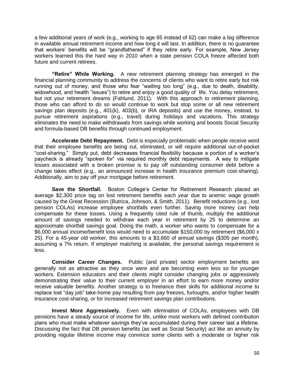a few additional years of work (e.g., working to age 65 instead of 62) can make a big difference in available annual retirement income and how long it will last. In addition, there is no guarantee that workers' benefits will be "grandfathered" if they retire early. For example, New Jersey workers learned this the hard way in 2010 when a state pension COLA freeze affected both future and current retirees.

**"Retire" While Working.** A new retirement planning strategy has emerged in the financial planning community to address the concerns of clients who want to retire early but risk running out of money, and those who fear "waiting too long" (e.g., due to death, disability, widowhood, and health "issues") to retire and enjoy a good quality of life. You delay retirement, but not your retirement dreams (Fahlund, 2011). With this approach to retirement planning, those who can afford to do so would continue to work but stop some or all new retirement savings plan deposits (e.g., 401(k), 403(b), or IRA deposits) and use the money, instead, to pursue retirement aspirations (e.g., travel) during holidays and vacations. This strategy eliminates the need to make withdrawals from savings while working and boosts Social Security and formula-based DB benefits through continued employment.

**Accelerate Debt Repayment.** Debt is especially problematic when people receive word that their employee benefits are being cut, eliminated, or will require additional out-of-pocket "cost-sharing." Simply put, debt decreases financial flexibility because a portion of a worker's paycheck is already "spoken for" via required monthly debt repayments. A way to mitigate losses associated with a broken promise is to pay off outstanding consumer debt before a change takes effect (e.g., an announced increase in health insurance premium cost-sharing). Additionally, aim to pay off your mortgage before retirement.

**Save the Shortfall.** Boston College's Center for Retirement Research placed an average \$2,300 price tag on lost retirement benefits *each year* due to anemic wage growth caused by the Great Recession (Butrica, Johnson, & Smith, 2011). Benefit reductions (e.g., lost pension COLAs) increase employee shortfalls even further. Saving more money can help compensate for these losses. Using a frequently cited rule of thumb, multiply the additional amount of savings needed to withdraw each year in retirement by 25 to determine an approximate shortfall savings goal. Doing the math, a worker who wants to compensate for a \$6,000 annual income/benefit loss would need to accumulate \$150,000 by retirement (\$6,000 x 25). For a 45-year old worker, this amounts to a \$3,660 of annual savings (\$305 per month), assuming a 7% return. If employer matching is available, the personal savings requirement is less.

**Consider Career Changes.** Public (and private) sector employment benefits are generally not as attractive as they once were and are becoming even less so for younger workers. Extension educators and their clients might consider changing jobs or aggressively demonstrating their value to their current employer in an effort to earn more money and/or receive valuable benefits. Another strategy is to freelance their skills for additional income to replace lost "day job" take-home pay resulting from pay freezes, furloughs, and/or higher health insurance cost-sharing, or for increased retirement savings plan contributions.

**Invest More Aggressively.** Even with elimination of COLAs, employees with DB pensions have a steady source of income for life, unlike most workers with defined contribution plans who must make whatever savings they've accumulated during their career last a lifetime. Discussing the fact that DB pension benefits (as well as Social Security) act like an annuity by providing regular lifetime income may convince some clients with a moderate or higher risk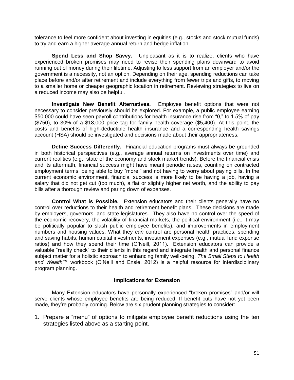tolerance to feel more confident about investing in equities (e.g., stocks and stock mutual funds) to try and earn a higher average annual return and hedge inflation.

**Spend Less and Shop Savvy.** Unpleasant as it is to realize, clients who have experienced broken promises may need to revise their spending plans downward to avoid running out of money during their lifetime. Adjusting to less support from an employer and/or the government is a necessity, not an option. Depending on their age, spending reductions can take place before and/or after retirement and include everything from fewer trips and gifts, to moving to a smaller home or cheaper geographic location in retirement. Reviewing strategies to live on a reduced income may also be helpful.

**Investigate New Benefit Alternatives.** Employee benefit options that were not necessary to consider previously should be explored. For example, a public employee earning \$50,000 could have seen payroll contributions for health insurance rise from "0," to 1.5% of pay (\$750), to 30% of a \$18,000 price tag for family health coverage (\$5,400). At this point, the costs and benefits of high-deductible health insurance and a corresponding health savings account (HSA) should be investigated and decisions made about their appropriateness.

**Define Success Differently.** Financial education programs must always be grounded in both historical perspectives (e.g., average annual returns on investments over time) and current realities (e.g., state of the economy and stock market trends). Before the financial crisis and its aftermath, financial success might have meant periodic raises, counting on contracted employment terms, being able to buy "more," and not having to worry about paying bills. In the current economic environment, financial success is more likely to be having a job, having a salary that did not get cut (too much), a flat or slightly higher net worth, and the ability to pay bills after a thorough review and paring down of expenses.

**Control What is Possible.** Extension educators and their clients generally have no control over reductions to their health and retirement benefit plans. These decisions are made by employers, governors, and state legislatures. They also have no control over the speed of the economic recovery, the volatility of financial markets, the political environment (i.e., it may be politically popular to slash public employee benefits), and improvements in employment numbers and housing values. What they *can* control are personal health practices, spending and saving habits, human capital investments, investment expenses (e.g., mutual fund expense ratios) and how they spend their time (O'Neill, 2011). Extension educators can provide a valuable "reality check" to their clients in this regard and integrate health and personal finance subject matter for a holistic approach to enhancing family well-being. *The Small Steps to Health and Wealth™* workbook (O'Neill and Ensle, 2012) is a helpful resource for interdisciplinary program planning.

## **Implications for Extension**

Many Extension educators have personally experienced "broken promises" and/or will serve clients whose employee benefits are being reduced. If benefit cuts have not yet been made, they're probably coming. Below are six prudent planning strategies to consider:

1. Prepare a "menu" of options to mitigate employee benefit reductions using the ten strategies listed above as a starting point.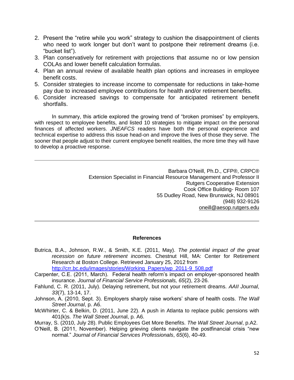- 2. Present the "retire while you work" strategy to cushion the disappointment of clients who need to work longer but don't want to postpone their retirement dreams (i.e. "bucket list").
- 3. Plan conservatively for retirement with projections that assume no or low pension COLAs and lower benefit calculation formulas.
- 4. Plan an annual review of available health plan options and increases in employee benefit costs.
- 5. Consider strategies to increase income to compensate for reductions in take-home pay due to increased employee contributions for health and/or retirement benefits.
- 6. Consider increased savings to compensate for anticipated retirement benefit shortfalls.

In summary, this article explored the growing trend of "broken promises" by employers, with respect to employee benefits, and listed 10 strategies to mitigate impact on the personal finances of affected workers. *JNEAFCS* readers have both the personal experience and technical expertise to address this issue head-on and improve the lives of those they serve. The sooner that people adjust to their current employee benefit realities, the more time they will have to develop a proactive response.

> Barbara O'Neill, Ph.D., CFP®, CRPC® Extension Specialist in Financial Resource Management and Professor II Rutgers Cooperative Extension Cook Office Building- Room 107 55 Dudley Road, New Brunswick, NJ 08901 (948) 932-9126 [oneill@aesop.rutgers.edu](mailto:oneill@aesop.rutgers.edu)

## **References**

Butrica, B.A., Johnson, R.W., & Smith, K.E. (2011, May). *The potential impact of the great recession on future retirement incomes.* Chestnut Hill, MA: Center for Retirement Research at Boston College. Retrieved January 25, 2012 from

[http://crr.bc.edu/images/stories/Working\\_Papers/wp\\_2011-9\\_508.pdf](http://crr.bc.edu/images/stories/Working_Papers/wp_2011-9_508.pdf)

- Carpenter, C.E. (2011, March). Federal health reform's impact on employer-sponsored health insurance. *Journal of Financial Service Professionals, 65*(2), 23-26.
- Fahlund, C. R. (2011, July). Delaying retirement, but not your retirement dreams. *AAII Journal*, *33*(7), 13-14, 17.
- Johnson, A. (2010, Sept. 3). Employers sharply raise workers' share of health costs. *The Wall Street Journal*, p. A6.
- McWhirter, C. & Belkin, D. (2011, June 22). A push in Atlanta to replace public pensions with 401(k)s. *The Wall Street Journa*l, p. A6.
- Murray, S. (2010, July 28). Public Employees Get More Benefits. *The Wall Street Journal*, p.A2.
- O'Neill, B. (2011, November). Helping grieving clients navigate the postfinancial crisis "new normal." *Journal of Financial Services Professionals*, *65*(6), 40-49.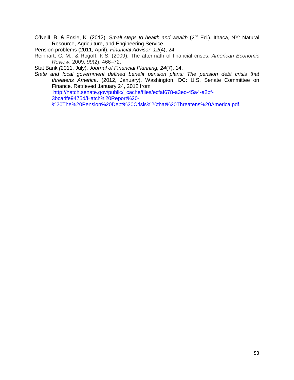O'Neill, B. & Ensle, K. (2012). *Small steps to health and wealth* (2nd Ed.). Ithaca, NY: Natural Resource, Agriculture, and Engineering Service.

Pension problems (2011, April). *Financial Advisor*, *12*(4), 24.

Reinhart, C. M.. & Rogoff, K.S. (2009). The aftermath of financial crises. *American Economic Review*, 2009, *99*(2): 466–72.

Stat Bank *(*2011, July). *Journal of Financial Planning, 24*(7), 14.

*State and local government defined benefit pension plans: The pension debt crisis that threatens America*. (2012, January). Washington, DC: U.S. Senate Committee on Finance. Retrieved January 24, 2012 from [http://hatch.senate.gov/public/\\_cache/files/ecfaf678-a3ec-45a4-a2bf-](http://hatch.senate.gov/public/_cache/files/ecfaf678-a3ec-45a4-a2bf-3bca4fe9475d/Hatch%20Report%20-%20The%20Pension%20Debt%20Crisis%20that%20Threatens%20America.pdf)[3bca4fe9475d/Hatch%20Report%20-](http://hatch.senate.gov/public/_cache/files/ecfaf678-a3ec-45a4-a2bf-3bca4fe9475d/Hatch%20Report%20-%20The%20Pension%20Debt%20Crisis%20that%20Threatens%20America.pdf)

[%20The%20Pension%20Debt%20Crisis%20that%20Threatens%20America.pdf.](http://hatch.senate.gov/public/_cache/files/ecfaf678-a3ec-45a4-a2bf-3bca4fe9475d/Hatch%20Report%20-%20The%20Pension%20Debt%20Crisis%20that%20Threatens%20America.pdf)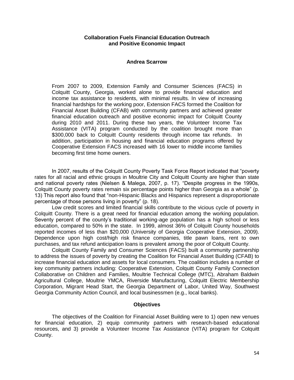## **Collaboration Fuels Financial Education Outreach and Positive Economic Impact**

#### **Andrea Scarrow**

From 2007 to 2009, Extension Family and Consumer Sciences (FACS) in Colquitt County, Georgia, worked alone to provide financial education and income tax assistance to residents, with minimal results. In view of increasing financial hardships for the working poor, Extension FACS formed the Coalition for Financial Asset Building (CFAB) with community partners and achieved greater financial education outreach and positive economic impact for Colquitt County during 2010 and 2011. During these two years, the Volunteer Income Tax Assistance (VITA) program conducted by the coalition brought more than \$300,000 back to Colquitt County residents through income tax refunds. In addition, participation in housing and financial education programs offered by Cooperative Extension FACS increased with 16 lower to middle income families becoming first time home owners.

In 2007, results of the Colquitt County Poverty Task Force Report indicated that "poverty rates for all racial and ethnic groups in Moultrie City and Colquitt County are higher than state and national poverty rates (Nielsen & Malega, 2007, p. 17). "Despite progress in the 1990s, Colquitt County poverty rates remain six percentage points higher than Georgia as a whole" (p. 13) This report also found that "non-Hispanic Blacks and Hispanics represent a disproportionate percentage of those persons living in poverty" (p. 18).

Low credit scores and limited financial skills contribute to the vicious cycle of poverty in Colquitt County. There is a great need for financial education among the working population. Seventy percent of the county's traditional working-age population has a high school or less education, compared to 50% in the state. In 1999, almost 36% of Colquitt County households reported incomes of less than \$20,000 (University of Georgia Cooperative Extension, 2009). Dependence upon high cost/high risk finance companies, title pawn loans, rent to own purchases, and tax refund anticipation loans is prevalent among the poor of Colquitt County.

Colquitt County Family and Consumer Sciences (FACS) built a community partnership to address the issues of poverty by creating the Coalition for Financial Asset Building (CFAB) to increase financial education and assets for local consumers. The coalition includes a number of key community partners including: Cooperative Extension, Colquitt County Family Connection Collaborative on Children and Families, Moultrie Technical College (MTC), Abraham Baldwin Agricultural College, Moultrie YMCA, Riverside Manufacturing, Colquitt Electric Membership Corporation, Migrant Head Start, the Georgia Department of Labor, United Way, Southwest Georgia Community Action Council, and local businessmen (e.g., local banks).

## **Objectives**

The objectives of the Coalition for Financial Asset Building were to 1) open new venues for financial education, 2) equip community partners with research-based educational resources, and 3) provide a Volunteer Income Tax Assistance (VITA) program for Colquitt County.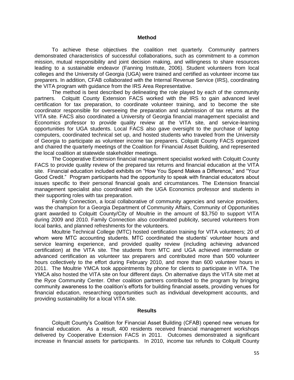#### **Method**

To achieve these objectives the coalition met quarterly. Community partners demonstrated characteristics of successful collaborations, such as commitment to a common mission, mutual responsibility and joint decision making, and willingness to share resources leading to a sustainable endeavor (Fanning Institute, 2006). Student volunteers from local colleges and the University of Georgia (UGA) were trained and certified as volunteer income tax preparers. In addition, CFAB collaborated with the Internal Revenue Service (IRS), coordinating the VITA program with guidance from the IRS Area Representative.

The method is best described by delineating the role played by each of the community partners. Colquitt County Extension FACS worked with the IRS to gain advanced level certification for tax preparation, to coordinate volunteer training, and to become the site coordinator responsible for overseeing the preparation and submission of tax returns at the VITA site. FACS also coordinated a University of Georgia financial management specialist and Economics professor to provide quality review at the VITA site, and service-learning opportunities for UGA students. Local FACS also gave oversight to the purchase of laptop computers, coordinated technical set up, and hosted students who traveled from the University of Georgia to participate as volunteer income tax preparers. Colquitt County FACS organized and chaired the quarterly meetings of the Coalition for Financial Asset Building, and represented the local coalition at statewide stakeholder meetings.

The Cooperative Extension financial management specialist worked with Colquitt County FACS to provide quality review of the prepared tax returns and financial education at the VITA site. Financial education included exhibits on "How You Spend Makes a Difference," and "Your Good Credit." Program participants had the opportunity to speak with financial educators about issues specific to their personal financial goals and circumstances. The Extension financial management specialist also coordinated with the UGA Economics professor and students in their supporting roles with tax preparation.

Family Connection, a local collaborative of community agencies and service providers, was the champion for a Georgia Department of Community Affairs, Community of Opportunities grant awarded to Colquitt County/City of Moultrie in the amount of \$3,750 to support VITA during 2009 and 2010. Family Connection also coordinated publicity, secured volunteers from local banks, and planned refreshments for the volunteers.

Moultrie Technical College (MTC) hosted certification training for VITA volunteers; 20 of whom were MTC accounting students. MTC coordinated the students' volunteer hours and service learning experience, and provided quality review (including achieving advanced certification) at the VITA site. The students from MTC and UGA achieved intermediate or advanced certification as volunteer tax preparers and contributed more than 500 volunteer hours collectively to the effort during February 2010, and more than 600 volunteer hours in 2011. The Moultrie YMCA took appointments by phone for clients to participate in VITA. The YMCA also hosted the VITA site on four different days. On alternative days the VITA site met at the Ryce Community Center. Other coalition partners contributed to the program by bringing community awareness to the coalition's efforts for building financial assets, providing venues for financial education, researching opportunities such as individual development accounts, and providing sustainability for a local VITA site.

#### **Results**

Colquitt County's Coalition for Financial Asset Building (CFAB) opened new venues for financial education. As a result, 400 residents received financial management workshops delivered by Cooperative Extension FACS in 2011. Outcomes demonstrated a significant increase in financial assets for participants. In 2010, income tax refunds to Colquitt County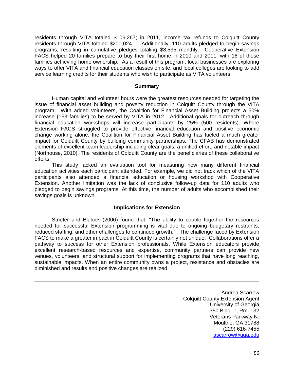residents through VITA totaled \$106,267; in 2011, income tax refunds to Colquitt County residents through VITA totaled \$200,024. Additionally, 110 adults pledged to begin savings programs, resulting in cumulative pledges totaling \$8,535 monthly. Cooperative Extension FACS helped 20 families prepare to buy their first home in 2010 and 2011, with 16 of those families achieving home ownership. As a result of this program, local businesses are exploring ways to offer VITA and financial education classes on site, and local colleges are looking to add service learning credits for their students who wish to participate as VITA volunteers.

#### **Summary**

Human capital and volunteer hours were the greatest resources needed for targeting the issue of financial asset building and poverty reduction in Colquitt County through the VITA program. With added volunteers, the Coalition for Financial Asset Building projects a 50% increase (153 families) to be served by VITA in 2012. Additional goals for outreach through financial education workshops will increase participants by 25% (500 residents). Where Extension FACS struggled to provide effective financial education and positive economic change working alone, the Coalition for Financial Asset Building has fueled a much greater impact for Colquitt County by building community partnerships. The CFAB has demonstrated elements of excellent team leadership including clear goals, a unified effort, and notable impact (Northouse, 2010). The residents of Colquitt County are the beneficiaries of these collaborative efforts.

This study lacked an evaluation tool for measuring how many different financial education activities each participant attended. For example, we did not track which of the VITA participants also attended a financial education or housing workshop with Cooperative Extension. Another limitation was the lack of conclusive follow-up data for 110 adults who pledged to begin savings programs. At this time, the number of adults who accomplished their savings goals is unknown.

## **Implications for Extension**

Strieter and Blalock (2006) found that, "The ability to cobble together the resources needed for successful Extension programming is vital due to ongoing budgetary restraints, reduced staffing, and other challenges to continued growth." The challenge faced by Extension FACS to make a greater impact in Colquitt County is certainly not unique. Collaborations offer a pathway to success for other Extension professionals. While Extension educators provide excellent research-based resources and expertise, community partners can provide new venues, volunteers, and structural support for implementing programs that have long reaching, sustainable impacts. When an entire community owns a project, resistance and obstacles are diminished and results and positive changes are realized.

> Andrea Scarrow Colquitt County Extension Agent University of Georgia 350 Bldg. 1, Rm. 132 Veterans Parkway N. Moultrie, GA 31788 (229) 616-7455 [ascarrow@uga.edu](mailto:ascarrow@uga.edu)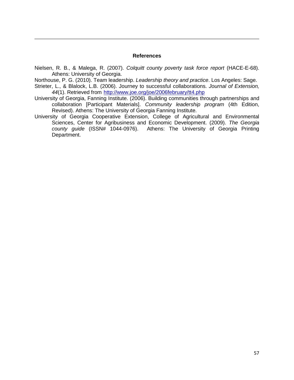#### **References**

Nielsen, R. B., & Malega, R. (2007). *Colquitt county poverty task force report* (HACE-E-68). Athens: University of Georgia.

Northouse, P. G. (2010). Team leadership. *Leadership theory and practice*. Los Angeles: Sage.

- Strieter, L., & Blalock, L.B. (2006). Journey to successful collaborations. *Journal of Extension, 44*(1). Retrieved from<http://www.joe.org/joe/2006february/tt4.php>
- University of Georgia, Fanning Institute. (2006). Building communities through partnerships and collaboration [Participant Materials]. *Community leadership program* (4th Edition, Revised). Athens: The University of Georgia Fanning Institute.
- University of Georgia Cooperative Extension, College of Agricultural and Environmental Sciences, Center for Agribusiness and Economic Development. (2009). *The Georgia county guide* (ISSN# 1044-0976). Athens: The University of Georgia Printing Department.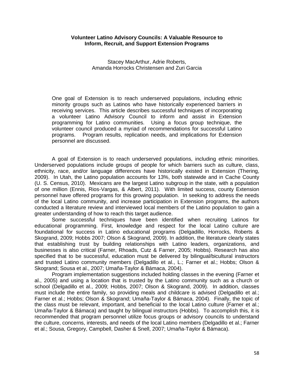## **Volunteer Latino Advisory Councils: A Valuable Resource to Inform, Recruit, and Support Extension Programs**

Stacey MacArthur, Adrie Roberts, Amanda Horrocks Christensen and Zuri Garcia

One goal of Extension is to reach underserved populations, including ethnic minority groups such as Latinos who have historically experienced barriers in receiving services. This article describes successful techniques of incorporating a volunteer Latino Advisory Council to inform and assist in Extension programming for Latino communities. Using a focus group technique, the volunteer council produced a myriad of recommendations for successful Latino programs. Program results, replication needs, and implications for Extension personnel are discussed.

A goal of Extension is to reach underserved populations, including ethnic minorities. Underserved populations include groups of people for which barriers such as culture, class, ethnicity, race, and/or language differences have historically existed in Extension (Thering, 2009). In Utah, the Latino population accounts for 13%, both statewide and in Cache County (U. S. Census, 2010). Mexicans are the largest Latino subgroup in the state, with a population of one million (Ennis, Rios-Vargas, & Albert, 2011). With limited success, county Extension personnel have offered programs for this growing population. In seeking to address the needs of the local Latino community, and increase participation in Extension programs, the authors conducted a literature review and interviewed local members of the Latino population to gain a greater understanding of how to reach this target audience.

Some successful techniques have been identified when recruiting Latinos for educational programming. First, knowledge and respect for the local Latino culture are foundational for success in Latino educational programs (Delgadillo, Horrocks, Roberts & Skogrand, 2009; Hobbs 2007; Olson & Skogrand, 2009). In addition, the literature clearly states that establishing trust by building relationships with Latino leaders, organizations, and businesses is also critical (Farner, Rhoads, Cutz & Farner, 2005; Hobbs). Research has also specified that to be successful, education must be delivered by bilingual/bicultural instructors and trusted Latino community members (Delgadillo et al., L.; Farner et al.; Hobbs; Olson & Skogrand; Sousa et al., 2007; Umaña-Taylor & Bámaca, 2004).

Program implementation suggestions included holding classes in the evening (Farner et al., 2005) and using a location that is trusted by the Latino community such as a church or school (Delgadillo et al., 2009; Hobbs, 2007; Olson & Skogrand, 2009). In addition, classes must include the entire family, so providing meals and childcare is advised (Delgadillo et al.; Farner et al.; Hobbs; Olson & Skogrand; Umaña-Taylor & Bámaca, 2004). Finally, the topic of the class must be relevant, important, and beneficial to the local Latino culture (Farner et al.; Umaña-Taylor & Bámaca) and taught by bilingual instructors (Hobbs). To accomplish this, it is recommended that program personnel utilize focus groups or advisory councils to understand the culture, concerns, interests, and needs of the local Latino members (Delgadillo et al.; Farner et al.; Sousa, Gregory, Campbell, Dasher & Snell, 2007; Umaña-Taylor & Bámaca).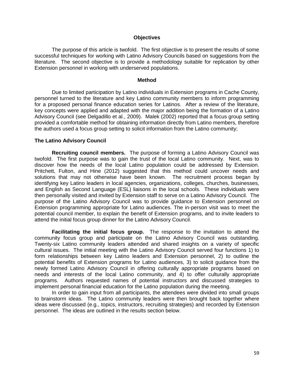#### **Objectives**

The purpose of this article is twofold. The first objective is to present the results of some successful techniques for working with Latino Advisory Councils based on suggestions from the literature. The second objective is to provide a methodology suitable for replication by other Extension personnel in working with underserved populations.

#### **Method**

Due to limited participation by Latino individuals in Extension programs in Cache County, personnel turned to the literature and key Latino community members to inform programming for a proposed personal finance education series for Latinos. After a review of the literature, key concepts were applied and adapted with the major addition being the formation of a Latino Advisory Council (see Delgadillo et al., 2009). Malek (2002) reported that a focus group setting provided a comfortable method for obtaining information directly from Latino members, therefore the authors used a focus group setting to solicit information from the Latino community;

#### **The Latino Advisory Council**

**Recruiting council members.** The purpose of forming a Latino Advisory Council was twofold. The first purpose was to gain the trust of the local Latino community. Next, was to discover how the needs of the local Latino population could be addressed by Extension. Pritchett, Fulton, and Hine (2012) suggested that this method could uncover needs and solutions that may not otherwise have been known. The recruitment process began by identifying key Latino leaders in local agencies, organizations, colleges, churches, businesses, and English as Second Language (ESL) liaisons in the local schools. These individuals were then personally visited and invited by Extension staff to serve on a Latino Advisory Council. The purpose of the Latino Advisory Council was to provide guidance to Extension personnel on Extension programming appropriate for Latino audiences. The in-person visit was to meet the potential council member, to explain the benefit of Extension programs, and to invite leaders to attend the initial focus group dinner for the Latino Advisory Council.

**Facilitating the initial focus group.** The response to the invitation to attend the community focus group and participate on the Latino Advisory Council was outstanding. Twenty-six Latino community leaders attended and shared insights on a variety of specific cultural issues. The initial meeting with the Latino Advisory Council served four functions 1) to form relationships between key Latino leaders and Extension personnel, 2) to outline the potential benefits of Extension programs for Latino audiences, 3) to solicit guidance from the newly formed Latino Advisory Council in offering culturally appropriate programs based on needs and interests of the local Latino community, and 4) to offer culturally appropriate programs. Authors requested names of potential instructors and discussed strategies to implement personal financial education for the Latino population during the meeting.

In order to gain input from all participants, the attendees were divided into small groups to brainstorm ideas. The Latino community leaders were then brought back together where ideas were discussed (e.g., topics, instructors, recruiting strategies) and recorded by Extension personnel. The ideas are outlined in the results section below.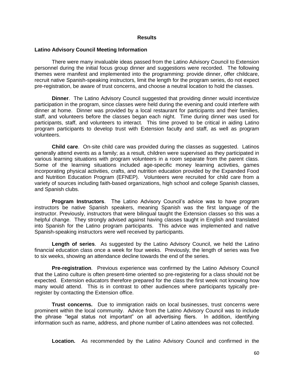#### **Results**

#### **Latino Advisory Council Meeting Information**

There were many invaluable ideas passed from the Latino Advisory Council to Extension personnel during the initial focus group dinner and suggestions were recorded. The following themes were manifest and implemented into the programming: provide dinner, offer childcare, recruit native Spanish-speaking instructors, limit the length for the program series, do not expect pre-registration, be aware of trust concerns, and choose a neutral location to hold the classes.

**Dinner**. The Latino Advisory Council suggested that providing dinner would incentivize participation in the program, since classes were held during the evening and could interfere with dinner at home. Dinner was provided by a local restaurant for participants and their families, staff, and volunteers before the classes began each night. Time during dinner was used for participants, staff, and volunteers to interact. This time proved to be critical in aiding Latino program participants to develop trust with Extension faculty and staff, as well as program volunteers.

**Child care**. On-site child care was provided during the classes as suggested. Latinos generally attend events as a family; as a result, children were supervised as they participated in various learning situations with program volunteers in a room separate from the parent class. Some of the learning situations included age-specific money learning activities, games incorporating physical activities, crafts, and nutrition education provided by the Expanded Food and Nutrition Education Program (EFNEP). Volunteers were recruited for child care from a variety of sources including faith-based organizations, high school and college Spanish classes, and Spanish clubs.

**Program Instructors**. The Latino Advisory Council's advice was to have program instructors be native Spanish speakers, meaning Spanish was the first language of the instructor. Previously, instructors that were bilingual taught the Extension classes so this was a helpful change. They strongly advised against having classes taught in English and translated into Spanish for the Latino program participants. This advice was implemented and native Spanish-speaking instructors were well received by participants.

**Length of series**. As suggested by the Latino Advisory Council, we held the Latino financial education class once a week for four weeks. Previously, the length of series was five to six weeks, showing an attendance decline towards the end of the series.

**Pre-registration**. Previous experience was confirmed by the Latino Advisory Council that the Latino culture is often present-time oriented so pre-registering for a class should not be expected. Extension educators therefore prepared for the class the first week not knowing how many would attend. This is in contrast to other audiences where participants typically preregister by contacting the Extension office.

**Trust concerns.** Due to immigration raids on local businesses, trust concerns were prominent within the local community. Advice from the Latino Advisory Council was to include the phrase "legal status not important" on all advertising fliers. In addition, identifying information such as name, address, and phone number of Latino attendees was not collected.

**Location.** As recommended by the Latino Advisory Council and confirmed in the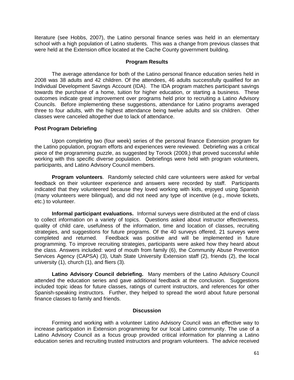literature (see Hobbs, 2007), the Latino personal finance series was held in an elementary school with a high population of Latino students. This was a change from previous classes that were held at the Extension office located at the Cache County government building.

## **Program Results**

The average attendance for both of the Latino personal finance education series held in 2008 was 38 adults and 42 children. Of the attendees, 46 adults successfully qualified for an Individual Development Savings Account (IDA). The IDA program matches participant savings towards the purchase of a home, tuition for higher education, or starting a business. These outcomes indicate great improvement over programs held prior to recruiting a Latino Advisory Councils. Before implementing these suggestions, attendance for Latino programs averaged three to four adults, with the highest attendance being twelve adults and six children. Other classes were canceled altogether due to lack of attendance.

## **Post Program Debriefing**

Upon completing two (four week) series of the personal finance Extension program for the Latino population, program efforts and experiences were reviewed. Debriefing was a critical piece of the programming puzzle, as suggested by Torock (2009,) that proved successful while working with this specific diverse population. Debriefings were held with program volunteers, participants, and Latino Advisory Council members.

**Program volunteers**. Randomly selected child care volunteers were asked for verbal feedback on their volunteer experience and answers were recorded by staff. Participants indicated that they volunteered because they loved working with kids, enjoyed using Spanish (many volunteers were bilingual), and did not need any type of incentive (e.g., movie tickets, etc.) to volunteer.

**Informal participant evaluations.** Informal surveys were distributed at the end of class to collect information on a variety of topics. Questions asked about instructor effectiveness, quality of child care, usefulness of the information, time and location of classes, recruiting strategies, and suggestions for future programs. Of the 40 surveys offered, 21 surveys were completed and returned. Feedback was positive and will be implemented in future programming. To improve recruiting strategies, participants were asked how they heard about the class. Answers included: word of mouth from family (6), the Community Abuse Prevention Services Agency (CAPSA) (3), Utah State University Extension staff (2), friends (2), the local university (1), church (1), and fliers (3).

**Latino Advisory Council debriefing.** Many members of the Latino Advisory Council attended the education series and gave additional feedback at the conclusion. Suggestions included topic ideas for future classes, ratings of current instructors, and references for other Spanish-speaking instructors. Further, they helped to spread the word about future personal finance classes to family and friends.

## **Discussion**

Forming and working with a volunteer Latino Advisory Council was an effective way to increase participation in Extension programming for our local Latino community. The use of a Latino Advisory Council as a focus group provided critical information for planning a Latino education series and recruiting trusted instructors and program volunteers. The advice received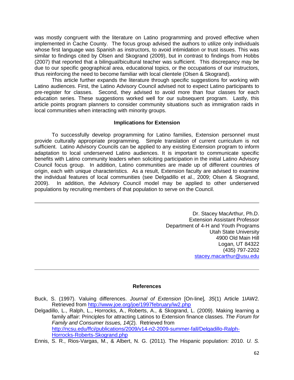was mostly congruent with the literature on Latino programming and proved effective when implemented in Cache County. The focus group advised the authors to utilize only individuals whose first language was Spanish as instructors, to avoid intimidation or trust issues. This was similar to findings cited by Olsen and Skogrand (2009), but in contrast to findings from Hobbs (2007) that reported that a bilingual/bicultural teacher was sufficient. This discrepancy may be due to our specific geographical area, educational topics, or the occupations of our instructors, thus reinforcing the need to become familiar with local clientele (Olsen & Skogrand).

This article further expands the literature through specific suggestions for working with Latino audiences. First, the Latino Advisory Council advised not to expect Latino participants to pre-register for classes. Second, they advised to avoid more than four classes for each education series. These suggestions worked well for our subsequent program. Lastly, this article points program planners to consider community situations such as immigration raids in local communities when interacting with minority groups.

## **Implications for Extension**

To successfully develop programming for Latino families, Extension personnel must provide culturally appropriate programming. Simple translation of current curriculum is not sufficient. Latino Advisory Councils can be applied to any existing Extension program to inform adaptation to local underserved Latino audiences. It is important to communicate specific benefits with Latino community leaders when soliciting participation in the initial Latino Advisory Council focus group. In addition, Latino communities are made up of different countries of origin, each with unique characteristics. As a result, Extension faculty are advised to examine the individual features of local communities (see Delgadillo et al., 2009; Olsen & Skogrand, 2009). In addition, the Advisory Council model may be applied to other underserved populations by recruiting members of that population to serve on the Council.

> Dr. Stacey MacArthur, Ph.D. Extension Assistant Professor Department of 4-H and Youth Programs Utah State University 4900 Old Main Hill Logan, UT 84322 (435) 797-2202 [stacey.macarthur@usu.edu](mailto:stacey.macarthur@usu.edu)

## **References**

- Buck, S. (1997). Valuing differences. *Journal of Extension* [On-line]*, 35*(1) Article 1IAW2. Retrieved from<http://www.joe.org/joe/1997february/iw2.php>
- Delgadillo, L., Ralph, L., Horrocks, A., Roberts, A., & Skogrand, L. (2009). Making learning a family affair: Principles for attracting Latinos to Extension finance classes. *The Forum for Family and Consumer Issues, 14*(2). Retrieved from [http://ncsu.edu/ffci/publications/2009/v14-n2-2009-summer-fall/Delgadillo-Ralph-](http://ncsu.edu/ffci/publications/2009/v14-n2-2009-summer-fall/Delgadillo-Ralph-Horrocks-Roberts-Skogrand.php)[Horrocks-Roberts-Skogrand.php](http://ncsu.edu/ffci/publications/2009/v14-n2-2009-summer-fall/Delgadillo-Ralph-Horrocks-Roberts-Skogrand.php)
- Ennis, S. R., Rios-Vargas, M., & Albert, N. G. (2011). The Hispanic population: 2010. *U. S.*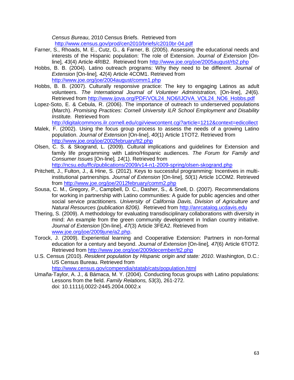*Census Bureau*, 2010 Census Briefs. Retrieved from <http://www.census.gov/prod/cen2010/briefs/c2010br-04.pdf>

- Farner, S., Rhoads, M. E., Cutz, G., & Farner, B. (2005). Assessing the educational needs and interests of the Hispanic population: The role of Extension. *Journal of Extension* [Online]*, 43*(4) Article 4RIB2. Retrieved from<http://www.joe.org/joe/2005august/rb2.php>
- Hobbs, B. B. (2004). Latino outreach programs: Why they need to be different. *Journal of Extension* [On-line]*, 42*(4) Article 4COM1. Retrieved from <http://www.joe.org/joe/2004august/comm1.php>
- Hobbs, B. B. (2007). Culturally responsive practice: The key to engaging Latinos as adult volunteers. *The International Journal of Volunteer Administration,* [On-line], *24*(6). Retrieved from [http://www.ijova.org/PDF/VOL24\\_NO6/IJOVA\\_VOL24\\_NO6\\_Hobbs.pdf](http://www.ijova.org/PDF/VOL24_NO6/IJOVA_VOL24_NO6_Hobbs.pdf)
- Lopez-Soto, E. & Cebula, R. (2006). The importance of outreach to underserved populations (March). *Promising Practices: Cornell University ILR School Employment and Disability Institute.* Retrieved from

<http://digitalcommons.ilr.cornell.edu/cgi/viewcontent.cgi?article=1212&context=edicollect>

- Malek, F. (2002). Using the focus group process to assess the needs of a growing Latino population. *Journal of Extension* [On-line], *40*(1) Article 1TOT2. Retrieved from <http://www.joe.org/joe/2002february/tt2.php>
- Olsen, C. S. & Skogrand, L. (2009). Cultural implications and guidelines for Extension and family life programming with Latino/Hispanic audiences. *The Forum for Family and Consumer Issues* [On-line]*, 14*(1). Retrieved from

<http://ncsu.edu/ffci/publications/2009/v14-n1-2009-spring/olsen-skogrand.php>

- Pritchett, J., Fulton, J., & Hine, S. (2012). Keys to successful programming: Incentives in multiinstitutional partnerships. *Journal of Extension* [On-line], *50*(1) Article 1COM2. Retrieved from<http://www.joe.org/joe/2012february/comm2.php>
- Sousa, C. M., Gregory, P., Campbell, D. C., Dasher, S., & Snell, D. (2007). Recommendations for working in partnership with Latino communities: A guide for public agencies and other social service practitioners. *University of California Davis, Division of Agriculture and Natural Resources (publication 8206).* Retrieved from [http://anrcatalog.ucdavis.edu](http://anrcatalog.ucdavis.edu/)
- Thering, S. (2009). A methodology for evaluating transdisciplinary collaborations with diversity in mind: An example from the green community development in Indian country initiative. *Journal of Extension* [On-line], *47*(3) Article 3FEA2. Retrieved from [www.joe.org/joe/2009june/a2.php.](http://www.joe.org/joe/2009june/a2.php)
- Torock, J. (2009). Experiential learning and Cooperative Extension: Partners in non-formal education for a century and beyond. *Journal of Extension* [On-line]*, 47*(6) Article 6TOT2. Retrieved from<http://www.joe.org/joe/2009december/tt2.php>
- U.S. Census (2010). *Resident population by Hispanic origin and state: 2010*. Washington, D.C.: US Census Bureau. Retrieved from

<http://www.census.gov/compendia/statab/cats/population.html>

Umaña-Taylor, A. J., & Bámaca, M. Y. (2004). Conducting focus groups with Latino populations: Lessons from the field. *Family Relations, 53*(3), 261-272. doi: 10.1111/j.0022-2445.2004.0002.x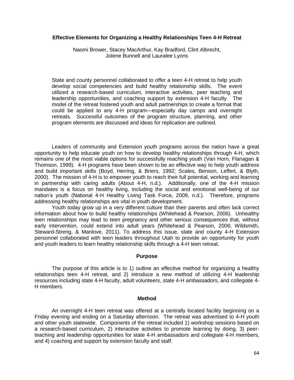#### **Effective Elements for Organizing a Healthy Relationships Teen 4-H Retreat**

Naomi Brower, Stacey MacArthur, Kay Bradford, Clint Albrecht, Jolene Bunnell and Lauralee Lyons

State and county personnel collaborated to offer a teen 4-H retreat to help youth develop social competencies and build healthy relationship skills. The event utilized a research-based curriculum, interactive activities, peer teaching and leadership opportunities, and coaching support by extension 4-H faculty. The model of the retreat fostered youth and adult partnerships to create a format that could be applied to any 4-H program—especially day camps and overnight retreats. Successful outcomes of the program structure, planning, and other program elements are discussed and ideas for replication are outlined.

Leaders of community and Extension youth programs across the nation have a great opportunity to help educate youth on how to develop healthy relationships through 4-H, which remains one of the most viable options for successfully reaching youth (Van Horn, Flanagan & Thomson, 1999). 4-H programs have been shown to be an effective way to help youth address and build important skills (Boyd, Herring, & Briers, 1992; Scales, Benson, Leffert, & Blyth, 2000). The mission of 4-H is to empower youth to reach their full potential, working and learning in partnership with caring adults (About 4-H, n.d.). Additionally, one of the 4-H mission mandates is a focus on healthy living, including the social and emotional well-being of our nation's youth (National 4-H Healthy Living Task Force, 2009, n.d.). Therefore, programs addressing healthy relationships are vital in youth development.

Youth today grow up in a very different culture than their parents and often lack correct information about how to build healthy relationships (Whitehead & Pearson, 2006). Unhealthy teen relationships may lead to teen pregnancy and other serious consequences that, without early intervention, could extend into adult years (Whitehead & Pearson, 2006; Wildsmith, Steward-Streng, & Manlove, 2011). To address this issue, state and county 4-H Extension personnel collaborated with teen leaders throughout Utah to provide an opportunity for youth and youth leaders to learn healthy relationship skills through a 4-H teen retreat.

#### **Purpose**

The purpose of this article is to 1) outline an effective method for organizing a healthy relationships teen 4-H retreat, and 2) introduce a new method of utilizing 4-H leadership resources including state 4-H faculty, adult volunteers, state 4-H ambassadors, and collegiate 4- H members.

#### **Method**

An overnight 4-H teen retreat was offered at a centrally located facility beginning on a Friday evening and ending on a Saturday afternoon. The retreat was advertised to 4-H youth and other youth statewide. Components of the retreat included 1) workshop sessions based on a research-based curriculum, 2) interactive activities to promote learning by doing, 3) peerteaching and leadership opportunities for state 4-H ambassadors and collegiate 4-H members, and 4) coaching and support by extension faculty and staff.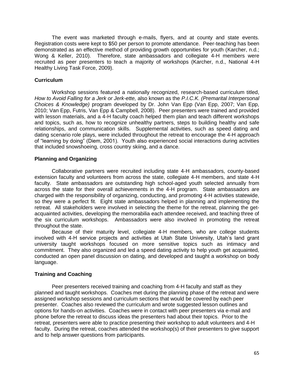The event was marketed through e-mails, flyers, and at county and state events. Registration costs were kept to \$50 per person to promote attendance. Peer-teaching has been demonstrated as an effective method of providing growth opportunities for youth (Karcher, n.d.; Wong & Keller, 2010). Therefore, state ambassadors and collegiate 4-H members were recruited as peer presenters to teach a majority of workshops (Karcher, n.d., National 4-H Healthy Living Task Force, 2009).

## **Curriculum**

Workshop sessions featured a nationally recognized, research-based curriculum titled, *How to Avoid Falling for a Jerk or Jerk-ette,* also known as the *P.I.C.K. (Premarital Interpersonal Choices & Knowledge)* program developed by Dr. John Van Epp (Van Epp, 2007; Van Epp, 2010; Van Epp, Futris, Van Epp & Campbell, 2008). Peer presenters were trained and provided with lesson materials, and a 4-H faculty coach helped them plan and teach different workshops and topics, such as, how to recognize unhealthy partners, steps to building healthy and safe relationships, and communication skills. Supplemental activities, such as speed dating and dating scenario role plays, were included throughout the retreat to encourage the 4-H approach of "learning by doing" (Diem, 2001). Youth also experienced social interactions during activities that included snowshoeing, cross country skiing, and a dance.

## **Planning and Organizing**

Collaborative partners were recruited including state 4-H ambassadors, county-based extension faculty and volunteers from across the state, collegiate 4-H members, and state 4-H faculty. State ambassadors are outstanding high school-aged youth selected annually from across the state for their overall achievements in the 4-H program. State ambassadors are charged with the responsibility of organizing, conducting, and promoting 4-H activities statewide, so they were a perfect fit. Eight state ambassadors helped in planning and implementing the retreat. All stakeholders were involved in selecting the theme for the retreat, planning the getacquainted activities, developing the memorabilia each attendee received, and teaching three of the six curriculum workshops. Ambassadors were also involved in promoting the retreat throughout the state.

Because of their maturity level, collegiate 4-H members, who are college students involved with 4-H service projects and activities at Utah State University, Utah's land grant university taught workshops focused on more sensitive topics such as intimacy and commitment. They also organized and led a speed dating activity to help youth get acquainted, conducted an open panel discussion on dating, and developed and taught a workshop on body language.

## **Training and Coaching**

Peer presenters received training and coaching from 4-H faculty and staff as they planned and taught workshops. Coaches met during the planning phase of the retreat and were assigned workshop sessions and curriculum sections that would be covered by each peer presenter. Coaches also reviewed the curriculum and wrote suggested lesson outlines and options for hands-on activities. Coaches were in contact with peer presenters via e-mail and phone before the retreat to discuss ideas the presenters had about their topics. Prior to the retreat, presenters were able to practice presenting their workshop to adult volunteers and 4-H faculty. During the retreat, coaches attended the workshop(s) of their presenters to give support and to help answer questions from participants.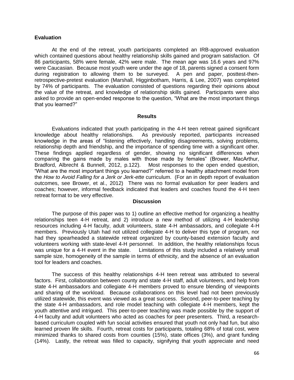## **Evaluation**

At the end of the retreat, youth participants completed an IRB-approved evaluation which contained questions about healthy relationship skills gained and program satisfaction. Of 86 participants, 58% were female, 42% were male. The mean age was 16.6 years and 97% were Caucasian. Because most youth were under the age of 18, parents signed a consent form during registration to allowing them to be surveyed. A pen and paper, posttest-thenretrospective-pretest evaluation (Marshall, Higginbotham, Harris, & Lee, 2007) was completed by 74% of participants. The evaluation consisted of questions regarding their opinions about the value of the retreat, and knowledge of relationship skills gained. Participants were also asked to provide an open-ended response to the question, "What are the most important things that you learned?"

## **Results**

Evaluations indicated that youth participating in the 4-H teen retreat gained significant knowledge about healthy relationships. As previously reported, participants increased knowledge in the areas of "listening effectively, handling disagreements, solving problems, relationship depth and friendship, and the importance of spending time with a significant other. These findings applied regardless of gender, showing no significant differences when comparing the gains made by males with those made by females" (Brower, MacArthur, Bradford, Albrecht & Bunnell, 2012, p.122). Most responses to the open ended question, "What are the most important things you learned?" referred to a healthy attachment model from the *How to Avoid Falling for a Jerk or Jerk-ette* curriculum. (For an in depth report of evaluation outcomes, see Brower, et al., 2012) There was no formal evaluation for peer leaders and coaches; however, informal feedback indicated that leaders and coaches found the 4-H teen retreat format to be very effective.

## **Discussion**

The purpose of this paper was to 1) outline an effective method for organizing a healthy relationships teen 4-H retreat, and 2) introduce a new method of utilizing 4-H leadership resources including 4-H faculty, adult volunteers, state 4-H ambassadors, and collegiate 4-H members. Previously Utah had not utilized collegiate 4-H to deliver this type of program, nor had they spearheaded a statewide retreat organized by county-based extension faculty and volunteers working with state-level 4-H personnel. In addition, the healthy relationships focus was unique for a 4-H event in the state. Limitations of this study included a relatively small sample size, homogeneity of the sample in terms of ethnicity, and the absence of an evaluation tool for leaders and coaches.

The success of this healthy relationships 4-H teen retreat was attributed to several factors. First, collaboration between county and state 4-H staff, adult volunteers, and help from state 4-H ambassadors and collegiate 4-H members proved to ensure blending of viewpoints and sharing of the workload. Because collaborations on this level had not been previously utilized statewide, this event was viewed as a great success. Second, peer-to-peer teaching by the state 4-H ambassadors, and role model teaching with collegiate 4-H members, kept the youth attentive and intrigued. This peer-to-peer teaching was made possible by the support of 4-H faculty and adult volunteers who acted as coaches for peer presenters. Third, a researchbased curriculum coupled with fun social activities ensured that youth not only had fun, but also learned proven life skills. Fourth, retreat costs for participants, totaling 68% of total cost, were minimized thanks to shared costs from counties (15%), state offices (3%), and grant funding (14%). Lastly, the retreat was filled to capacity, signifying that youth appreciate and need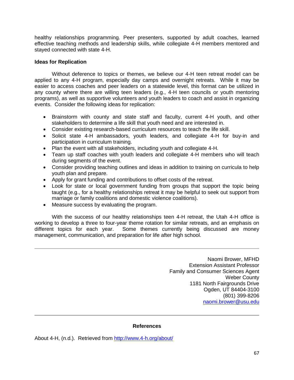healthy relationships programming. Peer presenters, supported by adult coaches, learned effective teaching methods and leadership skills, while collegiate 4-H members mentored and stayed connected with state 4-H.

## **Ideas for Replication**

Without deference to topics or themes, we believe our 4-H teen retreat model can be applied to any 4-H program, especially day camps and overnight retreats. While it may be easier to access coaches and peer leaders on a statewide level, this format can be utilized in any county where there are willing teen leaders (e.g., 4-H teen councils or youth mentoring programs), as well as supportive volunteers and youth leaders to coach and assist in organizing events. Consider the following ideas for replication:

- Brainstorm with county and state staff and faculty, current 4-H youth, and other stakeholders to determine a life skill that youth need and are interested in.
- Consider existing research-based curriculum resources to teach the life skill.
- Solicit state 4-H ambassadors, youth leaders, and collegiate 4-H for buy-in and participation in curriculum training.
- Plan the event with all stakeholders, including youth and collegiate 4-H.
- Team up staff coaches with youth leaders and collegiate 4-H members who will teach during segments of the event.
- Consider providing teaching outlines and ideas in addition to training on curricula to help youth plan and prepare.
- Apply for grant funding and contributions to offset costs of the retreat.
- Look for state or local government funding from groups that support the topic being taught (e.g., for a healthy relationships retreat it may be helpful to seek out support from marriage or family coalitions and domestic violence coalitions).
- Measure success by evaluating the program.

With the success of our healthy relationships teen 4-H retreat, the Utah 4-H office is working to develop a three to four-year theme rotation for similar retreats, and an emphasis on different topics for each year. Some themes currently being discussed are money management, communication, and preparation for life after high school.

> Naomi Brower, MFHD Extension Assistant Professor Family and Consumer Sciences Agent Weber County 1181 North Fairgrounds Drive Ogden, UT 84404-3100 (801) 399-8206 [naomi.brower@usu.edu](mailto:naomi.brower@usu.edu)

## **References**

About 4-H, (n.d.). Retrieved from<http://www.4-h.org/about/>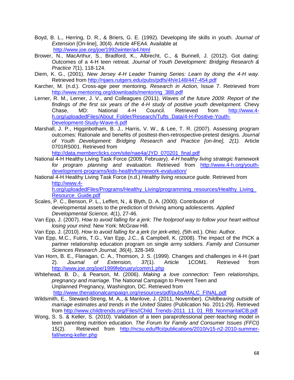- Boyd, B. L., Herring, D. R., & Briers, G. E. (1992). Developing life skills in youth. *Journal of Extension* [On-line], *30*(4). Article 4FEA4. Available at <http://www.joe.org/joe/1992winter/a4.html>
- Brower, N., MacArthur, S., Bradford, K., Albrecht, C., & Bunnell, J. (2012). Got dating: Outcomes of a 4-H teen retreat. *Journal of Youth Development: Bridging Research & Practice 7*(1), 118-124.
- Diem, K. G., (2001). *New Jersey 4-H Leader Training Series: Learn by doing the 4-H way.* Retrieved from<http://njaes.rutgers.edu/pubs/pdfs/4h/e148/447-454.pdf>
- Karcher, M. (n.d.). Cross-age peer mentoring. *Research in Action*, Issue 7. Retrieved from [http://www.mentoring.org/downloads/mentoring\\_388.pdf](http://www.mentoring.org/downloads/mentoring_388.pdf)
- Lerner, R. M., Lerner, J. V., and Colleagues (2011). *Waves of the future 2009: Report of the findings of the first six years of the 4-H study of positive youth development.* Chevy Chase, MD: National 4-H Council. Retrieved from [http://www.4](http://www.4-h.org/uploadedFiles/About_Folder/Research/Tufts_Data/4-H-Positive-Youth-Development-Study-Wave-6.pdf) [h.org/uploadedFiles/About\\_Folder/Research/Tufts\\_Data/4-H-Positive-Youth-](http://www.4-h.org/uploadedFiles/About_Folder/Research/Tufts_Data/4-H-Positive-Youth-Development-Study-Wave-6.pdf)[Development-Study-Wave-6.pdf](http://www.4-h.org/uploadedFiles/About_Folder/Research/Tufts_Data/4-H-Positive-Youth-Development-Study-Wave-6.pdf)
- Marshall, J. P., Higginbotham, B. J., Harris, V. W., & Lee, T. R. (2007). Assessing program outcomes: Rationale and benefits of posttest-then-retrospective-pretest designs. *Journal of Youth Development: Bridging Research and Practice [on-line], 2(1).* Article 0701RS001. Retrieved from

[http://data.memberclicks.com/site/nae4a/JYD\\_070201\\_final.pdf](http://data.memberclicks.com/site/nae4a/JYD_070201_final.pdf)

- National 4-H Healthy Living Task Force (2009, February). *4-H healthy living strategic framework for program planning and evaluation.* Retrieved from [http://www.4-h.org/youth](http://www.4-h.org/youth-development-programs/kids-health/framework-evaluation/)[development-programs/kids-health/framework-evaluation/](http://www.4-h.org/youth-development-programs/kids-health/framework-evaluation/)
- National 4-H Healthy Living Task Force (n.d.) *Healthy living resource guide.* Retrieved from [http://www.4](http://www.4-h.org/uploadedFiles/Programs/Healthy_Living/programming_resources/Healthy_Living_Resource_Guide.pdf) [h.org/uploadedFiles/Programs/Healthy\\_Living/programming\\_resources/Healthy\\_Living\\_](http://www.4-h.org/uploadedFiles/Programs/Healthy_Living/programming_resources/Healthy_Living_Resource_Guide.pdf) Resource Guide.pdf
- Scales, P. C., Benson, P. L., Leffert, N., & Blyth, D. A. (2000). Contribution of developmental assets to the prediction of thriving among adolescents. *Applied Developmental Science, 4*(1), 27-46.
- Van Epp, J. (2007). *How to avoid falling for a jerk: The foolproof way to follow your heart without losing your mind.* New York: McGraw Hill.
- Van Epp, J. (2010). *How to avoid falling for a jerk (or jerk-ette), (*5th ed*.*). Ohio: Author.
- Van Epp, M.C., Futris, T.G., Van Epp, J.C., & Campbell, K. (2008). The impact of the PICK a partner relationship education program on single army soldiers. *Family and Consumer Sciences Research Journal, 36*(4), 328-349.
- Van Horn, B. E., Flanagan, C. A., Thomson, J. S. (1999). Changes and challenges in 4-H (part 2). *Journal of Extension, 37*(1). Article 1COM1. Retrieved from <http://www.joe.org/joe/1999february/comm1.php>

Whitehead, B. D., & Pearson, M. (2006). *Making a love connection: Teen relationships, pregnancy and marriage.* The National Campaign to Prevent Teen and Unplanned Pregnancy, Washington, DC. Retrieved from [http://www.thenationalcampaign.org/resources/pdf/pubs/MALC\\_FINAL.pdf](http://www.thenationalcampaign.org/resources/pdf/pubs/MALC_FINAL.pdf)

- Wildsmith, E., Steward-Streng, M. A., & Manlove, J. (2011, November). *Childbearing outside of marriage estimates and trends in the United States* (Publication No. 2011-29)*.* Retrieved from [http://www.childtrends.org/Files//Child\\_Trends-2011\\_11\\_01\\_RB\\_NonmaritalCB.pdf](http://www.childtrends.org/Files/Child_Trends-2011_11_01_RB_NonmaritalCB.pdf)
- Wong, S. S. & Keller, S. (2010). Validation of a teen paraprofessional peer-teaching model in teen parenting nutrition education. *The Forum for Family and Consumer Issues (FFCI)* 15(2). Retrieved from [http://ncsu.edu/ffci/publications/2010/v15-n2-2010-summer](http://ncsu.edu/ffci/publications/2010/v15-n2-2010-summer-fall/wong-keller.php)[fall/wong-keller.php](http://ncsu.edu/ffci/publications/2010/v15-n2-2010-summer-fall/wong-keller.php)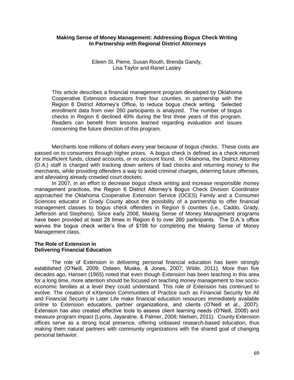## **Making Sense of Money Management: Addressing Bogus Check Writing In Partnership with Regional District Attorneys**

Eileen St. Pierre, Susan Routh, Brenda Gandy, Lisa Taylor and Ranel Lasley

This article describes a financial management program developed by Oklahoma Cooperative Extension educators from four counties, in partnership with the Region 6 District Attorney's Office, to reduce bogus check writing. Selected enrollment data from over 260 participants is analyzed. The number of bogus checks in Region 6 declined 40% during the first three years of this program. Readers can benefit from lessons learned regarding evaluation and issues concerning the future direction of this program.

Merchants lose millions of dollars every year because of bogus checks. These costs are passed on to consumers through higher prices. A bogus check is defined as a check returned for insufficient funds, closed accounts, or no account found. In Oklahoma, the District Attorney (D.A.) staff is charged with tracking down writers of bad checks and returning money to the merchants, while providing offenders a way to avoid criminal charges, deterring future offenses, and alleviating already crowded court dockets.

In 2007, in an effort to decrease bogus check writing and increase responsible money management practices, the Region 6 District Attorney's Bogus Check Division Coordinator approached the Oklahoma Cooperative Extension Service (OCES) Family and a Consumer Sciences educator in Grady County about the possibility of a partnership to offer financial management classes to bogus check offenders in Region 6 counties (i.e., Caddo, Grady, Jefferson and Stephens). Since early 2008, Making Sense of Money Management programs have been provided at least 28 times in Region 6 to over 260 participants. The D.A.'s office waives the bogus check writer's fine of \$198 for completing the Making Sense of Money Management class.

#### **The Role of Extension in Delivering Financial Education**

The role of Extension in delivering personal financial education has been strongly established (O'Neill, 2009; Osteen, Muske, & Jones, 2007; Wilde, 2011). More than five decades ago, Hansen (1965) noted that even though Extension has been teaching in this area for a long time, more attention should be focused on teaching money management to low socioeconomic families at a level they could understand. This role of Extension has continued to evolve. The creation of eXtension Communities of Practice such as Financial Security for All and Financial Security in Later Life make financial education resources immediately available online to Extension educators, partner organizations, and clients (O'Neill et al., 2007). Extension has also created effective tools to assess client learning needs (O'Neill, 2008) and measure program impact (Lyons, Jayaratne, & Palmer, 2008; Nielsen, 2011). County Extension offices serve as a strong local presence, offering unbiased research-based education, thus making them natural partners with community organizations with the shared goal of changing personal behavior.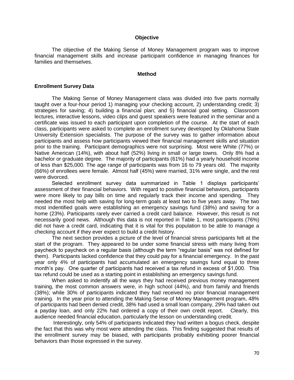#### **Objective**

The objective of the Making Sense of Money Management program was to improve financial management skills and increase participant confidence in managing finances for families and themselves.

#### **Method**

#### **Enrollment Survey Data**

The Making Sense of Money Management class was divided into five parts normally taught over a four-hour period 1) managing your checking account, 2) understanding credit; 3) strategies for saving; 4) building a financial plan; and 5) financial goal setting. Classroom lectures, interactive lessons, video clips and guest speakers were featured in the seminar and a certificate was issued to each participant upon completion of the course. At the start of each class, participants were asked to complete an enrollment survey developed by Oklahoma State University Extension specialists. The purpose of the survey was to gather information about participants and assess how participants viewed their financial management skills and situation prior to the training. Participant demographics were not surprising. Most were White (77%) or Native American (14%), with about half (52%) living in small or large towns. Only 8% had a bachelor or graduate degree. The majority of participants (61%) had a yearly household income of less than \$25,000. The age range of participants was from 16 to 79 years old. The majority (66%) of enrollees were female. Almost half (45%) were married, 31% were single, and the rest were divorced.

Selected enrollment survey data summarized in Table 1 displays participants' assessment of their financial behaviors. With regard to positive financial behaviors, participants were more likely to pay bills on time and regularly track their income and spending. They needed the most help with saving for long-term goals at least two to five years away. The two most indentified goals were establishing an emergency savings fund (38%) and saving for a home (23%). Participants rarely ever carried a credit card balance. However, this result is not necessarily good news. Although this data is not reported in Table 1, most participants (76%) did not have a credit card, indicating that it is vital for this population to be able to manage a checking account if they ever expect to build a credit history.

The next section provides a picture of the level of financial stress participants felt at the start of the program. They appeared to be under some financial stress with many living from paycheck to paycheck on a regular basis (although the term "regular basis" was not defined for them). Participants lacked confidence that they could pay for a financial emergency. In the past year only 4% of participants had accumulated an emergency savings fund equal to three month's pay. One quarter of participants had received a tax refund in excess of \$1,000. This tax refund could be used as a starting point in establishing an emergency savings fund.

When asked to indentify all the ways they had received previous money management training, the most common answers were, in high school (44%), and from family and friends (38%); while 30% of participants indicated they had received no prior financial management training. In the year prior to attending the Making Sense of Money Management program, 48% of participants had been denied credit, 38% had used a small loan company, 29% had taken out a payday loan, and only 22% had ordered a copy of their own credit report. Clearly, this audience needed financial education, particularly the lesson on understanding credit.

Interestingly, only 54% of participants indicated they had written a bogus check, despite the fact that this was why most were attending the class. This finding suggested that results of the enrollment survey may be biased, with participants probably exhibiting poorer financial behaviors than those expressed in the survey.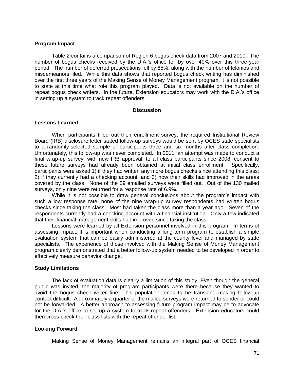#### **Program Impact**

Table 2 contains a comparison of Region 6 bogus check data from 2007 and 2010. The number of bogus checks received by the D.A.'s office fell by over 40% over this three-year period. The number of deferred prosecutions fell by 85%, along with the number of felonies and misdemeanors filed. While this data shows that reported bogus check writing has diminished over the first three years of the Making Sense of Money Management program, it is not possible to state at this time what role this program played. Data is not available on the number of repeat bogus check writers. In the future, Extension educators may work with the D.A.'s office in setting up a system to track repeat offenders.

#### **Discussion**

#### **Lessons Learned**

When participants filled out their enrollment survey, the required Institutional Review Board (IRB) disclosure letter stated follow-up surveys would be sent by OCES state specialists to a randomly-selected sample of participants three and six months after class completion. Unfortunately, this follow-up was never completed. In 2011, an attempt was made to conduct a final wrap-up survey, with new IRB approval, to all class participants since 2008; consent to these future surveys had already been obtained at initial class enrollment. Specifically, participants were asked 1) if they had written any more bogus checks since attending this class; 2) if they currently had a checking account; and 3) how their skills had improved in the areas covered by the class. None of the 59 emailed surveys were filled out. Out of the 130 mailed surveys, only nine were returned for a response rate of 6.9%.

While it is not possible to draw general conclusions about the program's impact with such a low response rate, none of the nine wrap-up survey respondents had written bogus checks since taking the class. Most had taken the class more than a year ago. Seven of the respondents currently had a checking account with a financial institution. Only a few indicated that their financial management skills had improved since taking the class.

Lessons were learned by all Extension personnel involved in this program. In terms of assessing impact, it is important when conducting a long-term program to establish a simple evaluation system that can be easily administered at the county level and managed by state specialists. The experience of those involved with the Making Sense of Money Management program clearly demonstrated that a better follow-up system needed to be developed in order to effectively measure behavior change.

## **Study Limitations**

The lack of evaluation data is clearly a limitation of this study. Even though the general public was invited, the majority of program participants were there because they wanted to avoid the bogus check writer fine. This population tends to be transient, making follow-up contact difficult. Approximately a quarter of the mailed surveys were returned to sender or could not be forwarded. A better approach to assessing future program impact may be to advocate for the D.A.'s office to set up a system to track repeat offenders. Extension educators could then cross-check their class lists with the repeat offender list.

## **Looking Forward**

Making Sense of Money Management remains an integral part of OCES financial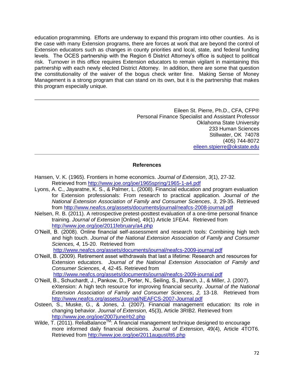education programming. Efforts are underway to expand this program into other counties. As is the case with many Extension programs, there are forces at work that are beyond the control of Extension educators such as changes in county priorities and local, state, and federal funding levels. The OCES partnership with the Region 6 District Attorney's office is subject to political risk. Turnover in this office requires Extension educators to remain vigilant in maintaining this partnership with each newly elected District Attorney. In addition, there are some that question the constitutionality of the waiver of the bogus check writer fine. Making Sense of Money Management is a strong program that can stand on its own, but it is the partnership that makes this program especially unique.

> Eileen St. Pierre, Ph.D., CFA, CFP® Personal Finance Specialist and Assistant Professor Oklahoma State University 233 Human Sciences Stillwater, OK 74078 (405) 744-8072 [eileen.stpierre@okstate.edu](mailto:eileen.stpierre@okstate.edu)

### **References**

- Hansen, V. K. (1965). Frontiers in home economics. *Journal of Extension*, *3*(1), 27-32. Retrieved from<http://www.joe.org/joe/1965spring/1965-1-a4.pdf>
- Lyons, A. C., Jayaratne, K. S., & Palmer, L. (2008). Financial education and program evaluation for Extension professionals: From research to practical application. *Journal of the National Extension Association of Family and Consumer Sciences*, *3*, 29-35. Retrieved from<http://www.neafcs.org/assets/documents/journal/neafcs-2008-journal.pdf>
- Nielsen, R. B. (2011). A retrospective pretest-posttest evaluation of a one-time personal finance training. *Journal of Extension* [Online], 49(1) Article 1FEA4. Retrieved from <http://www.joe.org/joe/2011february/a4.php>
- O'Neill, B. (2008). Online financial self-assessment and research tools: Combining high tech and high touch. *Journal of the National Extension Association of Family and Consumer Sciences, 4,* 15-20. Retrieved from <http://www.neafcs.org/assets/documents/journal/neafcs-2009-journal.pdf>
- O'Neill, B. (2009). Retirement asset withdrawals that last a lifetime: Research and resources for Extension educators. *Journal of the National Extension Association of Family and Consumer Sciences*, *4,* 42-45. Retrieved from <http://www.neafcs.org/assets/documents/journal/neafcs-2009-journal.pdf>
- O'Neill, B., Schuchardt, J., Pankow, D., Porter, N., Seiling, S., Branch, J., & Miller, J. (2007). eXtension: A high tech resource for improving financial security. *Journal of the National Extension Association of Family and Consumer Sciences*, *2,* 13-18. Retrieved from <http://www.neafcs.org/assets/Journal/NEAFCS-2007-Journal.pdf>
- Osteen, S., Muske, G., & Jones, J. (2007). Financial management education: Its role in changing behavior. *Journal of Extension,* 45(3), Article 3RIB2. Retrieved from <http://www.joe.org/joe/2007june/rb2.php>
- Wilde, T. (2011). ReliaBalance<sup>™</sup>: A financial management technique designed to encourage more informed daily financial decisions. *Journal of Extension*, 49(4), Article 4TOT6. Retrieved from<http://www.joe.org/joe/2011august/tt6.php>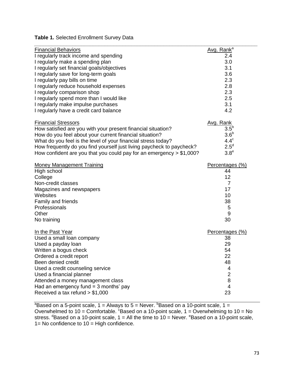# **Table 1.** Selected Enrollment Survey Data

| <b>Financial Behaviors</b>                                             | Avg. Rank <sup>a</sup> |
|------------------------------------------------------------------------|------------------------|
| I regularly track income and spending                                  | 2.4                    |
| I regularly make a spending plan                                       | 3.0                    |
| I regularly set financial goals/objectives                             | 3.1                    |
| I regularly save for long-term goals                                   | 3.6                    |
| I regularly pay bills on time                                          | 2.3                    |
| I regularly reduce household expenses                                  | 2.8                    |
| I regularly comparison shop                                            | 2.3                    |
| I regularly spend more than I would like                               | 2.5                    |
| I regularly make impulse purchases                                     | 3.1                    |
| I regularly have a credit card balance                                 | 4.2                    |
| <b>Financial Stressors</b>                                             | Avg. Rank              |
| How satisfied are you with your present financial situation?           | 3.5 <sup>b</sup>       |
| How do you feel about your current financial situation?                | 3.6 <sup>b</sup>       |
| What do you feel is the level of your financial stress today?          | $4.4^\circ$            |
| How frequently do you find yourself just living paycheck to paycheck?  | $2.5^d$                |
| How confident are you that you could pay for an emergency $> $1,000$ ? | 3.8 <sup>e</sup>       |
| <b>Money Management Training</b>                                       | Percentages (%)        |
| High school                                                            | 44                     |
| College                                                                | 12                     |
| Non-credit classes                                                     | $\overline{7}$         |
| Magazines and newspapers                                               | 17                     |
| Websites                                                               | 10                     |
| Family and friends                                                     | 38                     |
| Professionals                                                          | 5                      |
| Other                                                                  | 9                      |
| No training                                                            | 30                     |
| In the Past Year                                                       | Percentages (%)        |
| Used a small loan company                                              | 38                     |
| Used a payday loan                                                     | 29                     |
| Written a bogus check                                                  | 54                     |
| Ordered a credit report                                                | 22                     |
| Been denied credit                                                     | 48                     |
| Used a credit counseling service                                       | 4                      |
| Used a financial planner                                               | $\overline{2}$         |
| Attended a money management class                                      | 8                      |
| Had an emergency fund $=$ 3 months' pay                                | $\overline{4}$         |
| Received a tax refund > \$1,000                                        | 23                     |

<sup>a</sup>Based on a 5-point scale, 1 = Always to 5 = Never.  $b$ Based on a 10-point scale, 1 = Overwhelmed to 10 = Comfortable.  $^{c}$ Based on a 10-point scale, 1 = Overwhelming to 10 = No stress.  $\mathrm{d}\mathsf{Based}$  on a 10-point scale, 1 = All the time to 10 = Never.  $\mathrm{e}\mathsf{Based}$  on a 10-point scale, 1= No confidence to 10 = High confidence.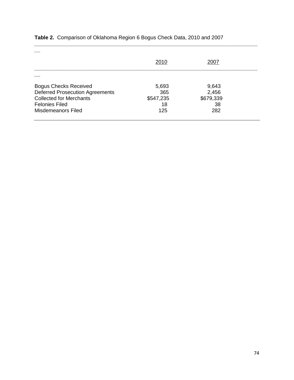|                                        | 2010      | 2007      |  |
|----------------------------------------|-----------|-----------|--|
| <b>Bogus Checks Received</b>           | 5,693     | 9,643     |  |
| <b>Deferred Prosecution Agreements</b> | 365       | 2,456     |  |
| <b>Collected for Merchants</b>         | \$547,235 | \$679,339 |  |
| <b>Felonies Filed</b>                  | 18        | 38        |  |
| Misdemeanors Filed                     | 125       | 282       |  |

*\_\_\_\_\_\_\_\_\_\_\_\_\_\_\_\_\_\_\_\_\_\_\_\_\_\_\_\_\_\_\_\_\_\_\_\_\_\_\_\_\_\_\_\_\_\_\_\_\_\_\_\_\_\_\_\_\_\_\_\_\_\_\_\_\_\_\_\_\_\_\_\_\_\_\_\_*

# **Table 2.** Comparison of Oklahoma Region 6 Bogus Check Data, 2010 and 2007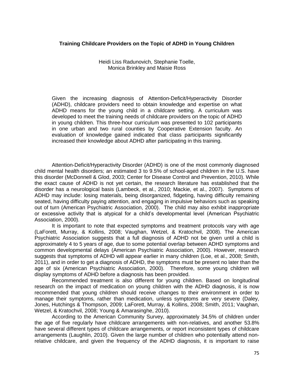### **Training Childcare Providers on the Topic of ADHD in Young Children**

Heidi Liss Radunovich, Stephanie Toelle, Monica Brinkley and Maisie Ross

Given the increasing diagnosis of Attention-Deficit/Hyperactivity Disorder (ADHD), childcare providers need to obtain knowledge and expertise on what ADHD means for the young child in a childcare setting. A curriculum was developed to meet the training needs of childcare providers on the topic of ADHD in young children. This three-hour curriculum was presented to 102 participants in one urban and two rural counties by Cooperative Extension faculty. An evaluation of knowledge gained indicated that class participants significantly increased their knowledge about ADHD after participating in this training.

Attention-Deficit/Hyperactivity Disorder (ADHD) is one of the most commonly diagnosed child mental health disorders; an estimated 3 to 9.5% of school-aged children in the U.S. have this disorder (McDonnell & Glod, 2003; Center for Disease Control and Prevention, 2010). While the exact cause of ADHD is not yet certain, the research literature has established that the disorder has a neurological basis (Lambeck, et al., 2010; Mackie, et al., 2007). Symptoms of ADHD may include: losing materials, being disorganized, fidgeting, having difficulty remaining seated, having difficulty paying attention, and engaging in impulsive behaviors such as speaking out of turn (American Psychiatric Association, 2000). The child may also exhibit inappropriate or excessive activity that is atypical for a child's developmental level (American Psychiatric Association, 2000).

It is important to note that expected symptoms and treatment protocols vary with age (LaForett, Murray, & Kollins, 2008; Vaughan, Wetzel, & Kratochvil, 2008). The American Psychiatric Association suggests that a full diagnosis of ADHD not be given until a child is approximately 4 to 5 years of age, due to some potential overlap between ADHD symptoms and common developmental delays (American Psychiatric Association, 2000). However, research suggests that symptoms of ADHD will appear earlier in many children (Loe, et al., 2008; Smith, 2011), and in order to get a diagnosis of ADHD, the symptoms must be present no later than the age of six (American Psychiatric Association, 2000). Therefore, some young children will display symptoms of ADHD before a diagnosis has been provided.

Recommended treatment is also different for young children. Based on longitudinal research on the impact of medication on young children with the ADHD diagnosis, it is now recommended that young children should receive changes to their environment in order to manage their symptoms, rather than medication, unless symptoms are very severe (Daley, Jones, Hutchings & Thompson, 2009; LaForett, Murray, & Kollins, 2008; Smith, 2011; Vaughan, Wetzel, & Kratochvil, 2008; Young & Amarasinghe, 2010).

According to the American Community Survey, approximately 34.5% of children under the age of five regularly have childcare arrangements with non-relatives, and another 53.8% have several different types of childcare arrangements, or report inconsistent types of childcare arrangements (Laughlin, 2010). Given the large number of children who potentially attend nonrelative childcare, and given the frequency of the ADHD diagnosis, it is important to raise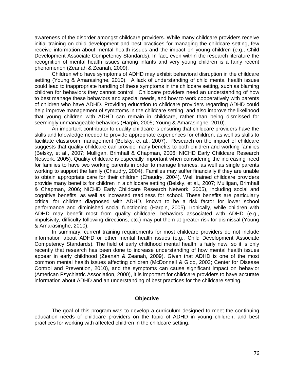awareness of the disorder amongst childcare providers. While many childcare providers receive initial training on child development and best practices for managing the childcare setting, few receive information about mental health issues and the impact on young children (e.g., Child Development Associate Competency Standards). In fact, even within the research literature the recognition of mental health issues among infants and very young children is a fairly recent phenomenon (Zeanah & Zeanah, 2009).

Children who have symptoms of ADHD may exhibit behavioral disruption in the childcare setting (Young & Amarasinghe, 2010). A lack of understanding of child mental health issues could lead to inappropriate handling of these symptoms in the childcare setting, such as blaming children for behaviors they cannot control. Childcare providers need an understanding of how to best manage these behaviors and special needs, and how to work cooperatively with parents of children who have ADHD. Providing education to childcare providers regarding ADHD could help improve management of symptoms in the childcare setting, and also improve the likelihood that young children with ADHD can remain in childcare, rather than being dismissed for seemingly unmanageable behaviors (Harpin, 2005; Young & Amarasinghe, 2010).

An important contributor to quality childcare is ensuring that childcare providers have the skills and knowledge needed to provide appropriate experiences for children, as well as skills to facilitate classroom management (Belsky, et al., 2007). Research on the impact of childcare suggests that quality childcare can provide many benefits to both children and working families (Belsky, et al., 2007; Mulligan, Brimhall & Chapman, 2006; NICHD Early Childcare Research Network, 2005). Quality childcare is especially important when considering the increasing need for families to have two working parents in order to manage finances, as well as single parents working to support the family (Chaudry, 2004). Families may suffer financially if they are unable to obtain appropriate care for their children (Chaudry, 2004). Well trained childcare providers provide many benefits for children in a childcare setting (Belsky, et al., 2007; Mulligan, Brimhall & Chapman, 2006; NICHD Early Childcare Research Network, 2005), including social and cognitive benefits, as well as increased readiness for school. These benefits are particularly critical for children diagnosed with ADHD, known to be a risk factor for lower school performance and diminished social functioning (Harpin, 2005). Ironically, while children with ADHD may benefit most from quality childcare, behaviors associated with ADHD (e.g., impulsivity, difficulty following directions, etc.) may put them at greater risk for dismissal (Young & Amarasinghe, 2010).

In summary, current training requirements for most childcare providers do not include information about ADHD or other mental health issues (e.g., Child Development Associate Competency Standards). The field of early childhood mental health is fairly new, so it is only recently that research has been done to increase understanding of how mental health issues appear in early childhood (Zeanah & Zeanah, 2009). Given that ADHD is one of the most common mental health issues affecting children (McDonnell & Glod, 2003; Center for Disease Control and Prevention, 2010), and the symptoms can cause significant impact on behavior (American Psychiatric Association, 2000), it is important for childcare providers to have accurate information about ADHD and an understanding of best practices for the childcare setting.

### **Objective**

The goal of this program was to develop a curriculum designed to meet the continuing education needs of childcare providers on the topic of ADHD in young children, and best practices for working with affected children in the childcare setting.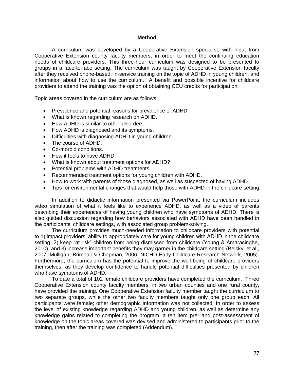#### **Method**

A curriculum was developed by a Cooperative Extension specialist, with input from Cooperative Extension county faculty members, in order to meet the continuing education needs of childcare providers. This three-hour curriculum was designed to be presented to groups in a face-to-face setting. The curriculum was taught by Cooperative Extension faculty after they received phone-based, in-service training on the topic of ADHD in young children, and information about how to use the curriculum. A benefit and possible incentive for childcare providers to attend the training was the option of obtaining CEU credits for participation.

Topic areas covered in the curriculum are as follows:

- Prevalence and potential reasons for prevalence of ADHD.
- What is known regarding research on ADHD.
- How ADHD is similar to other disorders.
- How ADHD is diagnosed and its symptoms.
- Difficulties with diagnosing ADHD in young children.
- The course of ADHD.
- Co-morbid conditions.
- How it feels to have ADHD.
- What is known about treatment options for ADHD?
- Potential problems with ADHD treatments.
- Recommended treatment options for young children with ADHD.
- How to work with parents of those diagnosed, as well as suspected of having ADHD.
- Tips for environmental changes that would help those with ADHD in the childcare setting.

In addition to didactic information presented via PowerPoint, the curriculum includes video simulation of what it feels like to experience ADHD, as well as a video of parents describing their experiences of having young children who have symptoms of ADHD. There is also guided discussion regarding how behaviors associated with ADHD have been handled in the participants' childcare settings, with associated group problem-solving.

The curriculum provides much-needed information to childcare providers with potential to 1) impact providers' ability to appropriately care for young children with ADHD in the childcare setting, 2) keep "at risk" children from being dismissed from childcare (Young & Amarasinghe, 2010), and 3) increase important benefits they may garner in the childcare setting (Belsky, et al., 2007; Mulligan, Brimhall & Chapman, 2006; NICHD Early Childcare Research Network, 2005). Furthermore, the curriculum has the potential to improve the well-being of childcare providers themselves, as they develop confidence to handle potential difficulties presented by children who have symptoms of ADHD.

To date a total of 102 female childcare providers have completed the curriculum. Three Cooperative Extension county faculty members, in two urban counties and one rural county, have provided the training. One Cooperative Extension faculty member taught the curriculum to two separate groups, while the other two faculty members taught only one group each. All participants were female; other demographic information was not collected. In order to assess the level of existing knowledge regarding ADHD and young children, as well as determine any knowledge gains related to completing the program, a ten item pre- and post-assessment of knowledge on the topic areas covered was devised and administered to participants prior to the training, then after the training was completed (Addendum).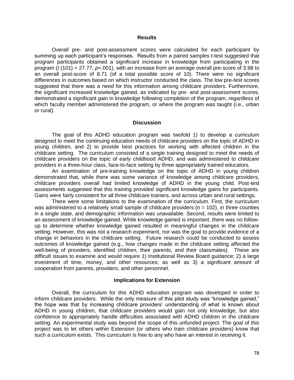#### **Results**

Overall pre- and post-assessment scores were calculated for each participant by summing up each participant's responses. Results from a paired samples t-test suggested that program participants obtained a significant increase in knowledge from participating in the program (*t* (101) = 27.77, *p*<.001), with an increase from an average overall pre-score of 3.98 to an overall post-score of 8.71 (of a total possible score of 10). There were no significant differences in outcomes based on which instructor conducted the class. The low pre-test scores suggested that there was a need for this information among childcare providers. Furthermore, the significant increased knowledge gained, as indicated by pre- and post-assessment scores, demonstrated a significant gain in knowledge following completion of the program, regardless of which faculty member administered the program, or where the program was taught (i.e., urban or rural).

#### **Discussion**

The goal of this ADHD education program was twofold 1) to develop a curriculum designed to meet the continuing education needs of childcare providers on the topic of ADHD in young children, and 2) to provide best practices for working with affected children in the childcare setting. The curriculum consisted of a single training designed to meet the needs of childcare providers on the topic of early childhood ADHD, and was administered to childcare providers in a three-hour class, face-to-face setting by three appropriately trained educators.

An examination of pre-training knowledge on the topic of ADHD in young children demonstrated that, while there was some variance of knowledge among childcare providers, childcare providers overall had limited knowledge of ADHD in the young child. Post-test assessments suggested that this training provided significant knowledge gains for participants. Gains were fairly consistent for all three childcare trainers, and across urban and rural settings.

There were some limitations to the examination of the curriculum. First, the curriculum was administered to a relatively small sample of childcare providers ( $n = 102$ ), in three counties in a single state, and demographic information was unavailable. Second, results were limited to an assessment of knowledge gained. While knowledge gained is important, there was no followup to determine whether knowledge gained resulted in meaningful changes in the childcare setting. However, this was not a research experiment, nor was the goal to provide evidence of a change in behaviors in the childcare setting. Future research could be conducted to assess outcomes of knowledge gained (e.g., how changes made in the childcare setting affected the well-being of providers, identified children, their parents, and their classmates). These are difficult issues to examine and would require 1) Institutional Review Board guidance; 2) a large investment of time, money, and other resources; as well as 3) a significant amount of cooperation from parents, providers, and other personnel.

#### **Implications for Extension**

Overall, the curriculum for this ADHD education program was developed in order to inform childcare providers. While the only measure of this pilot study was "knowledge gained," the hope was that by increasing childcare providers' understanding of what is known about ADHD in young children, that childcare providers would gain not only knowledge, but also confidence to appropriately handle difficulties associated with ADHD children in the childcare setting. An experimental study was beyond the scope of this unfunded project. The goal of this project was to let others within Extension (or others who train childcare providers) know that such a curriculum exists. This curriculum is free to any who have an interest in receiving it.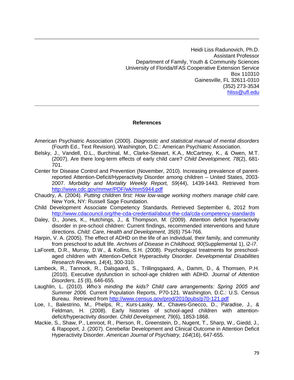Heidi Liss Radunovich, Ph.D. Assistant Professor Department of Family, Youth & Community Sciences University of Florida/IFAS Cooperative Extension Service Box 110310 Gainesville, FL 32611-0310 (352) 273-3534 [hliss@ufl.edu](mailto:hliss@ufl.edu)

#### **References**

- American Psychiatric Association (2000). *Diagnostic and statistical manual of mental disorders*  (Fourth Ed., Text Revision)*.* Washington, D.C.: American Psychiatric Association.
- Belsky, J., Vandell, D.L., Burchinal, M., Clarke-Stewart, K.A., McCartney, K., & Owen, M.T. (2007). Are there long-term effects of early child care? *Child Development, 78*(2), 681- 701.
- Center for Disease Control and Prevention (November, 2010). Increasing prevalence of parentreported Attention-Deficit/Hyperactivity Disorder among children – United States, 2003- 2007. *Morbidity and Mortality Weekly Report, 59*(44), 1439-1443. Retrieved from <http://www.cdc.gov/mmwr/PDF/wk/mm5944.pdf>
- Chaudry, A. (2004). *Putting children first: How low-wage working mothers manage child care*. New York, NY: Russell Sage Foundation.
- Child Development Associate Competency Standards. Retrieved September 6, 2012 from <http://www.cdacouncil.org/the-cda-credential/about-the-cda/cda-competency-standards>
- Daley, D., Jones, K., Hutchings, J., & Thompson, M. (2009). Attention deficit hyperactivity disorder in pre-school children: Current findings, recommended interventions and future directions. *Child: Care, Health and Development, 35*(6) 754-766.
- Harpin, V. A. (2005). The effect of ADHD on the life of an individual, their family, and community from preschool to adult life. *Archives of Disease in Childhood, 90*(Supplemental 1), i2-i7.
- LaForett, D.R., Murray, D.W., & Kollins, S.H. (2008). Psychological treatments for preschoolaged children with Attention-Deficit Hyperactivity Disorder. *Developmental Disabilities Research Reviews, 14*(4), 300-310.
- Lambeck, R., Tannock, R., Dalsgaard, S., Trillingsgaard, A., Damm, D., & Thomsen, P.H. (2010). Executive dysfunction in school-age children with ADHD. *Journal of Attention Disorders, 15* (8), 646-655.
- Laughlin, L. (2010). *Who's minding the kids? Child care arrangements: Spring 2005 and Summer 2006.* Current Population Reports, P70-121. Washington, D.C.: U.S. Census Bureau. Retrieved from<http://www.census.gov/prod/2010pubs/p70-121.pdf>
- Loe, I., Balestrino, M., Phelps, R., Kurs-Lasky, M., Chaves-Gnecco, D., Paradise, J., & Feldman, H. (2008). Early histories of school-aged children with attentiondeficit/hyperactivity disorder. *Child Development, 79*(6), 1853-1868.
- Mackie, S., Shaw, P., Lenroot, R., Pierson, R., Greenstein, D., Nugent, T., Sharp, W., Giedd, J., & Rapoport, J. (2007). Cerebellar Development and Clinical Outcome in Attention Deficit Hyperactivity Disorder. *American Journal of Psychiatry, 164*(16), 647-655.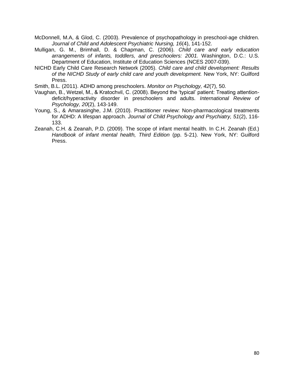- McDonnell, M.A, & Glod, C. (2003). Prevalence of psychopathology in preschool-age children. *Journal of Child and Adolescent Psychiatric Nursing, 16*(4), 141-152.
- Mulligan, G. M., Brimhall, D. & Chapman, C. (2006). *Child care and early education arrangements of infants, toddlers, and preschoolers: 2001.* Washington, D.C.: U.S. Department of Education, Institute of Education Sciences (NCES 2007-039).
- NICHD Early Child Care Research Network (2005). *Child care and child development: Results of the NICHD Study of early child care and youth development.* New York, NY: Guilford Press.
- Smith, B.L. (2011). ADHD among preschoolers. *Monitor on Psychology, 42*(7), 50.
- Vaughan, B., Wetzel, M., & Kratochvil, C. (2008). Beyond the 'typical' patient: Treating attentiondeficit/hyperactivity disorder in preschoolers and adults. *International Review of Psychology, 20*(2), 143-149.
- Young, S., & Amarasinghe, J.M. (2010). Practitioner review: Non-pharmacological treatments for ADHD: A lifespan approach. *Journal of Child Psychology and Psychiatry, 51*(2), 116- 133.
- Zeanah, C.H. & Zeanah, P.D. (2009). The scope of infant mental health. In C.H. Zeanah (Ed.) *Handbook of infant mental health, Third Edition* (pp. 5-21). New York, NY: Guilford Press.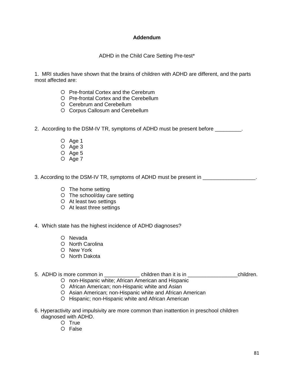# **Addendum**

# ADHD in the Child Care Setting Pre-test\*

1. MRI studies have shown that the brains of children with ADHD are different, and the parts most affected are:

- O Pre-frontal Cortex and the Cerebrum
- O Pre-frontal Cortex and the Cerebellum
- Cerebrum and Cerebellum
- O Corpus Callosum and Cerebellum

2. According to the DSM-IV TR, symptoms of ADHD must be present before \_\_\_\_\_\_\_\_\_.

- O Age 1
- $O$  Age 3
- $O$  Age 5
- O Age 7

3. According to the DSM-IV TR, symptoms of ADHD must be present in \_\_\_\_\_\_\_\_\_\_\_\_\_\_\_\_\_\_.

- The home setting
- The school/day care setting
- At least two settings
- At least three settings
- 4. Which state has the highest incidence of ADHD diagnoses?
	- O Nevada
	- O North Carolina
	- O New York
	- O North Dakota

# 5. ADHD is more common in \_\_\_\_\_\_\_\_\_\_\_\_\_\_\_ children than it is in \_\_\_\_\_\_\_\_\_\_\_\_\_\_\_\_\_\_\_\_\_\_\_\_children.

- non-Hispanic white; African American and Hispanic African American; non-Hispanic white and Asian
- O Asian American; non-Hispanic white and African American
- O Hispanic; non-Hispanic white and African American
- 6. Hyperactivity and impulsivity are more common than inattention in preschool children diagnosed with ADHD.
	- O True
	- O False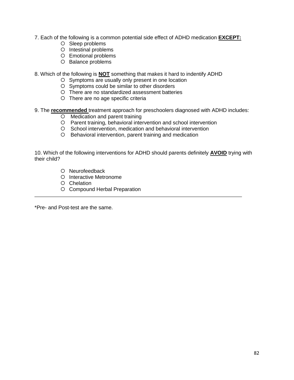- 7. Each of the following is a common potential side effect of ADHD medication **EXCEPT:**
	- O Sleep problems
	- O Intestinal problems
	- Emotional problems
	- O Balance problems
- 8. Which of the following is **NOT** something that makes it hard to indentify ADHD
	- O Symptoms are usually only present in one location
	- Symptoms could be similar to other disorders
	- There are no standardized assessment batteries
	- There are no age specific criteria
- 9. The **recommended** treatment approach for preschoolers diagnosed with ADHD includes:
	- O Medication and parent training
	- Parent training, behavioral intervention and school intervention
	- O School intervention, medication and behavioral intervention
	- Behavioral intervention, parent training and medication

10. Which of the following interventions for ADHD should parents definitely **AVOID** trying with their child?

- O Neurofeedback
- O Interactive Metronome
- O Chelation
- O Compound Herbal Preparation

\*Pre- and Post-test are the same.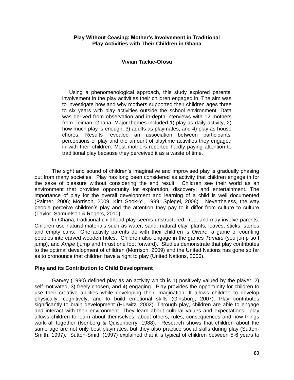### **Play Without Ceasing: Mother's Involvement in Traditional Play Activities with Their Children in Ghana**

### **Vivian Tackie-Ofosu**

Using a phenomenological approach, this study explored parents' involvement in the play activities their children engaged in. The aim was to investigate how and why mothers supported their children ages three to six years with play activities outside the school environment. Data was derived from observation and in-depth interviews with 12 mothers from Teiman, Ghana. Major themes included 1) play as daily activity, 2) how much play is enough, 3) adults as playmates, and 4) play as house chores. Results revealed an association between participants' perceptions of play and the amount of playtime activities they engaged in with their children. Most mothers reported hardly paying attention to traditional play because they perceived it as a waste of time.

The sight and sound of children's imaginative and improvised play is gradually phasing out from many societies. Play has long been considered as activity that children engage in for the sake of pleasure without considering the end result. Children see their world as an environment that provides opportunity for exploration, discovery, and entertainment. The importance of play for the overall development and learning of a child is well documented (Palmer, 2006; Morrison, 2009; Kim Sook-Yi, 1999; Spiegel, 2008). Nevertheless, the way people perceive children's play and the attention they pay to it differ from culture to culture (Taylor, Samuelson & Rogers, 2010).

In Ghana, traditional childhood play seems unstructured, free, and may involve parents. Children use natural materials such as water, sand, natural clay, plants, leaves, sticks, stones and empty cans. One activity parents do with their children is *Oware*, a game of counting pebbles into carved wooden holes. Children also engage in the games *Tumatu* (you jump so I jump), and *Ampe* (jump and thrust one foot forward). Studies demonstrate that play contributes to the optimal development of children (Morrison, 2009) and the United Nations has gone so far as to pronounce that children have a right to play (United Nations, 2006).

### **Play and its Contribution to Child Development**

Garvey (1990) defined play as an activity which is 1) positively valued by the player, 2) self-motivated, 3) freely chosen, and 4) engaging. Play provides the opportunity for children to use their creative abilities while developing their imagination. It allows children to develop physically, cognitively, and to build emotional skills (Ginsburg, 2007). Play contributes significantly to brain development (Hurwitz, 2002). Through play, children are able to engage and interact with their environment. They learn about cultural values and expectations—play allows children to learn about themselves, about others, rules, consequences and how things work all together (Isenberg & Quisenberry, 1988). Research shows that children about the same age are not only best playmates, but they also practice social skills during play (Sutton-Smith, 1997). Sutton-Smith (1997) explained that it is typical of children between 5-6 years to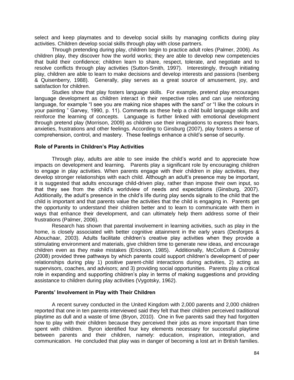select and keep playmates and to develop social skills by managing conflicts during play activities. Children develop social skills through play with close partners.

Through pretending during play, children begin to practice adult roles (Palmer, 2006). As children play, they discover how the world works; they are able to develop new competencies that build their confidence; children learn to share, respect, tolerate, and negotiate and to resolve conflicts through play activities (Sutton-Smith, 1997). Interestingly, through initiating play, children are able to learn to make decisions and develop interests and passions (Isenberg & Quisenberry, 1988). Generally, play serves as a great source of amusement, joy, and satisfaction for children.

Studies show that play fosters language skills. For example, pretend play encourages language development as children interact in their respective roles and can use reinforcing language, for example "I see you are making nice shapes with the sand" or "I like the colours in your painting " Garvey, 1990, p. 11). Comments as these help a child build language skills and reinforce the learning of concepts. Language is further linked with emotional development through pretend play (Morrison, 2009) as children use their imaginations to express their fears, anxieties, frustrations and other feelings. According to Ginsburg (2007), play fosters a sense of comprehension, control, and mastery. These feelings enhance a child's sense of security.

#### **Role of Parents in Children's Play Activities**

Through play, adults are able to see inside the child's world and to appreciate how impacts on development and learning. Parents play a significant role by encouraging children to engage in play activities. When parents engage with their children in play activities, they develop stronger relationships with each child. Although an adult's presence may be important, it is suggested that adults encourage child-driven play, rather than impose their own input, so that they see from the child's worldview of needs and expectations (Ginsburg, 2007). Additionally, the adult's presence in the child's life during play sends signals to the child that the child is important and that parents value the activities that the child is engaging in. Parents get the opportunity to understand their children better and to learn to communicate with them in ways that enhance their development, and can ultimately help them address some of their frustrations (Palmer, 2006).

Research has shown that parental involvement in learning activities, such as play in the home, is closely associated with better cognitive attainment in the early years (Desforges & Abouchaar, 2003). Adults facilitate children's creative play activities when they provide a stimulating environment and materials, give children time to generate new ideas, and encourage children even as they make mistakes (Erickson, 1985). Additionally, McCollum & Ostrosky (2008) provided three pathways by which parents could support children's development of peer relationships during play 1) positive parent-child interactions during activities, 2) acting as supervisors, coaches, and advisors; and 3) providing social opportunities. Parents play a critical role in expanding and supporting children's play in terms of making suggestions and providing assistance to children during play activities (Vygotsky, 1962).

#### **Parents' Involvement in Play with Their Children**

A recent survey conducted in the United Kingdom with 2,000 parents and 2,000 children reported that one in ten parents interviewed said they felt that their children perceived traditional playtime as dull and a waste of time (Bryon, 2010). One in five parents said they had forgotten how to play with their children because they perceived their jobs as more important than time spent with children. Byron identified four key elements necessary for successful playtime between parents and their children, namely: education, inspiration, integration, and communication. He concluded that play was in danger of becoming a lost art in British families.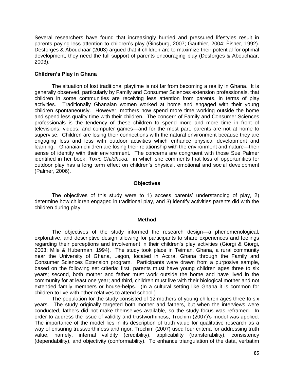Several researchers have found that increasingly hurried and pressured lifestyles result in parents paying less attention to children's play (Ginsburg, 2007; Gauthier, 2004; Fisher, 1992). Desforges & Abouchaar (2003) argued that if children are to maximize their potential for optimal development, they need the full support of parents encouraging play (Desforges & Abouchaar, 2003).

### **Children's Play in Ghana**

The situation of lost traditional playtime is not far from becoming a reality in Ghana. It is generally observed, particularly by Family and Consumer Sciences extension professionals, that children in some communities are receiving less attention from parents, in terms of play activities. Traditionally Ghanaian women worked at home and engaged with their young children spontaneously. However, mothers now spend more time working outside the home and spend less quality time with their children. The concern of Family and Consumer Sciences professionals is the tendency of these children to spend more and more time in front of televisions, videos, and computer games—and for the most part, parents are not at home to supervise. Children are losing their connections with the natural environment because they are engaging less and less with outdoor activities which enhance physical development and learning. Ghanaian children are losing their relationship with the environment and nature—their sense of identity with their environment. The concerns are congruent with those Sue Palmer identified in her book, *Toxic Childhood,* in which she comments that loss of opportunities for outdoor play has a long term effect on children's physical, emotional and social development (Palmer, 2006).

### **Objectives**

The objectives of this study were to 1) access parents' understanding of play, 2) determine how children engaged in traditional play, and 3) identify activities parents did with the children during play.

### **Method**

The objectives of the study informed the research design—a phenomenological, explorative, and descriptive design allowing for participants to share experiences and feelings regarding their perceptions and involvement in their children's play activities (Giorgi *&* Giorgi, 2003; Mile & Huberman, 1994). The study took place in Teiman, Ghana, a rural community near the University of Ghana, Legon, located in Accra, Ghana through the Family and Consumer Sciences Extension program. Participants were drawn from a purposive sample, based on the following set criteria: first, parents must have young children ages three to six years; second, both mother and father must work outside the home and have lived in the community for at least one year; and third, children must live with their biological mother and not extended family members or house-helps. (In a cultural setting like Ghana it is common for children to live with other relatives to attend school.)

The population for the study consisted of 12 mothers of young children ages three to six years. The study originally targeted both mother and fathers, but when the interviews were conducted, fathers did not make themselves available, so the study focus was reframed. In order to address the issue of validity and trustworthiness, Trochim (2007)'s model was applied. The importance of the model lies in its description of truth value for qualitative research as a way of ensuring trustworthiness and rigor. Trochim (2007) used four criteria for addressing truth value, namely, internal validity (credibility), applicability (transferability), consistency (dependability), and objectivity (conformability). To enhance triangulation of the data, verbatim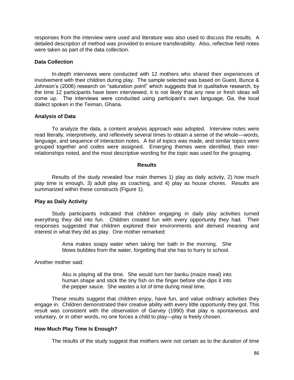responses from the interview were used and literature was also used to discuss the results. A detailed description of method was provided to ensure transferability. Also, reflective field notes were taken as part of the data collection.

#### **Data Collection**

In-depth interviews were conducted with 12 mothers who shared their experiences of involvement with their children during play. The sample selected was based on Guest, Bunce & Johnson's (2006) research on "saturation point" which suggests that in qualitative research, by the time 12 participants have been interviewed, it is not likely that any new or fresh ideas will come up. The interviews were conducted using participant's own language, Ga, the local dialect spoken in the Teiman, Ghana.

### **Analysis of Data**

To analyze the data, a content analysis approach was adopted. Interview notes were read literally, interpretively, and reflexively several times to obtain a sense of the whole—words, language, and sequence of interaction notes. A list of topics was made, and similar topics were grouped together and codes were assigned. Emerging themes were identified, their interrelationships noted, and the most descriptive wording for the topic was used for the grouping.

#### **Results**

Results of the study revealed four main themes 1) play as daily activity, 2) how much play time is enough, 3) adult play as coaching, and 4) play as house chores. Results are summarized within these constructs (Figure 1).

### **Play as Daily Activity**

Study participants indicated that children engaging in daily play activities turned everything they did into fun. Children created fun with every opportunity they had. Their responses suggested that children explored their environments and derived meaning and interest in what they did as play. One mother remarked:

> Ama makes soapy water when taking her bath in the morning. She blows bubbles from the water, forgetting that she has to hurry to school.

Another mother said:

Aku is playing all the time. She would turn her banku (maize meal) into human shape and stick the tiny fish on the finger before she dips it into the pepper sauce. She wastes a lot of time during meal time.

These results suggest that children enjoy, have fun, and value ordinary activities they engage in. Children demonstrated their creative ability with every little opportunity they got. This result was consistent with the observation of Garvey (1990) that play is spontaneous and voluntary, or in other words, no one forces a child to play—play is freely chosen.

### **How Much Play Time Is Enough?**

The results of the study suggest that mothers were not certain as to the duration of time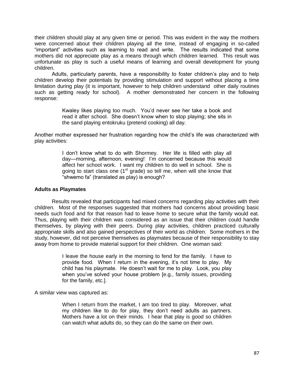their children should play at any given time or period. This was evident in the way the mothers were concerned about their children playing all the time, instead of engaging in so-called "important" activities such as learning to read and write. The results indicated that some mothers did not appreciate play as a means through which children learned. This result was unfortunate as play is such a useful means of learning and overall development for young children.

Adults, particularly parents, have a responsibility to foster children's play and to help children develop their potentials by providing stimulation and support without placing a time limitation during play (it is important, however to help children understand other daily routines such as getting ready for school). A mother demonstrated her concern in the following response:

> Kwaley likes playing too much. You'd never see her take a book and read it after school. She doesn't know when to stop playing; she sits in the sand playing entokruku (pretend cooking) all day*.*

Another mother expressed her frustration regarding how the child's life was characterized with play activities:

> I don't know what to do with Shormey. Her life is filled with play all day—morning, afternoon, evening! I'm concerned because this would affect her school work. I want my children to do well in school. She is going to start class one  $(1<sup>st</sup> grade)$  so tell me, when will she know that "shwemo fa" (translated as play) is enough?

### **Adults as Playmates**

Results revealed that participants had mixed concerns regarding play activities with their children. Most of the responses suggested that mothers had concerns about providing basic needs such food and for that reason had to leave home to secure what the family would eat. Thus, playing with their children was considered as an issue that their children could handle themselves, by playing with their peers. During play activities, children practiced culturally appropriate skills and also gained perspectives of their world as children. Some mothers in the study, however, did not perceive themselves as playmates because of their responsibility to stay away from home to provide material support for their children. One woman said:

> I leave the house early in the morning to fend for the family. I have to provide food. When I return in the evening, it's not time to play. My child has his playmate. He doesn't wait for me to play. Look, you play when you've solved your house problem [e.g., family issues, providing for the family, etc.].

A similar view was captured as:

When I return from the market, I am too tired to play. Moreover, what my children like to do for play, they don't need adults as partners. Mothers have a lot on their minds. I hear that play is good so children can watch what adults do, so they can do the same on their own.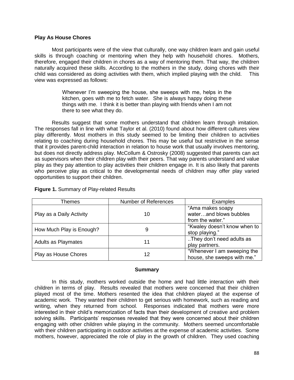### **Play As House Chores**

Most participants were of the view that culturally, one way children learn and gain useful skills is through coaching or mentoring when they help with household chores. Mothers, therefore, engaged their children in chores as a way of mentoring them. That way, the children naturally acquired these skills. According to the mothers in the study, doing chores with their child was considered as doing activities with them, which implied playing with the child. This view was expressed as follows:

> Whenever I'm sweeping the house, she sweeps with me, helps in the kitchen, goes with me to fetch water. She is always happy doing these things with me. I think it is better than playing with friends when I am not there to see what they do.

Results suggest that some mothers understand that children learn through imitation. The responses fall in line with what Taylor et al. (2010) found about how different cultures view play differently. Most mothers in this study seemed to be limiting their children to activities relating to coaching during household chores. This may be useful but restrictive in the sense that it provides parent-child interaction in relation to house work that usually involves mentoring, but does not directly address play. McCollum & Ostrosky (2008) suggested that parents can act as supervisors when their children play with their peers. That way parents understand and value play as they pay attention to play activities their children engage in. It is also likely that parents who perceive play as critical to the developmental needs of children may offer play varied opportunities to support their children.

| Themes                   | <b>Number of References</b> | Examples                                                       |
|--------------------------|-----------------------------|----------------------------------------------------------------|
| Play as a Daily Activity | 10                          | "Ama makes soapy<br>waterand blows bubbles<br>from the water." |
| How Much Play is Enough? |                             | "Kwaley doesn't know when to<br>stop playing."                 |
| Adults as Playmates      | 11                          | They don't need adults as<br>play partners.                    |
| Play as House Chores     | 12                          | "Whenever I am sweeping the<br>house, she sweeps with me."     |

### **Figure 1.** Summary of Play-related Results

### **Summary**

In this study, mothers worked outside the home and had little interaction with their children in terms of play. Results revealed that mothers were concerned that their children played most of the time. Mothers resented the idea that children played at the expense of academic work. They wanted their children to get serious with homework, such as reading and writing, when they returned from school. Responses indicated that mothers were more interested in their child's memorization of facts than their development of creative and problem solving skills. Participants' responses revealed that they were concerned about their children engaging with other children while playing in the community. Mothers seemed uncomfortable with their children participating in outdoor activities at the expense of academic activities. Some mothers, however, appreciated the role of play in the growth of children. They used coaching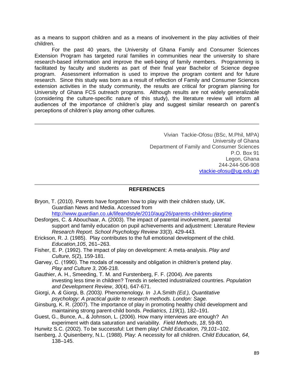as a means to support children and as a means of involvement in the play activities of their children.

For the past 40 years, the University of Ghana Family and Consumer Sciences Extension Program has targeted rural families in communities near the university to share research-based information and improve the well-being of family members. Programming is facilitated by faculty and students as part of their final year Bachelor of Science degree program. Assessment information is used to improve the program content and for future research. Since this study was born as a result of reflection of Family and Consumer Sciences extension activities in the study community, the results are critical for program planning for University of Ghana FCS outreach programs. Although results are not widely generalizable (considering the culture-specific nature of this study), the literature review will inform all audiences of the importance of children's play and suggest similar research on parent's perceptions of children's play among other cultures.

> Vivian Tackie-Ofosu (BSc, M.Phil, MPA) University of Ghana Department of Family and Consumer Sciences P.O. Box 91 Legon, Ghana 244-244-506-908 [vtackie-ofosu@ug.edu.gh](mailto:vtackie-ofosu@ug.edu.gh)

#### **REFERENCES**

- Bryon, T. (2010). Parents have forgotten how to play with their children study, UK. Guardian News and Media. Accessed from <http://www.guardian.co.uk/lifeandstyle/2010/aug/26/parents-children-playtime>
- Desforges, C. & Abouchaar, A. (2003). The impact of parental involvement, parental support and family education on pupil achievements and adjustment: Literature Review *Research Report. School Psychology Review 33*(3). 429-443.
- Erickson, R. J. (1985). Play contributes to the full emotional development of the child. *Education,105*, 261–263.
- Fisher, E. P. (1992). The impact of play on development: A meta-analysis. *Play and Culture, 5*(2), 159-181.
- Garvey, C. (1990). The modals of necessity and obligation in children's pretend play. *Play and Culture 3*, 206-218.
- Gauthier, A. H., Smeeding, T. M. and Furstenberg, F. F. (2004). Are parents investing less time in children? Trends in selected industrialized countries. *Population and Development Review*, *30*(4), 647-671.
- Giorgi, A*. &* Giorgi, B. *(*2003*).* Phenomenology*. In* J.A.Smith *(Ed.), Quantitative psychology: A practical guide to research methods. London: Sage.*
- Ginsburg, K. R. (2007). The importance of play in promoting healthy child development and maintaining strong parent-child bonds. *Pediatrics, 119*(1), 182–191.
- Guest, G., Bunce, A., & Johnson, L. (2006). How many interviews are enough? An experiment with data saturation and variability. *Field Methods*, *18*, 59-80.
- Hurwitz S.C. (2002). To be successful: Let them play! *Child Education, 79,101*–102.
- Isenberg, J. Quisenberry, N.L. (1988). Play: A necessity for all children. *Child Education, 64*, 138–145.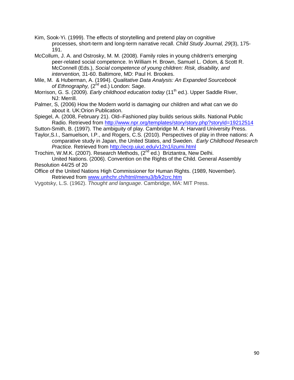- Kim, Sook-Yi. (1999). The effects of storytelling and pretend play on cognitive processes, short-term and long-term narrative recall. *Child Study Journal, 29*(3), 175- 191.
- McCollum, J. A. and Ostrosky, M. M. (2008). Family roles in young children's emerging peer-related social competence. In William H. Brown, Samuel L. Odom, & Scott R. McConnell (Eds.), *Social competence of young children: Risk, disability, and intervention,* 31-60. Baltimore, MD: Paul H. Brookes.
- Mile, M. & Huberman, A. (1994). *Qualitative Data Analysis: An Expanded Sourcebook*  of Ethnography, (2<sup>nd</sup> ed.) London: Sage.
- Morrison, G. S. (2009). *Early childhood education today* (11<sup>th</sup> ed.). Upper Saddle River. NJ: Merrill.
- Palmer, S, (2006) How the Modern world is damaging our children and what can we do about it. UK:Orion Publication.
- Spiegel, A. (2008, February 21). Old–Fashioned play builds serious skills. National Public Radio. Retrieved from<http://www.npr.org/templates/story/story.php?storyId=19212514>
- Sutton-Smith, B. (1997). The ambiguity of play. Cambridge M. A: Harvard University Press.
- Taylor,S.I., Samuelson, I.P., and Rogers, C.S. (2010). Perspectives of play in three nations: A comparative study in Japan, the United States, and Sweden. *Early Childhood Research Practice.* Retrieved from <http://ecrp.uiuc.edu/v12n1/izumi.html>
- Trochim, W.M.K. (2007). Research Methods, (2<sup>nd</sup> ed.) Briztantra, New Delhi. United Nations. (2006). Convention on the Rights of the Child. General Assembly Resolution 44/25 of 20
- Office of the United Nations High Commissioner for Human Rights. (1989, November). Retrieved from [www.unhchr.ch/html/menu3/b/k2crc.htm](http://www.unhchr.ch/html/menu3/b/k2crc.htm)
- Vygotsky, L.S. (1962). *Thought and language*. Cambridge, MA: MIT Press.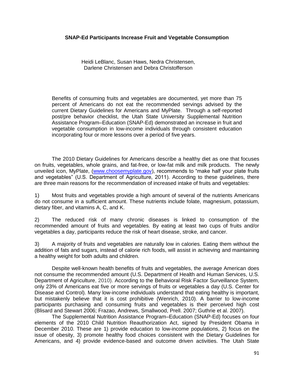### **SNAP-Ed Participants Increase Fruit and Vegetable Consumption**

Heidi LeBlanc, Susan Haws, Nedra Christensen, Darlene Christensen and Debra Christofferson

Benefits of consuming fruits and vegetables are documented, yet more than 75 percent of Americans do not eat the recommended servings advised by the current Dietary Guidelines for Americans and MyPlate. Through a self-reported post/pre behavior checklist, the Utah State University Supplemental Nutrition Assistance Program–Education (SNAP-Ed) demonstrated an increase in fruit and vegetable consumption in low-income individuals through consistent education incorporating four or more lessons over a period of five years.

The 2010 Dietary Guidelines for Americans describe a healthy diet as one that focuses on fruits, vegetables, whole grains, and fat-free, or low-fat milk and milk products. The newly unveiled icon, MyPlate, [\(www.choosemyplate.gov\)](file:///C:/Users/Noelle/AppData/Local/Microsoft/Windows/Temporary%20Internet%20Files/Content.Outlook/AUY7KOXH/www.choosemyplate.gov), recommends to "make half your plate fruits and vegetables" (U.S. Department of Agriculture, 2011). According to these guidelines, there are three main reasons for the recommendation of increased intake of fruits and vegetables:

1) Most fruits and vegetables provide a high amount of several of the nutrients Americans do not consume in a sufficient amount. These nutrients include folate, magnesium, potassium, dietary fiber, and vitamins A, C, and K.

2) The reduced risk of many chronic diseases is linked to consumption of the recommended amount of fruits and vegetables. By eating at least two cups of fruits and/or vegetables a day, participants reduce the risk of heart disease, stroke, and cancer.

3) A majority of fruits and vegetables are naturally low in calories. Eating them without the addition of fats and sugars, instead of calorie rich foods, will assist in achieving and maintaining a healthy weight for both adults and children.

Despite well-known health benefits of fruits and vegetables, the average American does not consume the recommended amount (U.S. Department of Health and Human Services, U.S. Department of Agriculture, 2010). According to the Behavioral Risk Factor Surveillance System, only 23% of Americans eat five or more servings of fruits or vegetables a day (U.S. Center for Disease and Control). Many low-income individuals understand that eating healthy is important, but mistakenly believe that it is cost prohibitive (Wenrich, 2010). A barrier to low-income participants purchasing and consuming fruits and vegetables is their perceived high cost (Blisard and Stewart 2006; Frazao, Andrews, Smallwood, Prell. 2007; Guthrie et al. 2007).

The Supplemental Nutrition Assistance Program–Education (SNAP-Ed) focuses on four elements of the 2010 Child Nutrition Reauthorization Act, signed by President Obama in December 2010. These are 1) provide education to low-income populations, 2) focus on the issue of obesity, 3) promote healthy food choices consistent with the Dietary Guidelines for Americans, and 4) provide evidence-based and outcome driven activities. The Utah State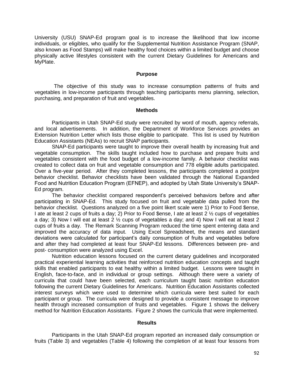University (USU) SNAP-Ed program goal is to increase the likelihood that low income individuals, or eligibles, who qualify for the Supplemental Nutrition Assistance Program (SNAP, also known as Food Stamps) will make healthy food choices within a limited budget and choose physically active lifestyles consistent with the current Dietary Guidelines for Americans and MyPlate.

#### **Purpose**

The objective of this study was to increase consumption patterns of fruits and vegetables in low-income participants through teaching participants menu planning, selection, purchasing, and preparation of fruit and vegetables.

### **Methods**

Participants in Utah SNAP-Ed study were recruited by word of mouth, agency referrals, and local advertisements. In addition, the Department of Workforce Services provides an Extension Nutrition Letter which lists those eligible to participate. This list is used by Nutrition Education Assistants (NEAs) to recruit SNAP participants.

SNAP-Ed participants were taught to improve their overall health by increasing fruit and vegetable consumption. The skills taught included how to purchase and prepare fruits and vegetables consistent with the food budget of a low-income family. A behavior checklist was created to collect data on fruit and vegetable consumption and 778 eligible adults participated. Over a five-year period. After they completed lessons, the participants completed a post/pre behavior checklist. Behavior checklists have been validated through the National Expanded Food and Nutrition Education Program (EFNEP), and adopted by Utah State University's SNAP-Ed program.

The behavior checklist compared respondent's perceived behaviors before and after participating in SNAP-Ed. This study focused on fruit and vegetable data pulled from the behavior checklist. Questions analyzed on a five point likert scale were 1) Prior to Food \$ense, I ate at least 2 cups of fruits a day; 2) Prior to Food \$ense, I ate at least 2 ½ cups of vegetables a day; 3) Now I will eat at least 2 ½ cups of vegetables a day; and 4) Now I will eat at least 2 cups of fruits a day. The Remark Scanning Program reduced the time spent entering data and improved the accuracy of data input. Using Excel Spreadsheet, the means and standard deviations were calculated for participant's daily consumption of fruits and vegetables before and after they had completed at least four SNAP-Ed lessons. Differences between pre- and post- consumption were analyzed using Excel.

Nutrition education lessons focused on the current dietary guidelines and incorporated practical experiential learning activities that reinforced nutrition education concepts and taught skills that enabled participants to eat healthy within a limited budget. Lessons were taught in English, face-to-face, and in individual or group settings. Although there were a variety of curricula that could have been selected, each curriculum taught basic nutrition education following the current Dietary Guidelines for Americans. Nutrition Education Assistants collected interest surveys which were used to determine which curricula were best suited for each participant or group. The curricula were designed to provide a consistent message to improve health through increased consumption of fruits and vegetables. Figure 1 shows the delivery method for Nutrition Education Assistants. Figure 2 shows the curricula that were implemented.

#### **Results**

Participants in the Utah SNAP-Ed program reported an increased daily consumption or fruits (Table 3) and vegetables (Table 4) following the completion of at least four lessons from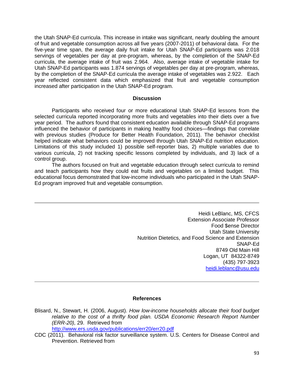the Utah SNAP-Ed curricula. This increase in intake was significant, nearly doubling the amount of fruit and vegetable consumption across all five years (2007-2011) of behavioral data. For the five-year time span, the average daily fruit intake for Utah SNAP-Ed participants was 2.018 servings of vegetables per day at pre-program, whereas, by the completion of the SNAP-Ed curricula, the average intake of fruit was 2.964. Also, average intake of vegetable intake for Utah SNAP-Ed participants was 1.874 servings of vegetables per day at pre-program, whereas, by the completion of the SNAP-Ed curricula the average intake of vegetables was 2.922. Each year reflected consistent data which emphasized that fruit and vegetable consumption increased after participation in the Utah SNAP-Ed program.

### **Discussion**

Participants who received four or more educational Utah SNAP-Ed lessons from the selected curricula reported incorporating more fruits and vegetables into their diets over a five year period. The authors found that consistent education available through SNAP-Ed programs influenced the behavior of participants in making healthy food choices—findings that correlate with previous studies (Produce for Better Health Foundation, 2011). The behavior checklist helped indicate what behaviors could be improved through Utah SNAP-Ed nutrition education. Limitations of this study included 1) possible self-reporter bias, 2) multiple variables due to various curricula, 2) not tracking specific lessons completed by individuals, and 3) lack of a control group.

The authors focused on fruit and vegetable education through select curricula to remind and teach participants how they could eat fruits and vegetables on a limited budget. This educational focus demonstrated that low-income individuals who participated in the Utah SNAP-Ed program improved fruit and vegetable consumption.

> Heidi LeBlanc, MS, CFCS Extension Associate Professor Food \$ense Director Utah State University Nutrition Dietetics, and Food Science and Extension SNAP-Ed 8749 Old Main Hill Logan, UT 84322-8749 (435) 797-3923 [heidi.leblanc@usu.edu](mailto:heidi.leblanc@usu.edu)

### **References**

Blisard, N., Stewart, H. (2006, August). *How low-income households allocate their food budget*  relative to the cost of a thrifty food plan. USDA Economic Research Report Number *(ERR-20),* 29.Retrieved from

<http://www.ers.usda.gov/publications/err20/err20.pdf>

CDC (2011). Behavioral risk factor surveillance system. U.S. Centers for Disease Control and Prevention. Retrieved from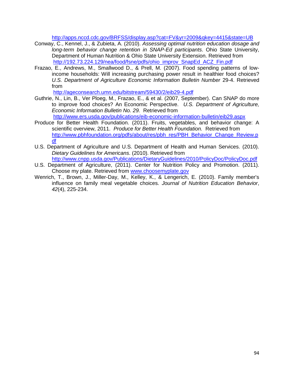<http://apps.nccd.cdc.gov/BRFSS/display.asp?cat=FV&yr=2009&qkey=4415&state=UB>

- Conway, C., Kennel, J., & Zubieta, A. (2010). *Assessing optimal nutrition education dosage and long-term behavior change retention in SNAP-Ed participants*. Ohio State University, Department of Human Nutrition & Ohio State University Extension. Retrieved from [http://192.73.224.129/nea/food/fsne/pdfs/ohio\\_improv\\_SnapEd\\_ACZ\\_Fin.pdf](http://192.73.224.129/nea/food/fsne/pdfs/ohio_improv_SnapEd_ACZ_Fin.pdf)
- Frazao, E., Andrews, M., Smallwood D., & Prell, M. (2007). Food spending patterns of lowincome households: Will increasing purchasing power result in healthier food choices? *U.S. Department of Agriculture Economic Information Bulletin Number* 29-4. Retrieved from

<http://ageconsearch.umn.edu/bitstream/59430/2/eib29-4.pdf>

Guthrie, N., Lin, B., Ver Ploeg, M., Frazao, E., & et al. (2007, September). Can SNAP do more to improve food choices? An Economic Perspective. *U.S. Department of Agriculture, Economic Information Bulletin No. 29.* Retrieved from

<http://www.ers.usda.gov/publications/eib-economic-information-bulletin/eib29.aspx>

- Produce for Better Health Foundation. (2011). Fruits, vegetables, and behavior change: A scientific overview, 2011. *Produce for Better Health Foundation.* Retrieved from [http://www.pbhfoundation.org/pdfs/about/res/pbh\\_res/PBH\\_Behavior\\_Change\\_Review.p](http://www.pbhfoundation.org/pdfs/about/res/pbh_res/PBH_Behavior_Change_Review.pdf) [df](http://www.pbhfoundation.org/pdfs/about/res/pbh_res/PBH_Behavior_Change_Review.pdf)
- U.S. Department of Agriculture and U.S. Department of Health and Human Services. (2010). *Dietary Guidelines for Americans*. (2010). Retrieved from <http://www.cnpp.usda.gov/Publications/DietaryGuidelines/2010/PolicyDoc/PolicyDoc.pdf>
- U.S. Department of Agriculture, (2011). Center for Nutrition Policy and Promotion. (2011). Choose my plate. Retrieved from [www.choosemyplate.gov](http://www.choosemyplate.gov/)
- Wenrich, T., Brown, J., Miller-Day, M., Kelley, K., & Lengerich, E. (2010). Family member's influence on family meal vegetable choices. *Journal of Nutrition Education Behavior*, *42*(4), 225-234.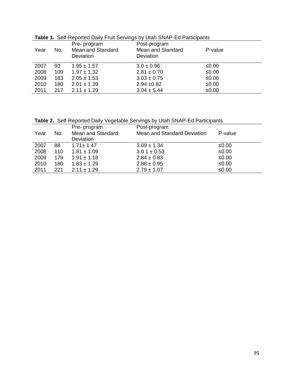|      |     |                   | <b>Table 1.</b> Och hopolica Dahy Fran Ochrhigo by Olah Orwin La Famolpanio |         |  |
|------|-----|-------------------|-----------------------------------------------------------------------------|---------|--|
|      |     | Pre- program      | Post-program                                                                |         |  |
| Year | No. | Mean and Standard | Mean and Standard                                                           | P-value |  |
|      |     | Deviation         | Deviation                                                                   |         |  |
|      |     |                   |                                                                             |         |  |
| 2007 | 93  | $1.95 \pm 1.57$   | $3.0 \pm 0.96$                                                              | ≤0.00   |  |
| 2008 | 109 | $1.97 \pm 1.32$   | $2.81 \pm 0.70$                                                             | ≤0.00   |  |
| 2009 | 183 | $2.05 \pm 1.53$   | $3.03 \pm 0.75$                                                             | ≤0.00   |  |
| 2010 | 180 | $2.01 \pm 1.39$   | $2.94 \pm 0.82$                                                             | ≤0.00   |  |
| 2011 | 217 | $2.11 \pm 1.29$   | $3.04 \pm 5.44$                                                             | ≤0.00   |  |

**Table 1.** Self-Reported Daily Fruit Servings by Utah SNAP-Ed Participants

**Table 2.** Self-Reported Daily Vegetable Servings by Utah SNAP-Ed Participants

|      |     | Pre- program      | Post-program                |         |
|------|-----|-------------------|-----------------------------|---------|
| Year | No. | Mean and Standard | Mean and Standard Deviation | P-value |
|      |     | Deviation         |                             |         |
| 2007 | 88  | $1.71 \pm 1.47$   | $3.09 \pm 1.34$             | ≤0.00   |
| 2008 | 110 | $1.81 \pm 1.09$   | $3.01 \pm 0.53$             | $≤0.00$ |
| 2009 | 179 | $1.91 \pm 1.18$   | $2.84 \pm 0.83$             | $≤0.00$ |
| 2010 | 180 | $1.83 \pm 1.29$   | $2.88 \pm 0.95$             | ≤0.00   |
| 2011 | 221 | $2.11 \pm 1.29$   | $2.79 \pm 1.07$             | $≤0.00$ |
|      |     |                   |                             |         |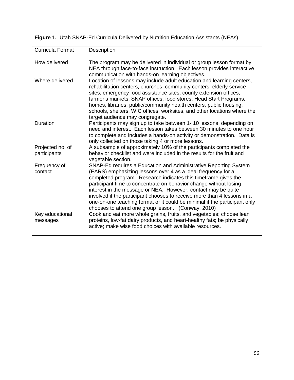| Curricula Format                 | Description                                                                                                                                                                                                                                                                                                                                                                                                                                                                                                                                            |
|----------------------------------|--------------------------------------------------------------------------------------------------------------------------------------------------------------------------------------------------------------------------------------------------------------------------------------------------------------------------------------------------------------------------------------------------------------------------------------------------------------------------------------------------------------------------------------------------------|
| How delivered                    | The program may be delivered in individual or group lesson format by<br>NEA through face-to-face instruction. Each lesson provides interactive<br>communication with hands-on learning objectives.                                                                                                                                                                                                                                                                                                                                                     |
| Where delivered                  | Location of lessons may include adult education and learning centers,<br>rehabilitation centers, churches, community centers, elderly service<br>sites, emergency food assistance sites, county extension offices,<br>farmer's markets, SNAP offices, food stores, Head Start Programs,<br>homes, libraries, public/community health centers, public housing,<br>schools, shelters, WIC offices, worksites, and other locations where the<br>target audience may congregate.                                                                           |
| <b>Duration</b>                  | Participants may sign up to take between 1-10 lessons, depending on<br>need and interest. Each lesson takes between 30 minutes to one hour<br>to complete and includes a hands-on activity or demonstration. Data is<br>only collected on those taking 4 or more lessons.                                                                                                                                                                                                                                                                              |
| Projected no. of<br>participants | A subsample of approximately 10% of the participants completed the<br>behavior checklist and were included in the results for the fruit and<br>vegetable section.                                                                                                                                                                                                                                                                                                                                                                                      |
| Frequency of<br>contact          | SNAP-Ed requires a Education and Administrative Reporting System<br>(EARS) emphasizing lessons over 4 as a ideal frequency for a<br>completed program. Research indicates this timeframe gives the<br>participant time to concentrate on behavior change without losing<br>interest in the message or NEA. However, contact may be quite<br>involved if the participant chooses to receive more than 4 lessons in a<br>one-on-one teaching format or it could be minimal if the participant only<br>chooses to attend one group lesson. (Conway, 2010) |
| Key educational<br>messages      | Cook and eat more whole grains, fruits, and vegetables; choose lean<br>proteins, low-fat dairy products, and heart-healthy fats; be physically<br>active; make wise food choices with available resources.                                                                                                                                                                                                                                                                                                                                             |

**Figure 1.** Utah SNAP-Ed Curricula Delivered by Nutrition Education Assistants (NEAs)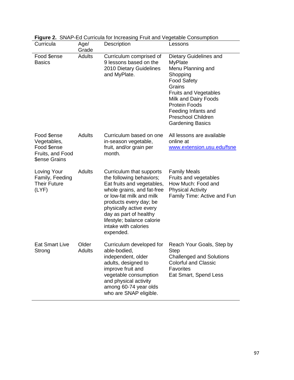| Curricula                                                                      | Age/<br>Grade          | Description                                                                                                                                                                                                                                                                                    | Lessons                                                                                                                                                                                                                                                                  |
|--------------------------------------------------------------------------------|------------------------|------------------------------------------------------------------------------------------------------------------------------------------------------------------------------------------------------------------------------------------------------------------------------------------------|--------------------------------------------------------------------------------------------------------------------------------------------------------------------------------------------------------------------------------------------------------------------------|
| Food \$ense<br><b>Basics</b>                                                   | Adults                 | Curriculum comprised of<br>9 lessons based on the<br>2010 Dietary Guidelines<br>and MyPlate.                                                                                                                                                                                                   | Dietary Guidelines and<br><b>MyPlate</b><br>Menu Planning and<br>Shopping<br><b>Food Safety</b><br>Grains<br><b>Fruits and Vegetables</b><br>Milk and Dairy Foods<br><b>Protein Foods</b><br>Feeding Infants and<br><b>Preschool Children</b><br><b>Gardening Basics</b> |
| Food \$ense<br>Vegetables,<br>Food \$ense<br>Fruits, and Food<br>\$ense Grains | <b>Adults</b>          | Curriculum based on one<br>in-season vegetable,<br>fruit, and/or grain per<br>month.                                                                                                                                                                                                           | All lessons are available<br>online at<br>www.extension.usu.edu/fsne                                                                                                                                                                                                     |
| Loving Your<br>Family, Feeding<br><b>Their Future</b><br>(LYF)                 | <b>Adults</b>          | Curriculum that supports<br>the following behaviors;<br>Eat fruits and vegetables,<br>whole grains, and fat-free<br>or low-fat milk and milk<br>products every day; be<br>physically active every<br>day as part of healthy<br>lifestyle; balance calorie<br>intake with calories<br>expended. | <b>Family Meals</b><br>Fruits and vegetables<br>How Much: Food and<br><b>Physical Activity</b><br>Family Time: Active and Fun                                                                                                                                            |
| <b>Eat Smart Live</b><br>Strong                                                | Older<br><b>Adults</b> | Curriculum developed for<br>able-bodied,<br>independent, older<br>adults, designed to<br>improve fruit and<br>vegetable consumption<br>and physical activity<br>among 60-74 year olds<br>who are SNAP eligible.                                                                                | Reach Your Goals, Step by<br>Step<br><b>Challenged and Solutions</b><br><b>Colorful and Classic</b><br><b>Favorites</b><br>Eat Smart, Spend Less                                                                                                                         |

**Figure 2.** SNAP-Ed Curricula for Increasing Fruit and Vegetable Consumption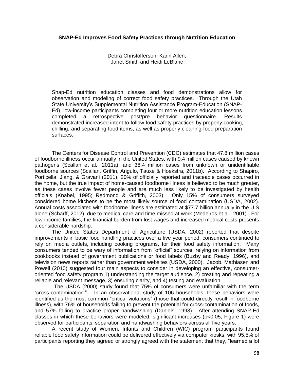### **SNAP-Ed Improves Food Safety Practices through Nutrition Education**

Debra Christofferson, Karin Allen, Janet Smith and Heidi LeBlanc

Snap-Ed nutrition education classes and food demonstrations allow for observation and modeling of correct food safety practices. Through the Utah State University's Supplemental Nutrition Assistance Program-Education (SNAP-Ed), low-income participants completing four or more nutrition education lessons completed a retrospective post/pre behavior questionnaire. Results demonstrated increased intent to follow food safety practices by properly cooking, chilling, and separating food items, as well as properly cleaning food preparation surfaces.

The Centers for Disease Control and Prevention (CDC) estimates that 47.8 million cases of foodborne illness occur annually in the United States, with 9.4 million cases caused by known pathogens (Scallan et al., 2011a), and 38.4 million cases from unknown or unidentifiable foodborne sources (Scallan, Griffin, Angulo, Tauxe & Hoekstra, 2011b). According to Shapiro, Porticella, Jiang, & Gravani (2011), 20% of officially reported and traceable cases occurred in the home, but the true impact of home-caused foodborne illness is believed to be much greater, as these cases involve fewer people and are much less likely to be investigated by health officials (Knabel, 1995; Redmond & Griffith, 2003). Only 15% of consumers surveyed considered home kitchens to be the most likely source of food contamination (USDA, 2002). Annual costs associated with foodborne illness are estimated at \$77.7 billion annually in the U.S. alone (Scharff, 2012), due to medical care and time missed at work (Medeiros et al., 2001). For low-income families, the financial burden from lost wages and increased medical costs presents a considerable hardship.

The United States Department of Agriculture (USDA, 2002) reported that despite improvements in basic food handling practices over a five year period, consumers continued to rely on media outlets, including cooking programs, for their food safety information. Many consumers tended to be wary of information from "official" sources, relying on information from cookbooks instead of government publications or food labels (Buzby and Ready, 1996), and television news reports rather than government websites (USDA, 2000). Jacob, Mathiasen and Powell (2010) suggested four main aspects to consider in developing an effective, consumeroriented food safety program 1) understanding the target audience, 2) creating and repeating a reliable and relevant message, 3) ensuring clarity, and 4) testing and evaluation.

The USDA (2000) study found that 75% of consumers were unfamiliar with the term "cross-contamination." In an observational study of 106 households, these behaviors were identified as the most common "critical violations" (those that could directly result in foodborne illness), with 76% of households failing to prevent the potential for cross-contamination of foods, and 57% failing to practice proper handwashing (Daniels, 1998). After attending SNAP-Ed classes in which these behaviors were modeled, significant increases (p<0.05; Figure 1) were observed for participants' separation and handwashing behaviors across all five years.

A recent study of Women, Infants and Children (WIC) program participants found reliable food safety information could be delivered effectively via computer kiosks, with 95.5% of participants reporting they agreed or strongly agreed with the statement that they, "learned a lot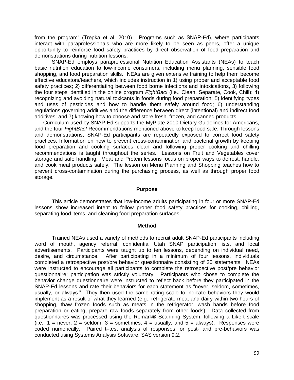from the program" (Trepka et al. 2010). Programs such as SNAP-Ed), where participants interact with paraprofessionals who are more likely to be seen as peers, offer a unique opportunity to reinforce food safety practices by direct observation of food preparation and demonstrations during nutrition lessons.

SNAP-Ed employs paraprofessional Nutrition Education Assistants (NEAs) to teach basic nutrition education to low-income consumers, including menu planning, sensible food shopping, and food preparation skills. NEAs are given extensive training to help them become effective educators/teachers, which includes instruction in 1) using proper and acceptable food safety practices; 2) differentiating between food borne infections and intoxications, 3) following the four steps identified in the online program *FightBac!* (i.e., Clean, Separate, Cook, Chill); 4) recognizing and avoiding natural toxicants in foods during food preparation; 5) identifying types and uses of pesticides and how to handle them safely around food; 6) understanding regulations governing additives and the difference between direct (intentional) and indirect food additives; and 7) knowing how to choose and store fresh, frozen, and canned products.

Curriculum used by SNAP-Ed supports the MyPlate 2010 Dietary Guidelines for Americans, and the four *FightBac!* Recommendations mentioned above to keep food safe. Through lessons and demonstrations, SNAP-Ed participants are repeatedly exposed to correct food safety practices. Information on how to prevent cross-contamination and bacterial growth by keeping food preparation and cooking surfaces clean and following proper cooking and chilling recommendations is taught throughout the series. Lessons on Fruit and Vegetables cover storage and safe handling. Meat and Protein lessons focus on proper ways to defrost, handle, and cook meat products safely. The lesson on Menu Planning and Shopping teaches how to prevent cross-contamination during the purchasing process, as well as through proper food storage.

#### **Purpose**

This article demonstrates that low-income adults participating in four or more SNAP-Ed lessons show increased intent to follow proper food safety practices for cooking, chilling, separating food items, and cleaning food preparation surfaces.

#### **Method**

Trained NEAs used a variety of methods to recruit adult SNAP-Ed participants including word of mouth, agency referral, confidential Utah SNAP participation lists, and local advertisements. Participants were taught up to ten lessons, depending on individual need, desire, and circumstance. After participating in a minimum of four lessons, individuals completed a retrospective post/pre behavior questionnaire consisting of 20 statements. NEAs were instructed to encourage all participants to complete the retrospective post/pre behavior questionnaire; participation was strictly voluntary. Participants who chose to complete the behavior change questionnaire were instructed to reflect back before they participated in the SNAP-Ed lessons and rate their behaviors for each statement as "never, seldom, sometimes, usually, or always." They then used the same rating scale to indicate behaviors they would implement as a result of what they learned (e.g., refrigerate meat and dairy within two hours of shopping, thaw frozen foods such as meats in the refrigerator, wash hands before food preparation or eating, prepare raw foods separately from other foods). Data collected from questionnaires was processed using the Remark® Scanning System, following a Likert scale (i.e., 1 = never; 2 = seldom; 3 = sometimes; 4 = usually; and 5 = always). Responses were coded numerically. Paired t–test analysis of responses for post- and pre-behaviors was conducted using Systems Analysis Software, SAS version 9.2.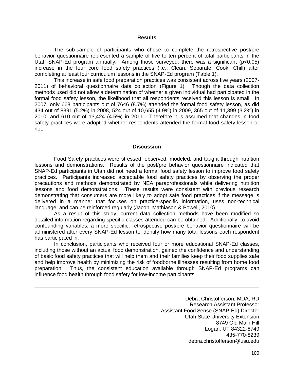#### **Results**

The sub-sample of participants who chose to complete the retrospective post/pre behavior questionnaire represented a sample of five to ten percent of total participants in the Utah SNAP-Ed program annually. Among those surveyed, there was a significant (p<0.05) increase in the four core food safety practices (i.e., Clean, Separate, Cook, Chill) after completing at least four curriculum lessons in the SNAP-Ed program (Table 1).

This increase in safe food preparation practices was consistent across five years (2007- 2011) of behavioral questionnaire data collection (Figure 1). Though the data collection methods used did not allow a determination of whether a given individual had participated in the formal food safety lesson, the likelihood that all respondents received this lesson is small. In 2007, only 668 participants out of 7646 (8.7%) attended the formal food safety lesson, as did 434 out of 8391 (5.2%) in 2008, 524 out of 10,655 (4.9%) in 2009, 365 out of 11,399 (3.2%) in 2010, and 610 out of 13,424 (4.5%) in 2011. Therefore it is assumed that changes in food safety practices were adopted whether respondents attended the formal food safety lesson or not.

#### **Discussion**

Food Safety practices were stressed, observed, modeled, and taught through nutrition lessons and demonstrations. Results of the post/pre behavior questionnaire indicated that SNAP-Ed participants in Utah did not need a formal food safety lesson to improve food safety practices. Participants increased acceptable food safety practices by observing the proper precautions and methods demonstrated by NEA paraprofessionals while delivering nutrition lessons and food demonstrations. These results were consistent with previous research demonstrating that consumers are more likely to adopt safe food practices if the message is delivered in a manner that focuses on practice-specific information, uses non-technical language, and can be reinforced regularly (Jacob, Mathiason & Powell, 2010).

As a result of this study, current data collection methods have been modified so detailed information regarding specific classes attended can be obtained. Additionally, to avoid confounding variables, a more specific, retrospective post/pre behavior questionnaire will be administered after every SNAP-Ed lesson to identify how many total lessons each respondent has participated in.

In conclusion, participants who received four or more educational SNAP-Ed classes, including those without an actual food demonstration, gained the confidence and understanding of basic food safety practices that will help them and their families keep their food supplies safe and help improve health by minimizing the risk of foodborne illnesses resulting from home food preparation. Thus, the consistent education available through SNAP-Ed programs can influence food health through food safety for low-income participants.

> Debra Christofferson, MDA, RD Research Assistant Professor Assistant Food \$ense (SNAP-Ed) Director Utah State University Extension 8749 Old Main Hill Logan, UT 84322-8749 435-770-8239 debra.christofferson@usu.edu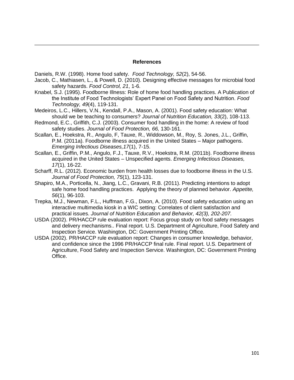#### **References**

Daniels, R.W. (1998). Home food safety. *Food Technology, 52*(2), 54-56.

- Jacob, C., Mathiasen, L., & Powell, D. (2010). Designing effective messages for microbial food safety hazards. *Food Control, 21*, 1-6.
- Knabel, S.J. (1995). Foodborne Illness: Role of home food handling practices. A Publication of the Institute of Food Technologists' Expert Panel on Food Safety and Nutrition. *Food Technology, 49*(4), 119-131.
- Medeiros, L.C., Hillers, V.N., Kendall, P.A., Mason, A. (2001). Food safety education: What should we be teaching to consumers? *Journal of Nutrition Education, 33*(2), 108-113.
- Redmond, E.C., Griffith, C.J. (2003). Consumer food handling in the home: A review of food safety studies. *Journal of Food Protection, 66,* 130-161.
- Scallan, E., Hoekstra, R., Angulo, F, Tauxe, R., Widdowson, M., Roy, S. Jones, J.L., Griffin, P.M. (2011a). Foodborne illness acquired in the United States – Major pathogens. *Emerging Infectious Diseases,17*(1), 7-15.
- Scallan, E., Griffin, P.M., Angulo, F.J., Tauxe, R.V., Hoekstra, R.M. (2011b). Foodborne illness acquired in the United States – Unspecified agents. *Emerging Infectious Diseases, 17*(1), 16-22.
- Scharff, R.L. (2012). Economic burden from health losses due to foodborne illness in the U.S. *Journal of Food Protection, 75*(1), 123-131.
- Shapiro, M.A., Porticella, N., Jiang, L.C., Gravani, R.B. (2011). Predicting intentions to adopt safe home food handling practices. Applying the theory of planned behavior. *Appetite, 56*(1), 96-103.
- Trepka, M.J., Newman, F.L., Huffman, F.G., Dixon, A. (2010). Food safety education using an interactive multimedia kiosk in a WIC setting: Correlates of client satisfaction and practical issues. *Journal of Nutrition Education and Behavior, 42(3), 202-207.*
- USDA (2002). PR/HACCP rule evaluation report: Focus group study on food safety messages and delivery mechanisms.. Final report. U.S. Department of Agriculture, Food Safety and Inspection Service. Washington, DC: Government Printing Office.
- USDA (2002). PR/HACCP rule evaluation report: Changes in consumer knowledge, behavior, and confidence since the 1996 PR/HACCP final rule. Final report. U.S. Department of Agriculture, Food Safety and Inspection Service. Washington, DC: Government Printing Office.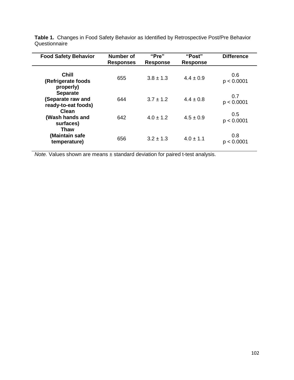| <b>Food Safety Behavior</b>                                 | Number of<br><b>Responses</b> | "Pre"<br><b>Response</b> | "Post"<br><b>Response</b> | <b>Difference</b> |
|-------------------------------------------------------------|-------------------------------|--------------------------|---------------------------|-------------------|
| <b>Chill</b><br>(Refrigerate foods<br>properly)             | 655                           | $3.8 \pm 1.3$            | $4.4 \pm 0.9$             | 0.6<br>p < 0.0001 |
| <b>Separate</b><br>(Separate raw and<br>ready-to-eat foods) | 644                           | $3.7 \pm 1.2$            | $4.4 \pm 0.8$             | 0.7<br>p < 0.0001 |
| Clean<br>(Wash hands and<br>surfaces)                       | 642                           | $4.0 \pm 1.2$            | $4.5 \pm 0.9$             | 0.5<br>p < 0.0001 |
| <b>Thaw</b><br>(Maintain safe<br>temperature)               | 656                           | $3.2 \pm 1.3$            | $4.0 \pm 1.1$             | 0.8<br>p < 0.0001 |

**Table 1.** Changes in Food Safety Behavior as Identified by Retrospective Post/Pre Behavior **Questionnaire** 

*Note.* Values shown are means ± standard deviation for paired t-test analysis.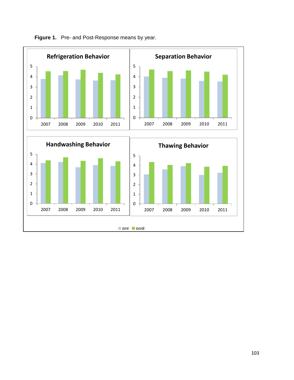

Figure 1. Pre- and Post-Response means by year.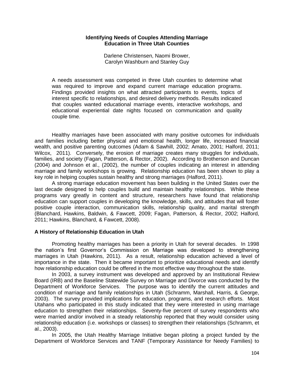#### **Identifying Needs of Couples Attending Marriage Education in Three Utah Counties**

Darlene Christensen, Naomi Brower, Carolyn Washburn and Stanley Guy

A needs assessment was competed in three Utah counties to determine what was required to improve and expand current marriage education programs. Findings provided insights on what attracted participants to events, topics of interest specific to relationships, and desired delivery methods. Results indicated that couples wanted educational marriage events, interactive workshops, and educational experiential date nights focused on communication and quality couple time.

Healthy marriages have been associated with many positive outcomes for individuals and families including better physical and emotional health, longer life, increased financial wealth, and positive parenting outcomes (Adam & Sawhill, 2002; Amato, 2001; Halford, 2011; Wilcox, 2011). Conversely, the erosion of marriage creates many struggles for individuals, families, and society (Fagan, Patterson, & Rector, 2002). According to Brotherson and Duncan (2004) and Johnson et al., (2002), the number of couples indicating an interest in attending marriage and family workshops is growing. Relationship education has been shown to play a key role in helping couples sustain healthy and strong marriages (Halford, 2011).

A strong marriage education movement has been building in the United States over the last decade designed to help couples build and maintain healthy relationships. While these programs vary greatly in content and structure, researchers have found that relationship education can support couples in developing the knowledge, skills, and attitudes that will foster positive couple interaction, communication skills, relationship quality, and marital strength (Blanchard, Hawkins, Baldwin, & Fawcett, 2009; Fagan, Patterson, & Rector, 2002; Halford, 2011; Hawkins, Blanchard, & Fawcett, 2008).

### **A History of Relationship Education in Utah**

Promoting healthy marriages has been a priority in Utah for several decades. In 1998 the nation's first Governor's Commission on Marriage was developed to strengthening marriages in Utah (Hawkins, 2011). As a result, relationship education achieved a level of importance in the state. Then it became important to prioritize educational needs and identify how relationship education could be offered in the most effective way throughout the state.

In 2003, a survey instrument was developed and approved by an Institutional Review Board (IRB) and the Baseline Statewide Survey on Marriage and Divorce was conducted by the Department of Workforce Services. The purpose was to identify the current attitudes and condition of marriage and family relationships in Utah (Schramm, Marshall, Harris, & George, 2003). The survey provided implications for education, programs, and research efforts. Most Utahans who participated in this study indicated that they were interested in using marriage education to strengthen their relationships. Seventy-five percent of survey respondents who were married and/or involved in a steady relationship reported that they would consider using relationship education (i.e. workshops or classes) to strengthen their relationships (Schramm, et al., 2003).

In 2005, the Utah Healthy Marriage Initiative began piloting a project funded by the Department of Workforce Services and TANF (Temporary Assistance for Needy Families) to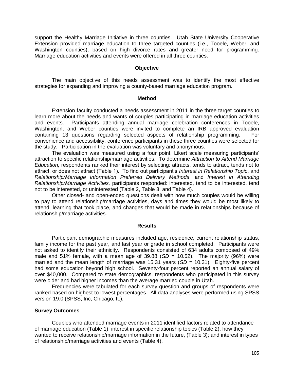support the Healthy Marriage Initiative in three counties. Utah State University Cooperative Extension provided marriage education to three targeted counties (i.e., Tooele, Weber, and Washington counties), based on high divorce rates and greater need for programming. Marriage education activities and events were offered in all three counties.

#### **Objective**

The main objective of this needs assessment was to identify the most effective strategies for expanding and improving a county-based marriage education program.

#### **Method**

Extension faculty conducted a needs assessment in 2011 in the three target counties to learn more about the needs and wants of couples participating in marriage education activities and events. Participants attending annual marriage celebration conferences in Tooele, Washington, and Weber counties were invited to complete an IRB approved evaluation containing 13 questions regarding selected aspects of relationship programming. For convenience and accessibility, conference participants in these three counties were selected for the study. Participation in the evaluation was voluntary and anonymous.

The evaluation was measured using a four point, Likert scale measuring participants' attraction to specific relationship/marriage activities. To determine *Attraction to Attend Marriage Education,* respondents ranked their interest by selecting: attracts, tends to attract, tends not to attract, or does not attract (Table 1). To find out participant's *Interest in Relationship Topic*, and *Relationship/Marriage Information Preferred Delivery Methods*, and *Interest in Attending Relationship/Marriage Activities,* participants responded: interested, tend to be interested, tend not to be interested, or uninterested (Table 2, Table 3, and Table 4).

Other closed- and open-ended questions dealt with how much couples would be willing to pay to attend relationship/marriage activities, days and times they would be most likely to attend, learning that took place, and changes that would be made in relationships because of relationship/marriage activities.

#### **Results**

Participant demographic measures included age, residence, current relationship status, family income for the past year, and last year or grade in school completed. Participants were not asked to identify their ethnicity. Respondents consisted of 634 adults composed of 49% male and 51% female, with a mean age of 39.88 (*SD* = 10.52). The majority (96%) were married and the mean length of marriage was 15.31 years (*SD =* 10.31). Eighty-five percent had some education beyond high school. Seventy-four percent reported an annual salary of over \$40,000. Compared to state demographics, respondents who participated in this survey were older and had higher incomes than the average married couple in Utah.

Frequencies were tabulated for each survey question and groups of respondents were ranked based on highest to lowest percentages. All data analyses were performed using SPSS version 19.0 (SPSS, Inc, Chicago, IL).

#### **Survey Outcomes**

Couples who attended marriage events in 2011 identified factors related to attendance of marriage education (Table 1), interest in specific relationship topics (Table 2), how they wanted to receive relationship/marriage information in the future, (Table 3); and interest in types of relationship/marriage activities and events (Table 4).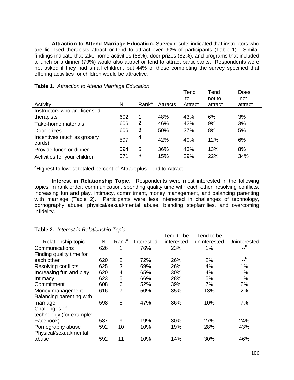**Attraction to Attend Marriage Education.** Survey results indicated that instructors who are licensed therapists attract or tend to attract over 90% of participants (Table 1). Similar findings indicate that take-home activities (88%), door prizes (82%), and programs that included a lunch or a dinner (79%) would also attract or tend to attract participants. Respondents were not asked if they had small children, but 44% of those completing the survey specified that offering activities for children would be attractive.

|                                       |     |                   |          | Tend    | Tend    | Does    |
|---------------------------------------|-----|-------------------|----------|---------|---------|---------|
|                                       |     |                   |          | to      | not to  | not     |
| Activity                              | N   | Rank <sup>a</sup> | Attracts | Attract | attract | attract |
| Instructors who are licensed          |     |                   |          |         |         |         |
| therapists                            | 602 | 1                 | 48%      | 43%     | 6%      | 3%      |
| Take-home materials                   | 606 | 2                 | 46%      | 42%     | 9%      | 3%      |
| Door prizes                           | 606 | 3                 | 50%      | 37%     | 8%      | 5%      |
| Incentives (such as grocery<br>cards) | 597 | 4                 | 42%      | 40%     | 12%     | 6%      |
| Provide lunch or dinner               | 594 | 5                 | 36%      | 43%     | 13%     | 8%      |
| Activities for your children          | 571 | 6                 | 15%      | 29%     | 22%     | 34%     |

<sup>a</sup>Highest to lowest totaled percent of Attract plus Tend to Attract.

**Interest in Relationship Topic.** Respondents were most interested in the following topics, in rank order: communication, spending quality time with each other, resolving conflicts, increasing fun and play, intimacy, commitment, money management, and balancing parenting with marriage (Table 2). Participants were less interested in challenges of technology, pornography abuse, physical/sexual/mental abuse, blending stepfamilies, and overcoming infidelity.

|                          |     |                   |            | Tend to be | Tend to be   |                |
|--------------------------|-----|-------------------|------------|------------|--------------|----------------|
| Relationship topic       | N   | Rank <sup>a</sup> | Interested | interested | uninterested | Uninterested   |
| Communications           | 626 | 1                 | 76%        | 23%        | 1%           | $-\frac{b}{b}$ |
| Finding quality time for |     |                   |            |            |              |                |
| each other               | 620 | 2                 | 72%        | 26%        | 2%           | $-$ b          |
| Resolving conflicts      | 625 | 3                 | 69%        | 26%        | 4%           | 1%             |
| Increasing fun and play  | 620 | 4                 | 65%        | 30%        | 4%           | 1%             |
| Intimacy                 | 623 | 5                 | 66%        | 28%        | 5%           | 1%             |
| Commitment               | 608 | 6                 | 52%        | 39%        | 7%           | 2%             |
| Money management         | 616 | 7                 | 50%        | 35%        | 13%          | 2%             |
| Balancing parenting with |     |                   |            |            |              |                |
| marriage                 | 598 | 8                 | 47%        | 36%        | 10%          | 7%             |
| Challenges of            |     |                   |            |            |              |                |
| technology (for example: |     |                   |            |            |              |                |
| Facebook)                | 587 | 9                 | 19%        | 30%        | 27%          | 24%            |
| Pornography abuse        | 592 | 10                | 10%        | 19%        | 28%          | 43%            |
| Physical/sexual/mental   |     |                   |            |            |              |                |
| abuse                    | 592 | 11                | 10%        | 14%        | 30%          | 46%            |
|                          |     |                   |            |            |              |                |

# **Table 2.** *Interest in Relationship Topic*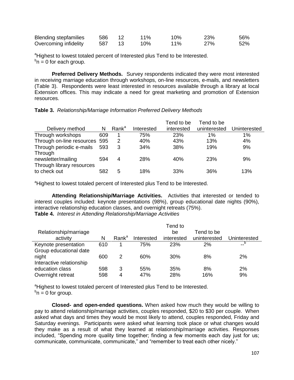| <b>Blending stepfamilies</b> | 586 | $11\%$ | 10%    | <b>23%</b> | 56% |
|------------------------------|-----|--------|--------|------------|-----|
| Overcoming infidelity        | 587 | 10%    | $11\%$ | <b>27%</b> | 52% |

<sup>a</sup>Highest to lowest totaled percent of Interested plus Tend to be Interested.  $b_n = 0$  for each group.

**Preferred Delivery Methods.** Survey respondents indicated they were most interested in receiving marriage education through workshops, on-line resources, e-mails, and newsletters (Table 3). Respondents were least interested in resources available through a library at local Extension offices. This may indicate a need for great marketing and promotion of Extension resources.

**Table 3.** *Relationship/Marriage Information Preferred Delivery Methods*

|                               |     |                   |            | Tend to be | Tend to be   |              |
|-------------------------------|-----|-------------------|------------|------------|--------------|--------------|
| Delivery method               | N   | Rank <sup>a</sup> | Interested | interested | uninterested | Uninterested |
| Through workshops             | 609 |                   | 75%        | 23%        | $1\%$        | $1\%$        |
| Through on-line resources 595 |     | 2                 | 40%        | 43%        | 13%          | 4%           |
| Through periodic e-mails      | 593 | 3                 | 34%        | 38%        | 19%          | 9%           |
| Through                       |     |                   |            |            |              |              |
| newsletter/mailing            | 594 | 4                 | 28%        | 40%        | 23%          | 9%           |
| Through library resources     |     |                   |            |            |              |              |
| to check out                  | 582 | 5                 | 18%        | 33%        | 36%          | 13%          |
|                               |     |                   |            |            |              |              |

<sup>a</sup>Highest to lowest totaled percent of Interested plus Tend to be Interested.

**Attending Relationship/Marriage Activities.** Activities that interested or tended to interest couples included: keynote presentations (98%), group educational date nights (90%), interactive relationship education classes, and overnight retreats (75%). **Table 4.** *Interest in Attending Relationship/Marriage Activities*

|                          |     |                   |            | Tend to    |              |              |
|--------------------------|-----|-------------------|------------|------------|--------------|--------------|
| Relationship/marriage    |     |                   |            | be         | Tend to be   |              |
| activity                 | N   | Rank <sup>a</sup> | Interested | interested | uninterested | Uninterested |
| Keynote presentation     | 610 |                   | 75%        | 23%        | 2%           | --           |
| Group educational date   |     |                   |            |            |              |              |
| night                    | 600 | 2                 | 60%        | 30%        | 8%           | 2%           |
| Interactive relationship |     |                   |            |            |              |              |
| education class          | 598 | 3                 | 55%        | 35%        | 8%           | 2%           |
| Overnight retreat        | 598 | 4                 | 47%        | 28%        | 16%          | 9%           |

<sup>a</sup>Highest to lowest totaled percent of Interested plus Tend to be Interested.  $b_n = 0$  for group.

**Closed- and open-ended questions.** When asked how much they would be willing to pay to attend relationship/marriage activities, couples responded, \$20 to \$30 per couple. When asked what days and times they would be most likely to attend, couples responded, Friday and Saturday evenings. Participants were asked what learning took place or what changes would they make as a result of what they learned at relationship/marriage activities. Responses included, "Spending more quality time together; finding a few moments each day just for us; communicate, communicate, communicate," and "remember to treat each other nicely."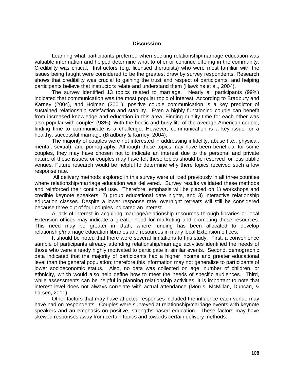## **Discussion**

Learning what participants preferred when seeking relationship/marriage education was valuable information and helped determine what to offer or continue offering in the community. Credibility was critical. Instructors (e.g. licensed therapists) who were most familiar with the issues being taught were considered to be the greatest draw by survey respondents. Research shows that credibility was crucial to gaining the trust and respect of participants, and helping participants believe that instructors relate and understand them (Hawkins et al., 2004).

The survey identified 13 topics related to marriage. Nearly all participants (99%) indicated that communication was the most popular topic of interest. According to Bradbury and Karney (2004), and Holman (2001), positive couple communication is a key predictor of sustained relationship satisfaction and stability. Even a highly functioning couple can benefit from increased knowledge and education in this area. Finding quality time for each other was also popular with couples (98%). With the hectic and busy life of the average American couple, finding time to communicate is a challenge. However, communication is a key issue for a healthy, successful marriage (Bradbury & Karney, 2004).

The majority of couples were not interested in addressing infidelity, abuse (i.e., physical, mental, sexual), and pornography. Although these topics may have been beneficial for some couples, they may have chosen not to indicate an interest due to the personal and private nature of these issues; or couples may have felt these topics should be reserved for less public venues. Future research would be helpful to determine why there topics received such a low response rate.

All delivery methods explored in this survey were utilized previously in all three counties where relationship/marriage education was delivered. Survey results validated these methods and reinforced their continued use. Therefore, emphasis will be placed on 1) workshops and credible keynote speakers, 2) group educational date nights, and 3) interactive relationship education classes. Despite a lower response rate, overnight retreats will still be considered because three out of four couples indicated an interest.

A lack of interest in acquiring marriage/relationship resources through libraries or local Extension offices may indicate a greater need for marketing and promoting these resources. This need may be greater in Utah, where funding has been allocated to develop relationship/marriage education libraries and resources in many local Extension offices.

It should be noted that there were several limitations to this study. First, a convenience sample of participants already attending relationship/marriage activities identified the needs of those who were already highly motivated to participate in similar events. Second, demographic data indicated that the majority of participants had a higher income and greater educational level than the general population; therefore this information may not generalize to participants of lower socioeconomic status. Also, no data was collected on age, number of children, or ethnicity, which would also help define how to meet the needs of specific audiences. Third, while assessments can be helpful in planning relationship activities, it is important to note that interest level does not always correlate with actual attendance (Morris, McMillan, Duncan, & Larsen, 2011).

Other factors that may have affected responses included the influence each venue may have had on respondents. Couples were surveyed at relationship/marriage events with keynote speakers and an emphasis on positive, strengths-based education. These factors may have skewed responses away from certain topics and towards certain delivery methods.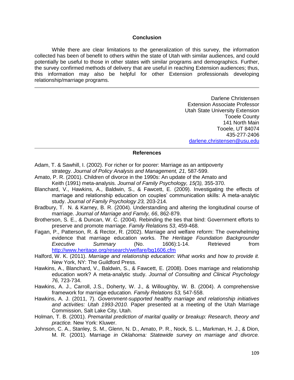## **Conclusion**

While there are clear limitations to the generalization of this survey, the information collected has been of benefit to others within the state of Utah with similar audiences, and could potentially be useful to those in other states with similar programs and demographics. Further, the survey confirmed methods of delivery that are useful in reaching Extension audiences; thus, this information may also be helpful for other Extension professionals developing relationship/marriage programs.

> Darlene Christensen Extension Associate Professor Utah State University Extension Tooele County 141 North Main Tooele, UT 84074 435-277-2406 [darlene.christensen@usu.edu](mailto:darlene.christensen@usu.edu)

## **References**

- Adam, T. & Sawhill, I. (2002). For richer or for poorer: Marriage as an antipoverty strategy. *Journal of Policy Analysis and Management, 21,* 587-599.
- Amato, P. R. (2001). Children of divorce in the 1990s: An update of the Amato and Keith (1991) meta-analysis. *Journal of Family Psychology, 15(*3*),* 355-370.
- Blanchard, V., Hawkins, A., Baldwin, S., & Fawcett, E. (2009). Investigating the effects of marriage and relationship education on couples' communication skills: A meta-analytic study. *Journal of Family Psychology 23,* 203-214.
- Bradbury, T. N. & Karney, B. R. (2004). Understanding and altering the longitudinal course of marriage. *Journal of Marriage and Family, 66*, 862-879.
- Brotherson, S. E., & Duncan, W. C. (2004). Rebinding the ties that bind: Government efforts to preserve and promote marriage. *Family Relation*s *53*, 459-468.
- Fagan, P., Patterson, R. & Rector, R. (2002). Marriage and welfare reform: The overwhelming evidence that marriage education works. *The Heritage Foundation Backgrounder Executive Summary* (No. 1606):1-14. Retrieved from <http://www.heritage.org/research/welfare/bg1606.cfm>
- Halford, W. K. (2011). *Marriage and relationship education: What works and how to provide it.* New York, NY: The Guildford Press.
- Hawkins, A., Blanchard, V., Baldwin, S., & Fawcett, E. (2008). Does marriage and relationship education work? A meta-analytic study. *Journal of Consulting and Clinical Psychology 76,* 723-734.
- Hawkins, A. J., Carroll, J.S., Doherty, W. J., & Willoughby, W. B. (2004). A comprehensive framework for marriage education. *Family Relations 53,* 547-558.
- Hawkins, A. J. (2011, 7). *Government-supported healthy marriage and relationship initiatives and activities: Utah 1993-2010.* Paper presented at a meeting of the Utah Marriage Commission, Salt Lake City, Utah.
- Holman, T. B. (2001). *Premarital prediction of marital quality or breakup: Research, theory and practice.* New York: Kluwer.
- Johnson, C. A., Stanley, S. M., Glenn, N. D., Amato, P. R., Nock, S. L., Markman, H. J., & Dion, M. R. (2001). Marriage *in Oklahoma: Statewide survey on marriage and divorce.*